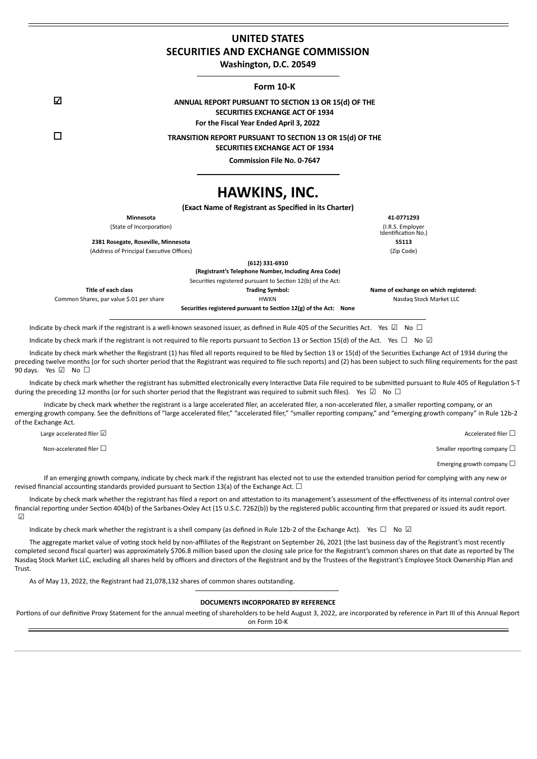# **UNITED STATES SECURITIES AND EXCHANGE COMMISSION**

**Washington, D.C. 20549**

## **Form 10-K**

☑ **ANNUAL REPORT PURSUANT TO SECTION 13 OR 15(d) OF THE SECURITIES EXCHANGE ACT OF 1934 For the Fiscal Year Ended April 3, 2022**

☐ **TRANSITION REPORT PURSUANT TO SECTION 13 OR 15(d) OF THE**

**SECURITIES EXCHANGE ACT OF 1934**

**Commission File No. 0-7647**

# **HAWKINS, INC.**

**(Exact Name of Registrant as Specified in its Charter)**

(State of Incorporation) (I.R.S. Employer) (I.R.S. Employer)

**2381 Rosegate, Roseville, Minnesota 55113**

(Address of Principal Executive Offices) (Zip Code)

**(612) 331-6910**

**(Registrant's Telephone Number, Including Area Code)** Securities registered pursuant to Section 12(b) of the Act:

Common Shares, par value \$.01 per share **HWKN** HWKN HWKN Nasdaq Stock Market LLC

**Securities registered pursuant to Section 12(g) of the Act: None**

Indicate by check mark if the registrant is a well-known seasoned issuer, as defined in Rule 405 of the Securities Act. Yes  $\boxtimes$  No  $\Box$ 

Indicate by check mark if the registrant is not required to file reports pursuant to Section 13 or Section 15(d) of the Act. Yes  $\Box$  No  $\Box$ 

Indicate by check mark whether the Registrant (1) has filed all reports required to be filed by Section 13 or 15(d) of the Securities Exchange Act of 1934 during the preceding twelve months (or for such shorter period that the Registrant was required to file such reports) and (2) has been subject to such filing requirements for the past 90 days. Yes ☑ No □

Indicate by check mark whether the registrant has submitted electronically every Interactive Data File required to be submitted pursuant to Rule 405 of Regulation S-T during the preceding 12 months (or for such shorter period that the Registrant was required to submit such files). Yes  $\boxtimes$  No  $\Box$ 

Indicate by check mark whether the registrant is a large accelerated filer, an accelerated filer, a non-accelerated filer, a smaller reporting company, or an emerging growth company. See the definitions of "large accelerated filer," "accelerated filer," "smaller reporting company," and "emerging growth company" in Rule 12b-2 of the Exchange Act.

 $\Box$  Accelerated filer  $\Box$  Accelerated filer  $\Box$ 

Non-accelerated filer □ smaller reporting company □ Smaller reporting company □

Emerging growth company  $\square$ 

If an emerging growth company, indicate by check mark if the registrant has elected not to use the extended transition period for complying with any new or revised financial accounting standards provided pursuant to Section 13(a) of the Exchange Act.  $\Box$ 

Indicate by check mark whether the registrant has filed a report on and attestation to its management's assessment of the effectiveness of its internal control over financial reporting under Section 404(b) of the Sarbanes-Oxley Act (15 U.S.C. 7262(b)) by the registered public accounting firm that prepared or issued its audit report.  $\triangledown$ 

Indicate by check mark whether the registrant is a shell company (as defined in Rule 12b-2 of the Exchange Act). Yes  $\Box$  No  $\Box$ 

The aggregate market value of voting stock held by non-affiliates of the Registrant on September 26, 2021 (the last business day of the Registrant's most recently completed second fiscal quarter) was approximately \$706.8 million based upon the closing sale price for the Registrant's common shares on that date as reported by The Nasdaq Stock Market LLC, excluding all shares held by officers and directors of the Registrant and by the Trustees of the Registrant's Employee Stock Ownership Plan and Trust.

As of May 13, 2022, the Registrant had 21,078,132 shares of common shares outstanding.

#### **DOCUMENTS INCORPORATED BY REFERENCE**

Portions of our definitive Proxy Statement for the annual meeting of shareholders to be held August 3, 2022, are incorporated by reference in Part III of this Annual Report on Form 10-K

**Minnesota 41-0771293** Identification No.)

**Title of each class Trading Symbol: Name of exchange on which registered:**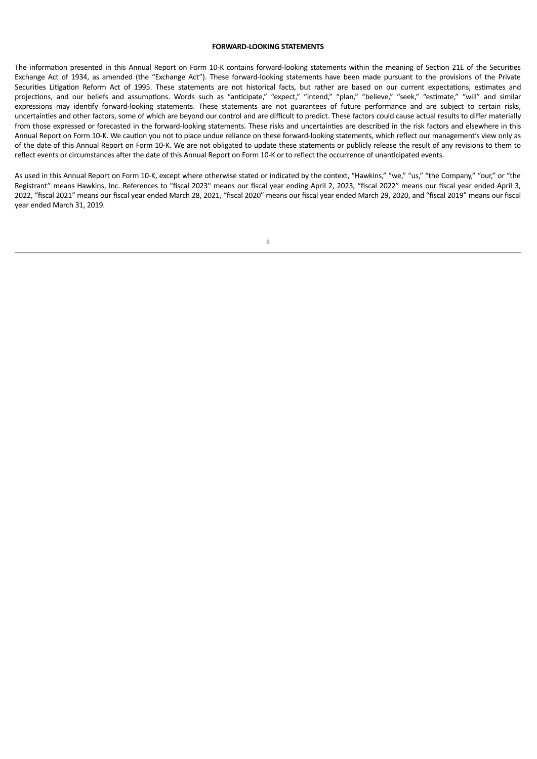## **FORWARD-LOOKING STATEMENTS**

The information presented in this Annual Report on Form 10-K contains forward-looking statements within the meaning of Section 21E of the Securities Exchange Act of 1934, as amended (the "Exchange Act"). These forward-looking statements have been made pursuant to the provisions of the Private Securities Litigation Reform Act of 1995. These statements are not historical facts, but rather are based on our current expectations, estimates and projections, and our beliefs and assumptions. Words such as "anticipate," "expect," "intend," "plan," "believe," "seek," "estimate," "will" and similar expressions may identify forward-looking statements. These statements are not guarantees of future performance and are subject to certain risks, uncertainties and other factors, some of which are beyond our control and are difficult to predict. These factors could cause actual results to differ materially from those expressed or forecasted in the forward-looking statements. These risks and uncertainties are described in the risk factors and elsewhere in this Annual Report on Form 10-K. We caution you not to place undue reliance on these forward-looking statements, which reflect our management's view only as of the date of this Annual Report on Form 10-K. We are not obligated to update these statements or publicly release the result of any revisions to them to reflect events or circumstances after the date of this Annual Report on Form 10-K or to reflect the occurrence of unanticipated events.

As used in this Annual Report on Form 10-K, except where otherwise stated or indicated by the context, "Hawkins," "we," "us," "the Company," "our," or "the Registrant" means Hawkins, Inc. References to "fiscal 2023" means our fiscal year ending April 2, 2023, "fiscal 2022" means our fiscal year ended April 3, 2022, "fiscal 2021" means our fiscal year ended March 28, 2021, "fiscal 2020" means our fiscal year ended March 29, 2020, and "fiscal 2019" means our fiscal year ended March 31, 2019.

ii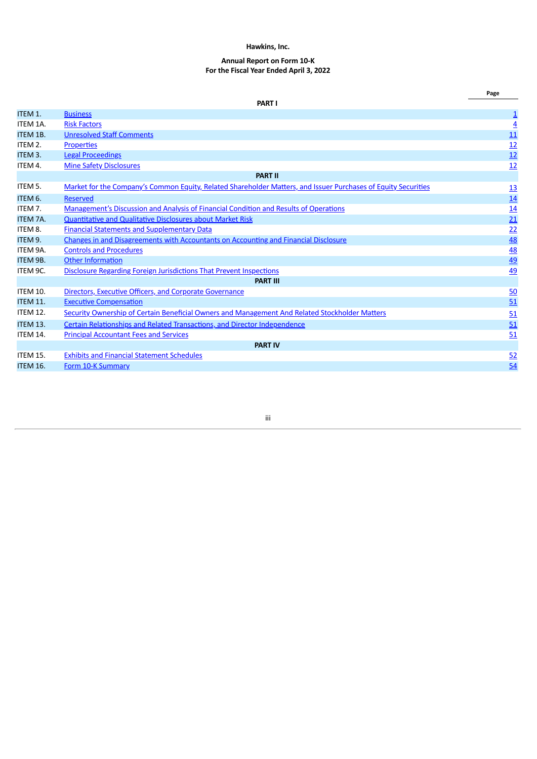# **Hawkins, Inc.**

#### **Annual Report on Form 10-K For the Fiscal Year Ended April 3, 2022**

|                 |                                                                                                                | Page            |
|-----------------|----------------------------------------------------------------------------------------------------------------|-----------------|
|                 | <b>PART I</b>                                                                                                  |                 |
| ITEM 1.         | <b>Business</b>                                                                                                | $\overline{1}$  |
| ITEM 1A.        | <b>Risk Factors</b>                                                                                            | $\overline{4}$  |
| <b>ITEM 1B.</b> | <b>Unresolved Staff Comments</b>                                                                               | 11              |
| ITEM 2.         | <b>Properties</b>                                                                                              | 12              |
| ITEM 3.         | <b>Legal Proceedings</b>                                                                                       | 12              |
| ITEM 4.         | <b>Mine Safety Disclosures</b>                                                                                 | 12              |
|                 | <b>PART II</b>                                                                                                 |                 |
| ITEM 5.         | Market for the Company's Common Equity, Related Shareholder Matters, and Issuer Purchases of Equity Securities | <u>13</u>       |
| ITEM 6.         | Reserved                                                                                                       | 14              |
| ITEM 7.         | Management's Discussion and Analysis of Financial Condition and Results of Operations                          | <u>14</u>       |
| <b>ITEM 7A.</b> | <b>Quantitative and Qualitative Disclosures about Market Risk</b>                                              | $\overline{21}$ |
| ITEM 8.         | <b>Financial Statements and Supplementary Data</b>                                                             | 22              |
| ITEM 9.         | Changes in and Disagreements with Accountants on Accounting and Financial Disclosure                           | 48              |
| ITEM 9A.        | <b>Controls and Procedures</b>                                                                                 | $\frac{48}{1}$  |
| ITEM 9B.        | <b>Other Information</b>                                                                                       | 49              |
| ITEM 9C.        | Disclosure Regarding Foreign Jurisdictions That Prevent Inspections                                            | 49              |
|                 | <b>PART III</b>                                                                                                |                 |
| <b>ITEM 10.</b> | Directors, Executive Officers, and Corporate Governance                                                        | 50              |
| <b>ITEM 11.</b> | <b>Executive Compensation</b>                                                                                  | 51              |
| <b>ITEM 12.</b> | Security Ownership of Certain Beneficial Owners and Management And Related Stockholder Matters                 | 51              |
| <b>ITEM 13.</b> | Certain Relationships and Related Transactions, and Director Independence                                      | 51              |
| <b>ITEM 14.</b> | <b>Principal Accountant Fees and Services</b>                                                                  | 51              |
|                 | <b>PART IV</b>                                                                                                 |                 |
| <b>ITEM 15.</b> | <b>Exhibits and Financial Statement Schedules</b>                                                              | 52              |
| <b>ITEM 16.</b> | Form 10-K Summary                                                                                              | 54              |
|                 |                                                                                                                |                 |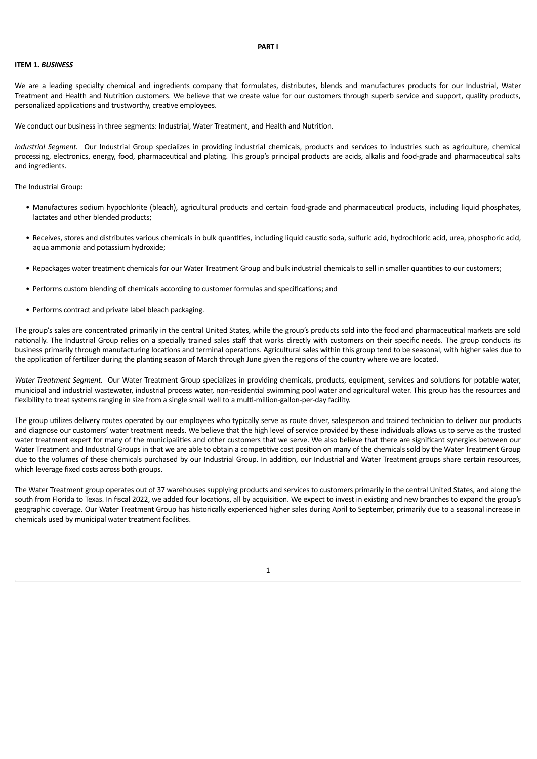## **PART I**

## <span id="page-3-0"></span>**ITEM 1.** *BUSINESS*

We are a leading specialty chemical and ingredients company that formulates, distributes, blends and manufactures products for our Industrial, Water Treatment and Health and Nutrition customers. We believe that we create value for our customers through superb service and support, quality products, personalized applications and trustworthy, creative employees.

We conduct our business in three segments: Industrial, Water Treatment, and Health and Nutrition.

*Industrial Segment.* Our Industrial Group specializes in providing industrial chemicals, products and services to industries such as agriculture, chemical processing, electronics, energy, food, pharmaceutical and plating. This group's principal products are acids, alkalis and food-grade and pharmaceutical salts and ingredients.

The Industrial Group:

- Manufactures sodium hypochlorite (bleach), agricultural products and certain food-grade and pharmaceutical products, including liquid phosphates, lactates and other blended products;
- Receives, stores and distributes various chemicals in bulk quantities, including liquid caustic soda, sulfuric acid, hydrochloric acid, urea, phosphoric acid, aqua ammonia and potassium hydroxide;
- Repackages water treatment chemicals for our Water Treatment Group and bulk industrial chemicals to sell in smaller quantities to our customers;
- Performs custom blending of chemicals according to customer formulas and specifications; and
- Performs contract and private label bleach packaging.

The group's sales are concentrated primarily in the central United States, while the group's products sold into the food and pharmaceutical markets are sold nationally. The Industrial Group relies on a specially trained sales staff that works directly with customers on their specific needs. The group conducts its business primarily through manufacturing locations and terminal operations. Agricultural sales within this group tend to be seasonal, with higher sales due to the application of fertilizer during the planting season of March through June given the regions of the country where we are located.

*Water Treatment Segment.* Our Water Treatment Group specializes in providing chemicals, products, equipment, services and solutions for potable water, municipal and industrial wastewater, industrial process water, non-residential swimming pool water and agricultural water. This group has the resources and flexibility to treat systems ranging in size from a single small well to a multi-million-gallon-per-day facility.

The group utilizes delivery routes operated by our employees who typically serve as route driver, salesperson and trained technician to deliver our products and diagnose our customers' water treatment needs. We believe that the high level of service provided by these individuals allows us to serve as the trusted water treatment expert for many of the municipalities and other customers that we serve. We also believe that there are significant synergies between our Water Treatment and Industrial Groups in that we are able to obtain a competitive cost position on many of the chemicals sold by the Water Treatment Group due to the volumes of these chemicals purchased by our Industrial Group. In addition, our Industrial and Water Treatment groups share certain resources, which leverage fixed costs across both groups.

The Water Treatment group operates out of 37 warehouses supplying products and services to customers primarily in the central United States, and along the south from Florida to Texas. In fiscal 2022, we added four locations, all by acquisition. We expect to invest in existing and new branches to expand the group's geographic coverage. Our Water Treatment Group has historically experienced higher sales during April to September, primarily due to a seasonal increase in chemicals used by municipal water treatment facilities.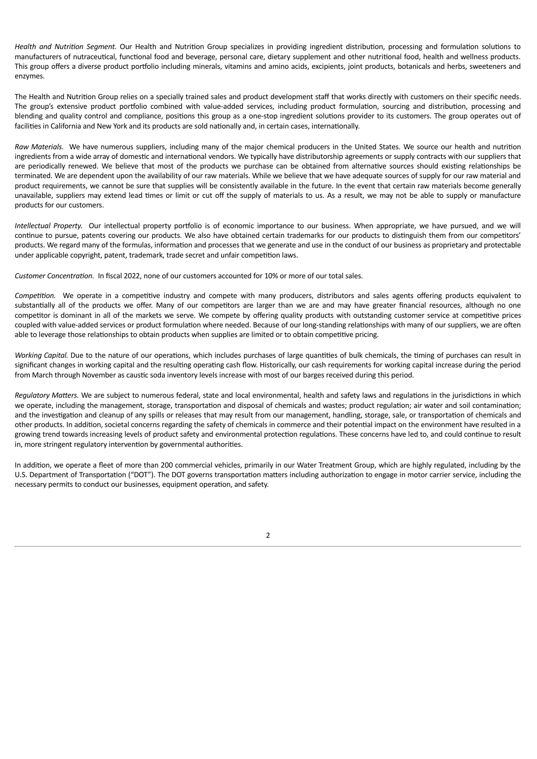*Health and Nutrition Segment.* Our Health and Nutrition Group specializes in providing ingredient distribution, processing and formulation solutions to manufacturers of nutraceutical, functional food and beverage, personal care, dietary supplement and other nutritional food, health and wellness products. This group offers a diverse product portfolio including minerals, vitamins and amino acids, excipients, joint products, botanicals and herbs, sweeteners and enzymes.

The Health and Nutrition Group relies on a specially trained sales and product development staff that works directly with customers on their specific needs. The group's extensive product portfolio combined with value-added services, including product formulation, sourcing and distribution, processing and blending and quality control and compliance, positions this group as a one-stop ingredient solutions provider to its customers. The group operates out of facilities in California and New York and its products are sold nationally and, in certain cases, internationally.

*Raw Materials.* We have numerous suppliers, including many of the major chemical producers in the United States. We source our health and nutrition ingredients from a wide array of domestic and international vendors. We typically have distributorship agreements or supply contracts with our suppliers that are periodically renewed. We believe that most of the products we purchase can be obtained from alternative sources should existing relationships be terminated. We are dependent upon the availability of our raw materials. While we believe that we have adequate sources of supply for our raw material and product requirements, we cannot be sure that supplies will be consistently available in the future. In the event that certain raw materials become generally unavailable, suppliers may extend lead times or limit or cut off the supply of materials to us. As a result, we may not be able to supply or manufacture products for our customers.

*Intellectual Property.* Our intellectual property portfolio is of economic importance to our business. When appropriate, we have pursued, and we will continue to pursue, patents covering our products. We also have obtained certain trademarks for our products to distinguish them from our competitors' products. We regard many of the formulas, information and processes that we generate and use in the conduct of our business as proprietary and protectable under applicable copyright, patent, trademark, trade secret and unfair competition laws.

*Customer Concentration.* In fiscal 2022, none of our customers accounted for 10% or more of our total sales.

*Competition.* We operate in a competitive industry and compete with many producers, distributors and sales agents offering products equivalent to substantially all of the products we offer. Many of our competitors are larger than we are and may have greater financial resources, although no one competitor is dominant in all of the markets we serve. We compete by offering quality products with outstanding customer service at competitive prices coupled with value-added services or product formulation where needed. Because of our long-standing relationships with many of our suppliers, we are often able to leverage those relationships to obtain products when supplies are limited or to obtain competitive pricing.

*Working Capital.* Due to the nature of our operations, which includes purchases of large quantities of bulk chemicals, the timing of purchases can result in significant changes in working capital and the resulting operating cash flow. Historically, our cash requirements for working capital increase during the period from March through November as caustic soda inventory levels increase with most of our barges received during this period.

*Regulatory Matters.* We are subject to numerous federal, state and local environmental, health and safety laws and regulations in the jurisdictions in which we operate, including the management, storage, transportation and disposal of chemicals and wastes; product regulation; air water and soil contamination; and the investigation and cleanup of any spills or releases that may result from our management, handling, storage, sale, or transportation of chemicals and other products. In addition, societal concerns regarding the safety of chemicals in commerce and their potential impact on the environment have resulted in a growing trend towards increasing levels of product safety and environmental protection regulations. These concerns have led to, and could continue to result in, more stringent regulatory intervention by governmental authorities.

In addition, we operate a fleet of more than 200 commercial vehicles, primarily in our Water Treatment Group, which are highly regulated, including by the U.S. Department of Transportation ("DOT"). The DOT governs transportation matters including authorization to engage in motor carrier service, including the necessary permits to conduct our businesses, equipment operation, and safety.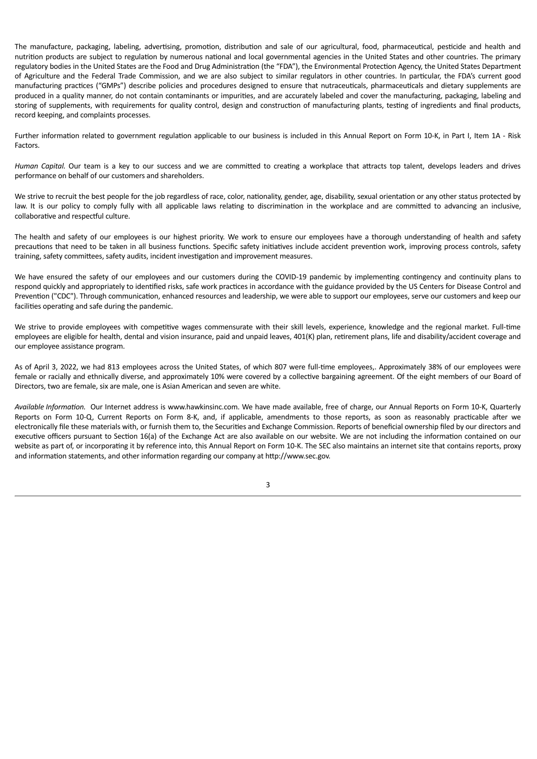The manufacture, packaging, labeling, advertising, promotion, distribution and sale of our agricultural, food, pharmaceutical, pesticide and health and nutrition products are subject to regulation by numerous national and local governmental agencies in the United States and other countries. The primary regulatory bodies in the United States are the Food and Drug Administration (the "FDA"), the Environmental Protection Agency, the United States Department of Agriculture and the Federal Trade Commission, and we are also subject to similar regulators in other countries. In particular, the FDA's current good manufacturing practices ("GMPs") describe policies and procedures designed to ensure that nutraceuticals, pharmaceuticals and dietary supplements are produced in a quality manner, do not contain contaminants or impurities, and are accurately labeled and cover the manufacturing, packaging, labeling and storing of supplements, with requirements for quality control, design and construction of manufacturing plants, testing of ingredients and final products, record keeping, and complaints processes.

Further information related to government regulation applicable to our business is included in this Annual Report on Form 10-K, in Part I, Item 1A - Risk Factors.

*Human Capital.* Our team is a key to our success and we are committed to creating a workplace that attracts top talent, develops leaders and drives performance on behalf of our customers and shareholders.

We strive to recruit the best people for the job regardless of race, color, nationality, gender, age, disability, sexual orientation or any other status protected by law. It is our policy to comply fully with all applicable laws relating to discrimination in the workplace and are committed to advancing an inclusive, collaborative and respectful culture.

The health and safety of our employees is our highest priority. We work to ensure our employees have a thorough understanding of health and safety precautions that need to be taken in all business functions. Specific safety initiatives include accident prevention work, improving process controls, safety training, safety committees, safety audits, incident investigation and improvement measures.

We have ensured the safety of our employees and our customers during the COVID-19 pandemic by implementing contingency and continuity plans to respond quickly and appropriately to identified risks, safe work practices in accordance with the guidance provided by the US Centers for Disease Control and Prevention ("CDC"). Through communication, enhanced resources and leadership, we were able to support our employees, serve our customers and keep our facilities operating and safe during the pandemic.

We strive to provide employees with competitive wages commensurate with their skill levels, experience, knowledge and the regional market. Full-time employees are eligible for health, dental and vision insurance, paid and unpaid leaves, 401(K) plan, retirement plans, life and disability/accident coverage and our employee assistance program.

As of April 3, 2022, we had 813 employees across the United States, of which 807 were full-time employees,. Approximately 38% of our employees were female or racially and ethnically diverse, and approximately 10% were covered by a collective bargaining agreement. Of the eight members of our Board of Directors, two are female, six are male, one is Asian American and seven are white.

<span id="page-5-0"></span>*Available Information.* Our Internet address is www.hawkinsinc.com. We have made available, free of charge, our Annual Reports on Form 10-K, Quarterly Reports on Form 10-Q, Current Reports on Form 8-K, and, if applicable, amendments to those reports, as soon as reasonably practicable after we electronically file these materials with, or furnish them to, the Securities and Exchange Commission. Reports of beneficial ownership filed by our directors and executive officers pursuant to Section 16(a) of the Exchange Act are also available on our website. We are not including the information contained on our website as part of, or incorporating it by reference into, this Annual Report on Form 10-K. The SEC also maintains an internet site that contains reports, proxy and information statements, and other information regarding our company at http://www.sec.gov.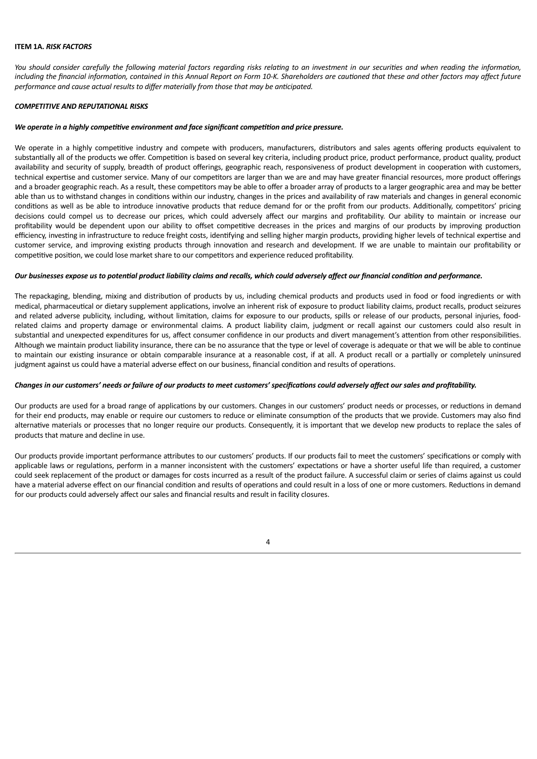## **ITEM 1A.** *RISK FACTORS*

You should consider carefully the following material factors regarding risks relating to an investment in our securities and when reading the information, including the financial information, contained in this Annual Report on Form 10-K. Shareholders are cautioned that these and other factors may affect future *performance and cause actual results to differ materially from those that may be anticipated.*

#### *COMPETITIVE AND REPUTATIONAL RISKS*

#### *We operate in a highly competitive environment and face significant competition and price pressure.*

We operate in a highly competitive industry and compete with producers, manufacturers, distributors and sales agents offering products equivalent to substantially all of the products we offer. Competition is based on several key criteria, including product price, product performance, product quality, product availability and security of supply, breadth of product offerings, geographic reach, responsiveness of product development in cooperation with customers, technical expertise and customer service. Many of our competitors are larger than we are and may have greater financial resources, more product offerings and a broader geographic reach. As a result, these competitors may be able to offer a broader array of products to a larger geographic area and may be better able than us to withstand changes in conditions within our industry, changes in the prices and availability of raw materials and changes in general economic conditions as well as be able to introduce innovative products that reduce demand for or the profit from our products. Additionally, competitors' pricing decisions could compel us to decrease our prices, which could adversely affect our margins and profitability. Our ability to maintain or increase our profitability would be dependent upon our ability to offset competitive decreases in the prices and margins of our products by improving production efficiency, investing in infrastructure to reduce freight costs, identifying and selling higher margin products, providing higher levels of technical expertise and customer service, and improving existing products through innovation and research and development. If we are unable to maintain our profitability or competitive position, we could lose market share to our competitors and experience reduced profitability.

#### Our businesses expose us to potential product liability claims and recalls, which could adversely affect our financial condition and performance.

The repackaging, blending, mixing and distribution of products by us, including chemical products and products used in food or food ingredients or with medical, pharmaceutical or dietary supplement applications, involve an inherent risk of exposure to product liability claims, product recalls, product seizures and related adverse publicity, including, without limitation, claims for exposure to our products, spills or release of our products, personal injuries, foodrelated claims and property damage or environmental claims. A product liability claim, judgment or recall against our customers could also result in substantial and unexpected expenditures for us, affect consumer confidence in our products and divert management's attention from other responsibilities. Although we maintain product liability insurance, there can be no assurance that the type or level of coverage is adequate or that we will be able to continue to maintain our existing insurance or obtain comparable insurance at a reasonable cost, if at all. A product recall or a partially or completely uninsured judgment against us could have a material adverse effect on our business, financial condition and results of operations.

#### Changes in our customers' needs or failure of our products to meet customers' specifications could adversely affect our sales and profitability.

Our products are used for a broad range of applications by our customers. Changes in our customers' product needs or processes, or reductions in demand for their end products, may enable or require our customers to reduce or eliminate consumption of the products that we provide. Customers may also find alternative materials or processes that no longer require our products. Consequently, it is important that we develop new products to replace the sales of products that mature and decline in use.

Our products provide important performance attributes to our customers' products. If our products fail to meet the customers' specifications or comply with applicable laws or regulations, perform in a manner inconsistent with the customers' expectations or have a shorter useful life than required, a customer could seek replacement of the product or damages for costs incurred as a result of the product failure. A successful claim or series of claims against us could have a material adverse effect on our financial condition and results of operations and could result in a loss of one or more customers. Reductions in demand for our products could adversely affect our sales and financial results and result in facility closures.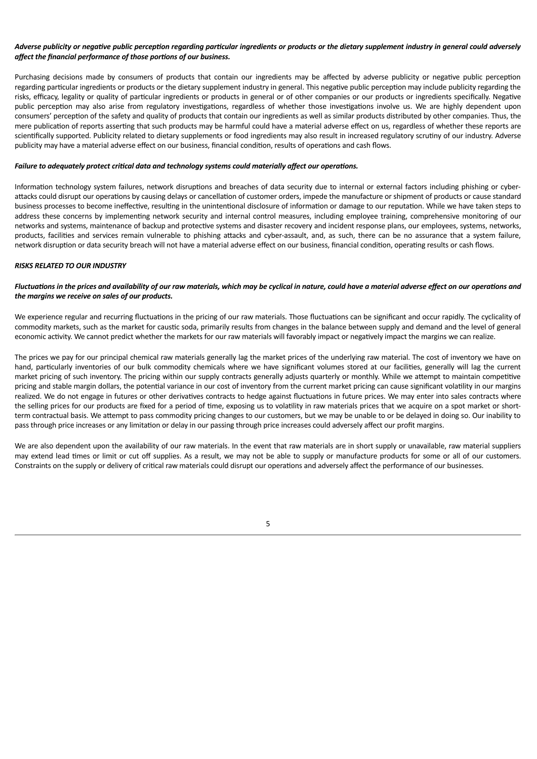## Adverse publicity or negative public perception regarding particular ingredients or products or the dietary supplement industry in general could adversely *affect the financial performance of those portions of our business.*

Purchasing decisions made by consumers of products that contain our ingredients may be affected by adverse publicity or negative public perception regarding particular ingredients or products or the dietary supplement industry in general. This negative public perception may include publicity regarding the risks, efficacy, legality or quality of particular ingredients or products in general or of other companies or our products or ingredients specifically. Negative public perception may also arise from regulatory investigations, regardless of whether those investigations involve us. We are highly dependent upon consumers' perception of the safety and quality of products that contain our ingredients as well as similar products distributed by other companies. Thus, the mere publication of reports asserting that such products may be harmful could have a material adverse effect on us, regardless of whether these reports are scientifically supported. Publicity related to dietary supplements or food ingredients may also result in increased regulatory scrutiny of our industry. Adverse publicity may have a material adverse effect on our business, financial condition, results of operations and cash flows.

#### *Failure to adequately protect critical data and technology systems could materially affect our operations.*

Information technology system failures, network disruptions and breaches of data security due to internal or external factors including phishing or cyberattacks could disrupt our operations by causing delays or cancellation of customer orders, impede the manufacture or shipment of products or cause standard business processes to become ineffective, resulting in the unintentional disclosure of information or damage to our reputation. While we have taken steps to address these concerns by implementing network security and internal control measures, including employee training, comprehensive monitoring of our networks and systems, maintenance of backup and protective systems and disaster recovery and incident response plans, our employees, systems, networks, products, facilities and services remain vulnerable to phishing attacks and cyber-assault, and, as such, there can be no assurance that a system failure, network disruption or data security breach will not have a material adverse effect on our business, financial condition, operating results or cash flows.

#### *RISKS RELATED TO OUR INDUSTRY*

## Fluctuations in the prices and availability of our raw materials, which may be cyclical in nature, could have a material adverse effect on our operations and *the margins we receive on sales of our products.*

We experience regular and recurring fluctuations in the pricing of our raw materials. Those fluctuations can be significant and occur rapidly. The cyclicality of commodity markets, such as the market for caustic soda, primarily results from changes in the balance between supply and demand and the level of general economic activity. We cannot predict whether the markets for our raw materials will favorably impact or negatively impact the margins we can realize.

The prices we pay for our principal chemical raw materials generally lag the market prices of the underlying raw material. The cost of inventory we have on hand, particularly inventories of our bulk commodity chemicals where we have significant volumes stored at our facilities, generally will lag the current market pricing of such inventory. The pricing within our supply contracts generally adjusts quarterly or monthly. While we attempt to maintain competitive pricing and stable margin dollars, the potential variance in our cost of inventory from the current market pricing can cause significant volatility in our margins realized. We do not engage in futures or other derivatives contracts to hedge against fluctuations in future prices. We may enter into sales contracts where the selling prices for our products are fixed for a period of time, exposing us to volatility in raw materials prices that we acquire on a spot market or shortterm contractual basis. We attempt to pass commodity pricing changes to our customers, but we may be unable to or be delayed in doing so. Our inability to pass through price increases or any limitation or delay in our passing through price increases could adversely affect our profit margins.

We are also dependent upon the availability of our raw materials. In the event that raw materials are in short supply or unavailable, raw material suppliers may extend lead times or limit or cut off supplies. As a result, we may not be able to supply or manufacture products for some or all of our customers. Constraints on the supply or delivery of critical raw materials could disrupt our operations and adversely affect the performance of our businesses.

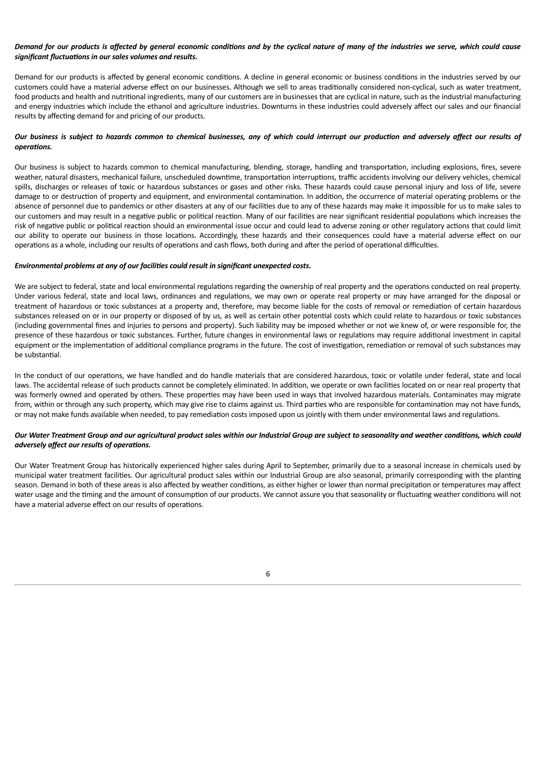## Demand for our products is affected by general economic conditions and by the cyclical nature of many of the industries we serve, which could cause *significant fluctuations in our sales volumes and results.*

Demand for our products is affected by general economic conditions. A decline in general economic or business conditions in the industries served by our customers could have a material adverse effect on our businesses. Although we sell to areas traditionally considered non-cyclical, such as water treatment, food products and health and nutritional ingredients, many of our customers are in businesses that are cyclical in nature, such as the industrial manufacturing and energy industries which include the ethanol and agriculture industries. Downturns in these industries could adversely affect our sales and our financial results by affecting demand for and pricing of our products.

## Our business is subject to hazards common to chemical businesses, any of which could interrupt our production and adversely affect our results of *operations.*

Our business is subject to hazards common to chemical manufacturing, blending, storage, handling and transportation, including explosions, fires, severe weather, natural disasters, mechanical failure, unscheduled downtime, transportation interruptions, traffic accidents involving our delivery vehicles, chemical spills, discharges or releases of toxic or hazardous substances or gases and other risks. These hazards could cause personal injury and loss of life, severe damage to or destruction of property and equipment, and environmental contamination. In addition, the occurrence of material operating problems or the absence of personnel due to pandemics or other disasters at any of our facilities due to any of these hazards may make it impossible for us to make sales to our customers and may result in a negative public or political reaction. Many of our facilities are near significant residential populations which increases the risk of negative public or political reaction should an environmental issue occur and could lead to adverse zoning or other regulatory actions that could limit our ability to operate our business in those locations. Accordingly, these hazards and their consequences could have a material adverse effect on our operations as a whole, including our results of operations and cash flows, both during and after the period of operational difficulties.

## *Environmental problems at any of our facilities could result in significant unexpected costs.*

We are subject to federal, state and local environmental regulations regarding the ownership of real property and the operations conducted on real property. Under various federal, state and local laws, ordinances and regulations, we may own or operate real property or may have arranged for the disposal or treatment of hazardous or toxic substances at a property and, therefore, may become liable for the costs of removal or remediation of certain hazardous substances released on or in our property or disposed of by us, as well as certain other potential costs which could relate to hazardous or toxic substances (including governmental fines and injuries to persons and property). Such liability may be imposed whether or not we knew of, or were responsible for, the presence of these hazardous or toxic substances. Further, future changes in environmental laws or regulations may require additional investment in capital equipment or the implementation of additional compliance programs in the future. The cost of investigation, remediation or removal of such substances may be substantial.

In the conduct of our operations, we have handled and do handle materials that are considered hazardous, toxic or volatile under federal, state and local laws. The accidental release of such products cannot be completely eliminated. In addition, we operate or own facilities located on or near real property that was formerly owned and operated by others. These properties may have been used in ways that involved hazardous materials. Contaminates may migrate from, within or through any such property, which may give rise to claims against us. Third parties who are responsible for contamination may not have funds, or may not make funds available when needed, to pay remediation costs imposed upon us jointly with them under environmental laws and regulations.

## Our Water Treatment Group and our agricultural product sales within our Industrial Group are subject to seasonality and weather conditions, which could *adversely affect our results of operations.*

Our Water Treatment Group has historically experienced higher sales during April to September, primarily due to a seasonal increase in chemicals used by municipal water treatment facilities. Our agricultural product sales within our Industrial Group are also seasonal, primarily corresponding with the planting season. Demand in both of these areas is also affected by weather conditions, as either higher or lower than normal precipitation or temperatures may affect water usage and the timing and the amount of consumption of our products. We cannot assure you that seasonality or fluctuating weather conditions will not have a material adverse effect on our results of operations.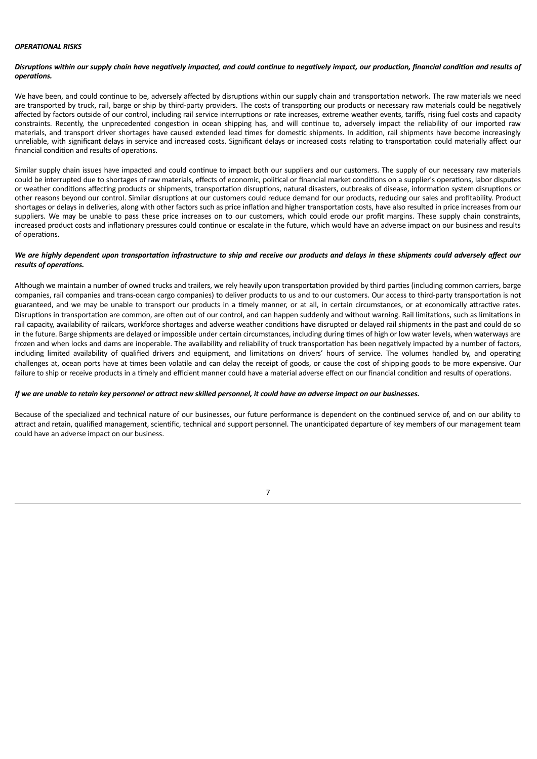#### *OPERATIONAL RISKS*

#### Disruptions within our supply chain have negatively impacted, and could continue to negatively impact, our production, financial condition and results of *operations.*

We have been, and could continue to be, adversely affected by disruptions within our supply chain and transportation network. The raw materials we need are transported by truck, rail, barge or ship by third-party providers. The costs of transporting our products or necessary raw materials could be negatively affected by factors outside of our control, including rail service interruptions or rate increases, extreme weather events, tariffs, rising fuel costs and capacity constraints. Recently, the unprecedented congestion in ocean shipping has, and will continue to, adversely impact the reliability of our imported raw materials, and transport driver shortages have caused extended lead times for domestic shipments. In addition, rail shipments have become increasingly unreliable, with significant delays in service and increased costs. Significant delays or increased costs relating to transportation could materially affect our financial condition and results of operations.

Similar supply chain issues have impacted and could continue to impact both our suppliers and our customers. The supply of our necessary raw materials could be interrupted due to shortages of raw materials, effects of economic, political or financial market conditions on a supplier's operations, labor disputes or weather conditions affecting products or shipments, transportation disruptions, natural disasters, outbreaks of disease, information system disruptions or other reasons beyond our control. Similar disruptions at our customers could reduce demand for our products, reducing our sales and profitability. Product shortages or delays in deliveries, along with other factors such as price inflation and higher transportation costs, have also resulted in price increases from our suppliers. We may be unable to pass these price increases on to our customers, which could erode our profit margins. These supply chain constraints, increased product costs and inflationary pressures could continue or escalate in the future, which would have an adverse impact on our business and results of operations.

## We are highly dependent upon transportation infrastructure to ship and receive our products and delays in these shipments could adversely affect our *results of operations.*

Although we maintain a number of owned trucks and trailers, we rely heavily upon transportation provided by third parties (including common carriers, barge companies, rail companies and trans-ocean cargo companies) to deliver products to us and to our customers. Our access to third-party transportation is not guaranteed, and we may be unable to transport our products in a timely manner, or at all, in certain circumstances, or at economically attractive rates. Disruptions in transportation are common, are often out of our control, and can happen suddenly and without warning. Rail limitations, such as limitations in rail capacity, availability of railcars, workforce shortages and adverse weather conditions have disrupted or delayed rail shipments in the past and could do so in the future. Barge shipments are delayed or impossible under certain circumstances, including during times of high or low water levels, when waterways are frozen and when locks and dams are inoperable. The availability and reliability of truck transportation has been negatively impacted by a number of factors, including limited availability of qualified drivers and equipment, and limitations on drivers' hours of service. The volumes handled by, and operating challenges at, ocean ports have at times been volatile and can delay the receipt of goods, or cause the cost of shipping goods to be more expensive. Our failure to ship or receive products in a timely and efficient manner could have a material adverse effect on our financial condition and results of operations.

#### If we are unable to retain key personnel or attract new skilled personnel, it could have an adverse impact on our businesses.

Because of the specialized and technical nature of our businesses, our future performance is dependent on the continued service of, and on our ability to attract and retain, qualified management, scientific, technical and support personnel. The unanticipated departure of key members of our management team could have an adverse impact on our business.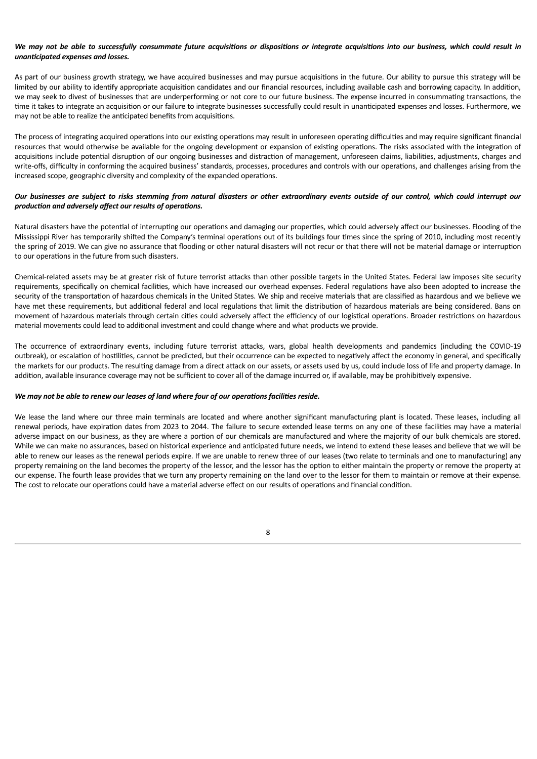## We may not be able to successfully consummate future acauisitions or dispositions or intearate acauisitions into our business, which could result in *unanticipated expenses and losses.*

As part of our business growth strategy, we have acquired businesses and may pursue acquisitions in the future. Our ability to pursue this strategy will be limited by our ability to identify appropriate acquisition candidates and our financial resources, including available cash and borrowing capacity. In addition, we may seek to divest of businesses that are underperforming or not core to our future business. The expense incurred in consummating transactions, the time it takes to integrate an acquisition or our failure to integrate businesses successfully could result in unanticipated expenses and losses. Furthermore, we may not be able to realize the anticipated benefits from acquisitions.

The process of integrating acquired operations into our existing operations may result in unforeseen operating difficulties and may require significant financial resources that would otherwise be available for the ongoing development or expansion of existing operations. The risks associated with the integration of acquisitions include potential disruption of our ongoing businesses and distraction of management, unforeseen claims, liabilities, adjustments, charges and write-offs, difficulty in conforming the acquired business' standards, processes, procedures and controls with our operations, and challenges arising from the increased scope, geographic diversity and complexity of the expanded operations.

## Our businesses are subject to risks stemming from natural disasters or other extraordinary events outside of our control, which could interrupt our *production and adversely affect our results of operations.*

Natural disasters have the potential of interrupting our operations and damaging our properties, which could adversely affect our businesses. Flooding of the Mississippi River has temporarily shifted the Company's terminal operations out of its buildings four times since the spring of 2010, including most recently the spring of 2019. We can give no assurance that flooding or other natural disasters will not recur or that there will not be material damage or interruption to our operations in the future from such disasters.

Chemical-related assets may be at greater risk of future terrorist attacks than other possible targets in the United States. Federal law imposes site security requirements, specifically on chemical facilities, which have increased our overhead expenses. Federal regulations have also been adopted to increase the security of the transportation of hazardous chemicals in the United States. We ship and receive materials that are classified as hazardous and we believe we have met these requirements, but additional federal and local regulations that limit the distribution of hazardous materials are being considered. Bans on movement of hazardous materials through certain cities could adversely affect the efficiency of our logistical operations. Broader restrictions on hazardous material movements could lead to additional investment and could change where and what products we provide.

The occurrence of extraordinary events, including future terrorist attacks, wars, global health developments and pandemics (including the COVID-19 outbreak), or escalation of hostilities, cannot be predicted, but their occurrence can be expected to negatively affect the economy in general, and specifically the markets for our products. The resulting damage from a direct attack on our assets, or assets used by us, could include loss of life and property damage. In addition, available insurance coverage may not be sufficient to cover all of the damage incurred or, if available, may be prohibitively expensive.

#### *We may not be able to renew our leases of land where four of our operations facilities reside.*

We lease the land where our three main terminals are located and where another significant manufacturing plant is located. These leases, including all renewal periods, have expiration dates from 2023 to 2044. The failure to secure extended lease terms on any one of these facilities may have a material adverse impact on our business, as they are where a portion of our chemicals are manufactured and where the majority of our bulk chemicals are stored. While we can make no assurances, based on historical experience and anticipated future needs, we intend to extend these leases and believe that we will be able to renew our leases as the renewal periods expire. If we are unable to renew three of our leases (two relate to terminals and one to manufacturing) any property remaining on the land becomes the property of the lessor, and the lessor has the option to either maintain the property or remove the property at our expense. The fourth lease provides that we turn any property remaining on the land over to the lessor for them to maintain or remove at their expense. The cost to relocate our operations could have a material adverse effect on our results of operations and financial condition.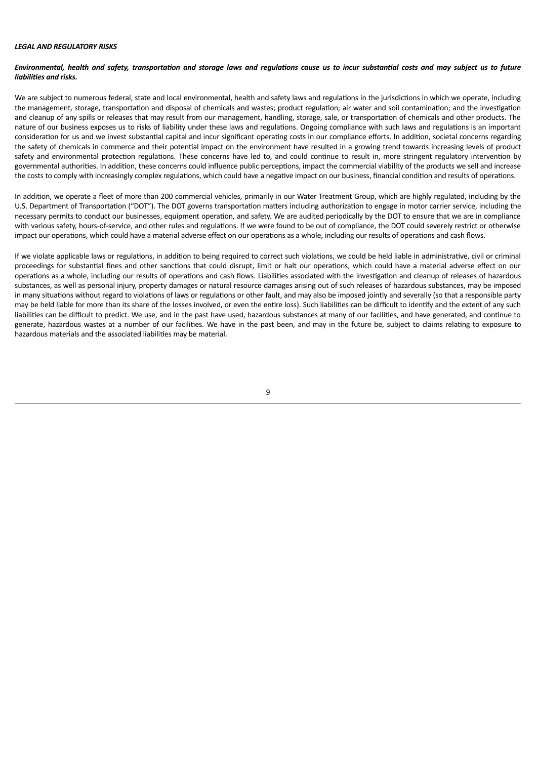#### *LEGAL AND REGULATORY RISKS*

## Environmental, health and safety, transportation and storage laws and regulations cause us to incur substantial costs and may subject us to future *liabilities and risks.*

We are subject to numerous federal, state and local environmental, health and safety laws and regulations in the jurisdictions in which we operate, including the management, storage, transportation and disposal of chemicals and wastes; product regulation; air water and soil contamination; and the investigation and cleanup of any spills or releases that may result from our management, handling, storage, sale, or transportation of chemicals and other products. The nature of our business exposes us to risks of liability under these laws and regulations. Ongoing compliance with such laws and regulations is an important consideration for us and we invest substantial capital and incur significant operating costs in our compliance efforts. In addition, societal concerns regarding the safety of chemicals in commerce and their potential impact on the environment have resulted in a growing trend towards increasing levels of product safety and environmental protection regulations. These concerns have led to, and could continue to result in, more stringent regulatory intervention by governmental authorities. In addition, these concerns could influence public perceptions, impact the commercial viability of the products we sell and increase the costs to comply with increasingly complex regulations, which could have a negative impact on our business, financial condition and results of operations.

In addition, we operate a fleet of more than 200 commercial vehicles, primarily in our Water Treatment Group, which are highly regulated, including by the U.S. Department of Transportation ("DOT"). The DOT governs transportation matters including authorization to engage in motor carrier service, including the necessary permits to conduct our businesses, equipment operation, and safety. We are audited periodically by the DOT to ensure that we are in compliance with various safety, hours-of-service, and other rules and regulations. If we were found to be out of compliance, the DOT could severely restrict or otherwise impact our operations, which could have a material adverse effect on our operations as a whole, including our results of operations and cash flows.

If we violate applicable laws or regulations, in addition to being required to correct such violations, we could be held liable in administrative, civil or criminal proceedings for substantial fines and other sanctions that could disrupt, limit or halt our operations, which could have a material adverse effect on our operations as a whole, including our results of operations and cash flows. Liabilities associated with the investigation and cleanup of releases of hazardous substances, as well as personal injury, property damages or natural resource damages arising out of such releases of hazardous substances, may be imposed in many situations without regard to violations of laws or regulations or other fault, and may also be imposed jointly and severally (so that a responsible party may be held liable for more than its share of the losses involved, or even the entire loss). Such liabilities can be difficult to identify and the extent of any such liabilities can be difficult to predict. We use, and in the past have used, hazardous substances at many of our facilities, and have generated, and continue to generate, hazardous wastes at a number of our facilities. We have in the past been, and may in the future be, subject to claims relating to exposure to hazardous materials and the associated liabilities may be material.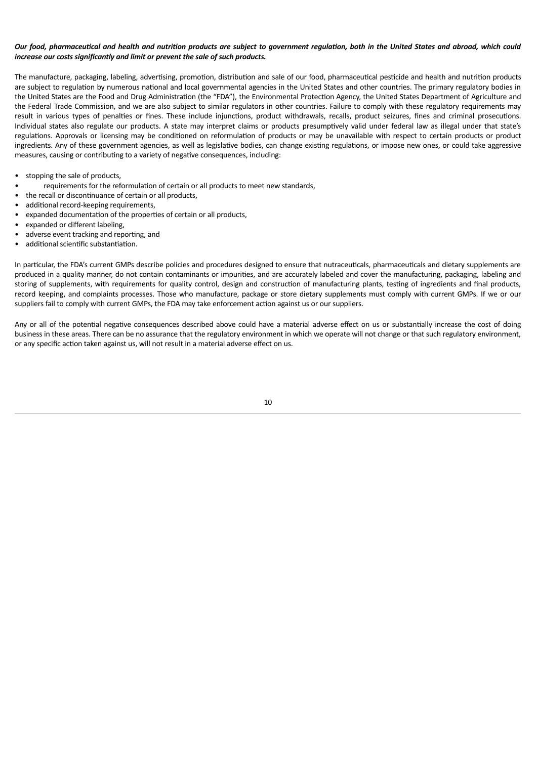## Our food, pharmaceutical and health and nutrition products are subject to government regulation, both in the United States and abroad, which could *increase our costs significantly and limit or prevent the sale of such products.*

The manufacture, packaging, labeling, advertising, promotion, distribution and sale of our food, pharmaceutical pesticide and health and nutrition products are subject to regulation by numerous national and local governmental agencies in the United States and other countries. The primary regulatory bodies in the United States are the Food and Drug Administration (the "FDA"), the Environmental Protection Agency, the United States Department of Agriculture and the Federal Trade Commission, and we are also subject to similar regulators in other countries. Failure to comply with these regulatory requirements may result in various types of penalties or fines. These include injunctions, product withdrawals, recalls, product seizures, fines and criminal prosecutions. Individual states also regulate our products. A state may interpret claims or products presumptively valid under federal law as illegal under that state's regulations. Approvals or licensing may be conditioned on reformulation of products or may be unavailable with respect to certain products or product ingredients. Any of these government agencies, as well as legislative bodies, can change existing regulations, or impose new ones, or could take aggressive measures, causing or contributing to a variety of negative consequences, including:

- stopping the sale of products,
- requirements for the reformulation of certain or all products to meet new standards,
- the recall or discontinuance of certain or all products,
- additional record-keeping requirements.
- expanded documentation of the properties of certain or all products,
- expanded or different labeling,
- adverse event tracking and reporting, and
- additional scientific substantiation.

In particular, the FDA's current GMPs describe policies and procedures designed to ensure that nutraceuticals, pharmaceuticals and dietary supplements are produced in a quality manner, do not contain contaminants or impurities, and are accurately labeled and cover the manufacturing, packaging, labeling and storing of supplements, with requirements for quality control, design and construction of manufacturing plants, testing of ingredients and final products, record keeping, and complaints processes. Those who manufacture, package or store dietary supplements must comply with current GMPs. If we or our suppliers fail to comply with current GMPs, the FDA may take enforcement action against us or our suppliers.

Any or all of the potential negative consequences described above could have a material adverse effect on us or substantially increase the cost of doing business in these areas. There can be no assurance that the regulatory environment in which we operate will not change or that such regulatory environment, or any specific action taken against us, will not result in a material adverse effect on us.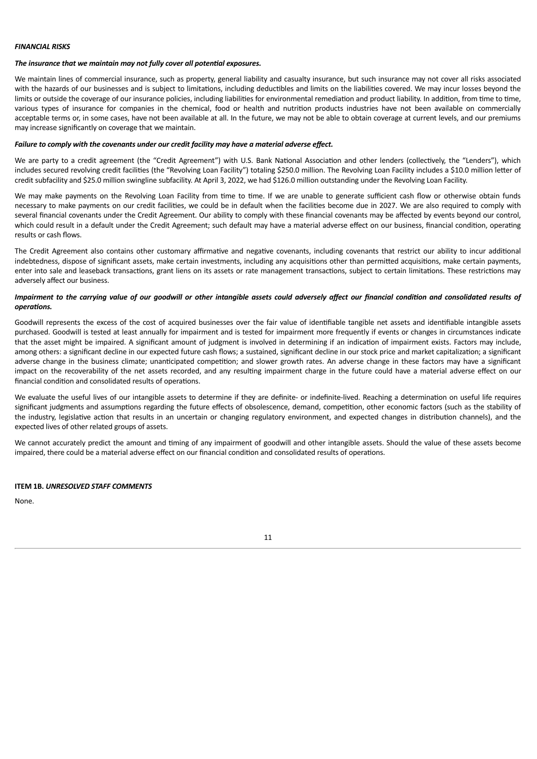## *FINANCIAL RISKS*

#### *The insurance that we maintain may not fully cover all potential exposures.*

We maintain lines of commercial insurance, such as property, general liability and casualty insurance, but such insurance may not cover all risks associated with the hazards of our businesses and is subject to limitations, including deductibles and limits on the liabilities covered. We may incur losses beyond the limits or outside the coverage of our insurance policies, including liabilities for environmental remediation and product liability. In addition, from time to time, various types of insurance for companies in the chemical, food or health and nutrition products industries have not been available on commercially acceptable terms or, in some cases, have not been available at all. In the future, we may not be able to obtain coverage at current levels, and our premiums may increase significantly on coverage that we maintain.

## *Failure to comply with the covenants under our credit facility may have a material adverse effect.*

We are party to a credit agreement (the "Credit Agreement") with U.S. Bank National Association and other lenders (collectively, the "Lenders"), which includes secured revolving credit facilities (the "Revolving Loan Facility") totaling \$250.0 million. The Revolving Loan Facility includes a \$10.0 million letter of credit subfacility and \$25.0 million swingline subfacility. At April 3, 2022, we had \$126.0 million outstanding under the Revolving Loan Facility.

We may make payments on the Revolving Loan Facility from time to time. If we are unable to generate sufficient cash flow or otherwise obtain funds necessary to make payments on our credit facilities, we could be in default when the facilities become due in 2027. We are also required to comply with several financial covenants under the Credit Agreement. Our ability to comply with these financial covenants may be affected by events beyond our control, which could result in a default under the Credit Agreement; such default may have a material adverse effect on our business, financial condition, operating results or cash flows.

The Credit Agreement also contains other customary affirmative and negative covenants, including covenants that restrict our ability to incur additional indebtedness, dispose of significant assets, make certain investments, including any acquisitions other than permitted acquisitions, make certain payments, enter into sale and leaseback transactions, grant liens on its assets or rate management transactions, subject to certain limitations. These restrictions may adversely affect our business.

## Impairment to the carrying value of our goodwill or other intangible assets could adversely affect our financial condition and consolidated results of *operations.*

Goodwill represents the excess of the cost of acquired businesses over the fair value of identifiable tangible net assets and identifiable intangible assets purchased. Goodwill is tested at least annually for impairment and is tested for impairment more frequently if events or changes in circumstances indicate that the asset might be impaired. A significant amount of judgment is involved in determining if an indication of impairment exists. Factors may include, among others: a significant decline in our expected future cash flows; a sustained, significant decline in our stock price and market capitalization; a significant adverse change in the business climate; unanticipated competition; and slower growth rates. An adverse change in these factors may have a significant impact on the recoverability of the net assets recorded, and any resulting impairment charge in the future could have a material adverse effect on our financial condition and consolidated results of operations.

We evaluate the useful lives of our intangible assets to determine if they are definite- or indefinite-lived. Reaching a determination on useful life requires significant judgments and assumptions regarding the future effects of obsolescence, demand, competition, other economic factors (such as the stability of the industry, legislative action that results in an uncertain or changing regulatory environment, and expected changes in distribution channels), and the expected lives of other related groups of assets.

We cannot accurately predict the amount and timing of any impairment of goodwill and other intangible assets. Should the value of these assets become impaired, there could be a material adverse effect on our financial condition and consolidated results of operations.

#### <span id="page-13-0"></span>**ITEM 1B.** *UNRESOLVED STAFF COMMENTS*

<span id="page-13-1"></span>None.

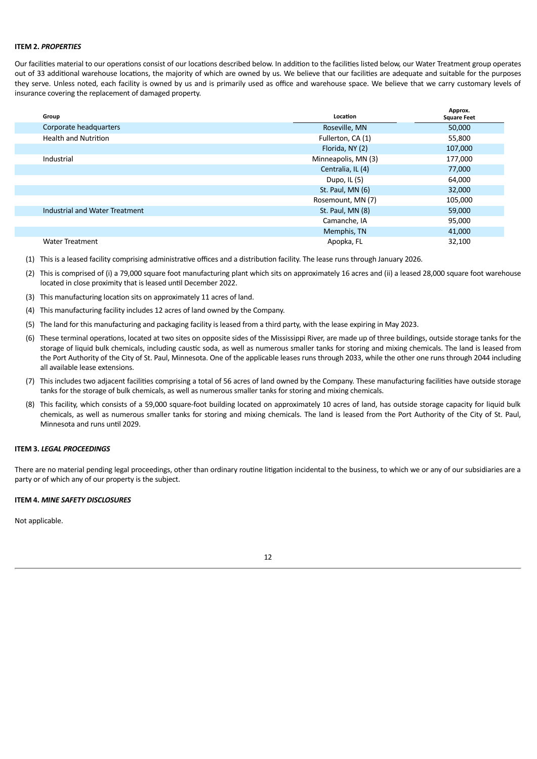## **ITEM 2.** *PROPERTIES*

Our facilities material to our operations consist of our locations described below. In addition to the facilities listed below, our Water Treatment group operates out of 33 additional warehouse locations, the majority of which are owned by us. We believe that our facilities are adequate and suitable for the purposes they serve. Unless noted, each facility is owned by us and is primarily used as office and warehouse space. We believe that we carry customary levels of insurance covering the replacement of damaged property.

| Group                          | Location            | Approx.<br><b>Square Feet</b> |
|--------------------------------|---------------------|-------------------------------|
| Corporate headquarters         | Roseville, MN       | 50,000                        |
| <b>Health and Nutrition</b>    | Fullerton, CA (1)   | 55,800                        |
|                                | Florida, NY (2)     | 107,000                       |
| Industrial                     | Minneapolis, MN (3) | 177,000                       |
|                                | Centralia, IL (4)   | 77,000                        |
|                                | Dupo, $IL(5)$       | 64,000                        |
|                                | St. Paul, MN (6)    | 32,000                        |
|                                | Rosemount, MN (7)   | 105,000                       |
| Industrial and Water Treatment | St. Paul, MN (8)    | 59,000                        |
|                                | Camanche, IA        | 95,000                        |
|                                | Memphis, TN         | 41,000                        |
| <b>Water Treatment</b>         | Apopka, FL          | 32,100                        |
|                                |                     |                               |

(1) This is a leased facility comprising administrative offices and a distribution facility. The lease runs through January 2026.

- (2) This is comprised of (i) a 79,000 square foot manufacturing plant which sits on approximately 16 acres and (ii) a leased 28,000 square foot warehouse located in close proximity that is leased until December 2022.
- (3) This manufacturing location sits on approximately 11 acres of land.
- (4) This manufacturing facility includes 12 acres of land owned by the Company.
- (5) The land for this manufacturing and packaging facility is leased from a third party, with the lease expiring in May 2023.
- (6) These terminal operations, located at two sites on opposite sides of the Mississippi River, are made up of three buildings, outside storage tanks for the storage of liquid bulk chemicals, including caustic soda, as well as numerous smaller tanks for storing and mixing chemicals. The land is leased from the Port Authority of the City of St. Paul, Minnesota. One of the applicable leases runs through 2033, while the other one runs through 2044 including all available lease extensions.
- (7) This includes two adjacent facilities comprising a total of 56 acres of land owned by the Company. These manufacturing facilities have outside storage tanks for the storage of bulk chemicals, as well as numerous smaller tanks for storing and mixing chemicals.
- (8) This facility, which consists of a 59,000 square-foot building located on approximately 10 acres of land, has outside storage capacity for liquid bulk chemicals, as well as numerous smaller tanks for storing and mixing chemicals. The land is leased from the Port Authority of the City of St. Paul, Minnesota and runs until 2029.

## <span id="page-14-0"></span>**ITEM 3.** *LEGAL PROCEEDINGS*

There are no material pending legal proceedings, other than ordinary routine litigation incidental to the business, to which we or any of our subsidiaries are a party or of which any of our property is the subject.

## <span id="page-14-1"></span>**ITEM 4.** *MINE SAFETY DISCLOSURES*

Not applicable.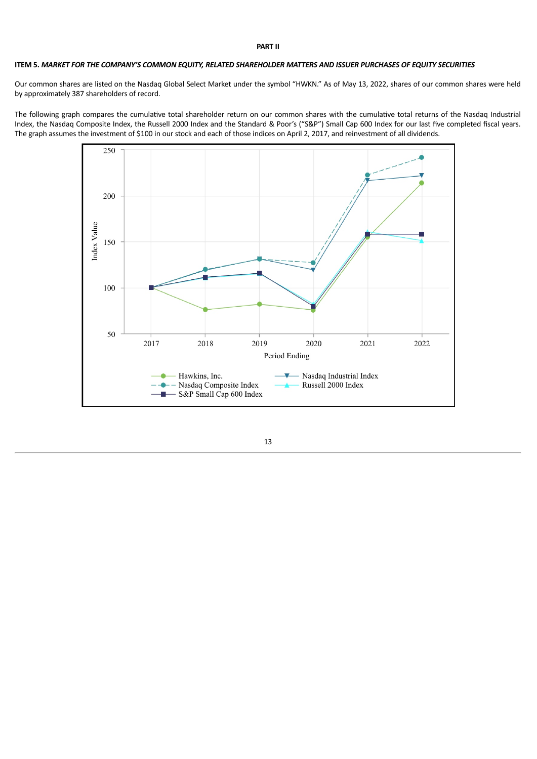## **PART II**

## <span id="page-15-0"></span>ITEM 5. MARKET FOR THE COMPANY'S COMMON EQUITY, RELATED SHAREHOLDER MATTERS AND ISSUER PURCHASES OF EQUITY SECURITIES

Our common shares are listed on the Nasdaq Global Select Market under the symbol "HWKN." As of May 13, 2022, shares of our common shares were held by approximately 387 shareholders of record.

The following graph compares the cumulative total shareholder return on our common shares with the cumulative total returns of the Nasdaq Industrial Index, the Nasdaq Composite Index, the Russell 2000 Index and the Standard & Poor's ("S&P") Small Cap 600 Index for our last five completed fiscal years. The graph assumes the investment of \$100 in our stock and each of those indices on April 2, 2017, and reinvestment of all dividends.

<span id="page-15-1"></span>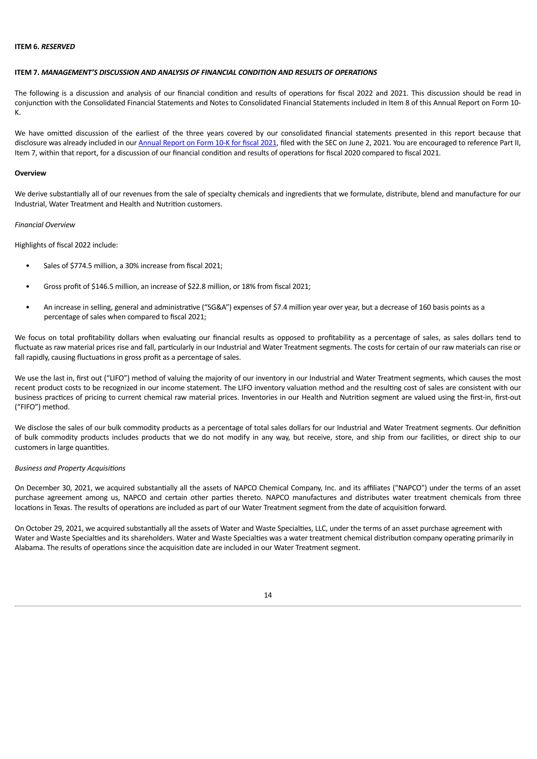## **ITEM 6.** *RESERVED*

#### <span id="page-16-0"></span>**ITEM 7.** *MANAGEMENT'S DISCUSSION AND ANALYSIS OF FINANCIAL CONDITION AND RESULTS OF OPERATIONS*

The following is a discussion and analysis of our financial condition and results of operations for fiscal 2022 and 2021. This discussion should be read in conjunction with the Consolidated Financial Statements and Notes to Consolidated Financial Statements included in Item 8 of this Annual Report on Form 10- K.

We have omitted discussion of the earliest of the three years covered by our consolidated financial statements presented in this report because that disclosure was already included in our [Annual](http://www.sec.gov/ix?doc=/Archives/edgar/data/46250/000004625020000027/hwkn-20200329.htm) Report on Form 10-K for fiscal [2021,](http://www.sec.gov/ix?doc=/Archives/edgar/data/46250/000004625020000027/hwkn-20200329.htm) filed with the SEC on June 2, 2021. You are encouraged to reference Part II, Item 7, within that report, for a discussion of our financial condition and results of operations for fiscal 2020 compared to fiscal 2021.

#### **Overview**

We derive substantially all of our revenues from the sale of specialty chemicals and ingredients that we formulate, distribute, blend and manufacture for our Industrial, Water Treatment and Health and Nutrition customers.

#### *Financial Overview*

Highlights of fiscal 2022 include:

- Sales of \$774.5 million, a 30% increase from fiscal 2021;
- Gross profit of \$146.5 million, an increase of \$22.8 million, or 18% from fiscal 2021;
- An increase in selling, general and administrative ("SG&A") expenses of \$7.4 million year over year, but a decrease of 160 basis points as a percentage of sales when compared to fiscal 2021;

We focus on total profitability dollars when evaluating our financial results as opposed to profitability as a percentage of sales, as sales dollars tend to fluctuate as raw material prices rise and fall, particularly in our Industrial and Water Treatment segments. The costs for certain of our raw materials can rise or fall rapidly, causing fluctuations in gross profit as a percentage of sales.

We use the last in, first out ("LIFO") method of valuing the majority of our inventory in our Industrial and Water Treatment segments, which causes the most recent product costs to be recognized in our income statement. The LIFO inventory valuation method and the resulting cost of sales are consistent with our business practices of pricing to current chemical raw material prices. Inventories in our Health and Nutrition segment are valued using the first-in, first-out ("FIFO") method.

We disclose the sales of our bulk commodity products as a percentage of total sales dollars for our Industrial and Water Treatment segments. Our definition of bulk commodity products includes products that we do not modify in any way, but receive, store, and ship from our facilities, or direct ship to our customers in large quantities.

## *Business and Property Acquisitions*

On December 30, 2021, we acquired substantially all the assets of NAPCO Chemical Company, Inc. and its affiliates ("NAPCO") under the terms of an asset purchase agreement among us, NAPCO and certain other parties thereto. NAPCO manufactures and distributes water treatment chemicals from three locations in Texas. The results of operations are included as part of our Water Treatment segment from the date of acquisition forward.

On October 29, 2021, we acquired substantially all the assets of Water and Waste Specialties, LLC, under the terms of an asset purchase agreement with Water and Waste Specialties and its shareholders. Water and Waste Specialties was a water treatment chemical distribution company operating primarily in Alabama. The results of operations since the acquisition date are included in our Water Treatment segment.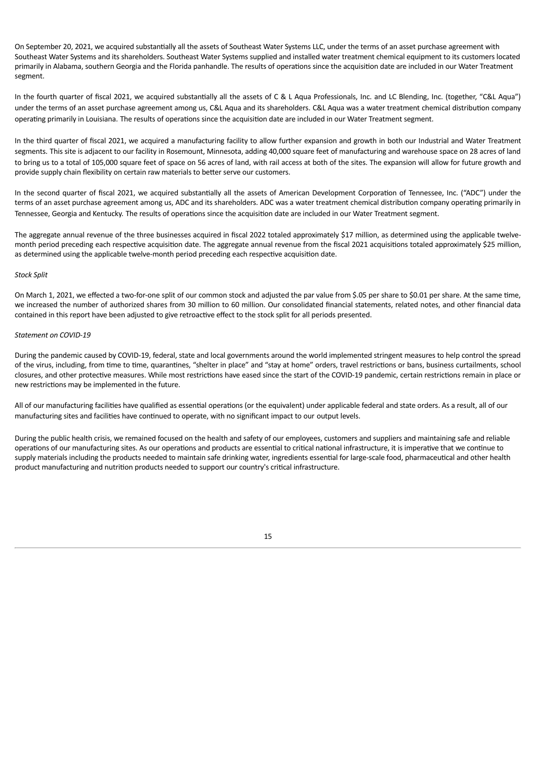On September 20, 2021, we acquired substantially all the assets of Southeast Water Systems LLC, under the terms of an asset purchase agreement with Southeast Water Systems and its shareholders. Southeast Water Systems supplied and installed water treatment chemical equipment to its customers located primarily in Alabama, southern Georgia and the Florida panhandle. The results of operations since the acquisition date are included in our Water Treatment segment.

In the fourth quarter of fiscal 2021, we acquired substantially all the assets of C & L Aqua Professionals, Inc. and LC Blending, Inc. (together, "C&L Aqua") under the terms of an asset purchase agreement among us, C&L Aqua and its shareholders. C&L Aqua was a water treatment chemical distribution company operating primarily in Louisiana. The results of operations since the acquisition date are included in our Water Treatment segment.

In the third quarter of fiscal 2021, we acquired a manufacturing facility to allow further expansion and growth in both our Industrial and Water Treatment segments. This site is adjacent to our facility in Rosemount, Minnesota, adding 40,000 square feet of manufacturing and warehouse space on 28 acres of land to bring us to a total of 105,000 square feet of space on 56 acres of land, with rail access at both of the sites. The expansion will allow for future growth and provide supply chain flexibility on certain raw materials to better serve our customers.

In the second quarter of fiscal 2021, we acquired substantially all the assets of American Development Corporation of Tennessee, Inc. ("ADC") under the terms of an asset purchase agreement among us, ADC and its shareholders. ADC was a water treatment chemical distribution company operating primarily in Tennessee, Georgia and Kentucky. The results of operations since the acquisition date are included in our Water Treatment segment.

The aggregate annual revenue of the three businesses acquired in fiscal 2022 totaled approximately \$17 million, as determined using the applicable twelvemonth period preceding each respective acquisition date. The aggregate annual revenue from the fiscal 2021 acquisitions totaled approximately \$25 million, as determined using the applicable twelve-month period preceding each respective acquisition date.

#### *Stock Split*

On March 1, 2021, we effected a two-for-one split of our common stock and adjusted the par value from \$.05 per share to \$0.01 per share. At the same time, we increased the number of authorized shares from 30 million to 60 million. Our consolidated financial statements, related notes, and other financial data contained in this report have been adjusted to give retroactive effect to the stock split for all periods presented.

#### *Statement on COVID-19*

During the pandemic caused by COVID-19, federal, state and local governments around the world implemented stringent measures to help control the spread of the virus, including, from time to time, quarantines, "shelter in place" and "stay at home" orders, travel restrictions or bans, business curtailments, school closures, and other protective measures. While most restrictions have eased since the start of the COVID-19 pandemic, certain restrictions remain in place or new restrictions may be implemented in the future.

All of our manufacturing facilities have qualified as essential operations (or the equivalent) under applicable federal and state orders. As a result, all of our manufacturing sites and facilities have continued to operate, with no significant impact to our output levels.

During the public health crisis, we remained focused on the health and safety of our employees, customers and suppliers and maintaining safe and reliable operations of our manufacturing sites. As our operations and products are essential to critical national infrastructure, it is imperative that we continue to supply materials including the products needed to maintain safe drinking water, ingredients essential for large-scale food, pharmaceutical and other health product manufacturing and nutrition products needed to support our country's critical infrastructure.

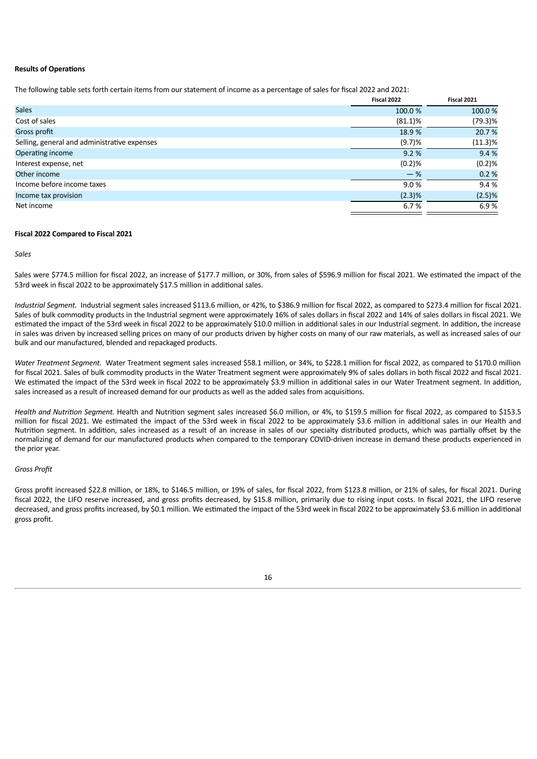## **Results of Operations**

The following table sets forth certain items from our statement of income as a percentage of sales for fiscal 2022 and 2021:

|                                              | Fiscal 2022 | Fiscal 2021 |
|----------------------------------------------|-------------|-------------|
| <b>Sales</b>                                 | 100.0%      | 100.0%      |
| Cost of sales                                | $(81.1)\%$  | $(79.3)$ %  |
| Gross profit                                 | 18.9%       | 20.7%       |
| Selling, general and administrative expenses | (9.7)%      | (11.3)%     |
| Operating income                             | 9.2%        | 9.4 %       |
| Interest expense, net                        | (0.2)%      | $(0.2)$ %   |
| Other income                                 | $-$ %       | 0.2%        |
| Income before income taxes                   | 9.0%        | 9.4 %       |
| Income tax provision                         | $(2.3)\%$   | (2.5)%      |
| Net income                                   | 6.7%        | 6.9%        |
|                                              |             |             |

#### **Fiscal 2022 Compared to Fiscal 2021**

*Sales*

Sales were \$774.5 million for fiscal 2022, an increase of \$177.7 million, or 30%, from sales of \$596.9 million for fiscal 2021. We estimated the impact of the 53rd week in fiscal 2022 to be approximately \$17.5 million in additional sales.

*Industrial Segment.* Industrial segment sales increased \$113.6 million, or 42%, to \$386.9 million for fiscal 2022, as compared to \$273.4 million for fiscal 2021. Sales of bulk commodity products in the Industrial segment were approximately 16% of sales dollars in fiscal 2022 and 14% of sales dollars in fiscal 2021. We estimated the impact of the 53rd week in fiscal 2022 to be approximately \$10.0 million in additional sales in our Industrial segment. In addition, the increase in sales was driven by increased selling prices on many of our products driven by higher costs on many of our raw materials, as well as increased sales of our bulk and our manufactured, blended and repackaged products.

*Water Treatment Segment.* Water Treatment segment sales increased \$58.1 million, or 34%, to \$228.1 million for fiscal 2022, as compared to \$170.0 million for fiscal 2021. Sales of bulk commodity products in the Water Treatment segment were approximately 9% of sales dollars in both fiscal 2022 and fiscal 2021. We estimated the impact of the 53rd week in fiscal 2022 to be approximately \$3.9 million in additional sales in our Water Treatment segment. In addition, sales increased as a result of increased demand for our products as well as the added sales from acquisitions.

*Health and Nutrition Segment.* Health and Nutrition segment sales increased \$6.0 million, or 4%, to \$159.5 million for fiscal 2022, as compared to \$153.5 million for fiscal 2021. We estimated the impact of the 53rd week in fiscal 2022 to be approximately \$3.6 million in additional sales in our Health and Nutrition segment. In addition, sales increased as a result of an increase in sales of our specialty distributed products, which was partially offset by the normalizing of demand for our manufactured products when compared to the temporary COVID-driven increase in demand these products experienced in the prior year.

## *Gross Profit*

Gross profit increased \$22.8 million, or 18%, to \$146.5 million, or 19% of sales, for fiscal 2022, from \$123.8 million, or 21% of sales, for fiscal 2021. During fiscal 2022, the LIFO reserve increased, and gross profits decreased, by \$15.8 million, primarily due to rising input costs. In fiscal 2021, the LIFO reserve decreased, and gross profits increased, by \$0.1 million. We estimated the impact of the 53rd week in fiscal 2022 to be approximately \$3.6 million in additional gross profit.

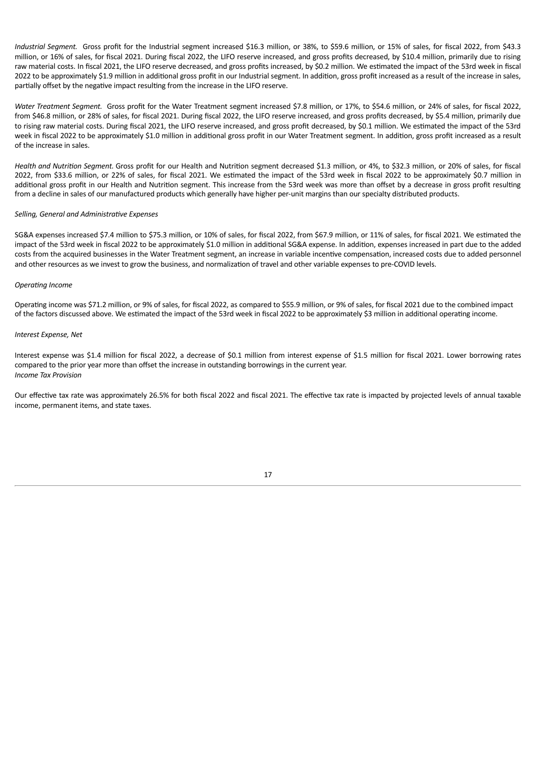*Industrial Segment.* Gross profit for the Industrial segment increased \$16.3 million, or 38%, to \$59.6 million, or 15% of sales, for fiscal 2022, from \$43.3 million, or 16% of sales, for fiscal 2021. During fiscal 2022, the LIFO reserve increased, and gross profits decreased, by \$10.4 million, primarily due to rising raw material costs. In fiscal 2021, the LIFO reserve decreased, and gross profits increased, by \$0.2 million. We estimated the impact of the 53rd week in fiscal 2022 to be approximately \$1.9 million in additional gross profit in our Industrial segment. In addition, gross profit increased as a result of the increase in sales, partially offset by the negative impact resulting from the increase in the LIFO reserve.

*Water Treatment Segment.* Gross profit for the Water Treatment segment increased \$7.8 million, or 17%, to \$54.6 million, or 24% of sales, for fiscal 2022, from \$46.8 million, or 28% of sales, for fiscal 2021. During fiscal 2022, the LIFO reserve increased, and gross profits decreased, by \$5.4 million, primarily due to rising raw material costs. During fiscal 2021, the LIFO reserve increased, and gross profit decreased, by \$0.1 million. We estimated the impact of the 53rd week in fiscal 2022 to be approximately \$1.0 million in additional gross profit in our Water Treatment segment. In addition, gross profit increased as a result of the increase in sales.

*Health and Nutrition Segment.* Gross profit for our Health and Nutrition segment decreased \$1.3 million, or 4%, to \$32.3 million, or 20% of sales, for fiscal 2022, from \$33.6 million, or 22% of sales, for fiscal 2021. We estimated the impact of the 53rd week in fiscal 2022 to be approximately \$0.7 million in additional gross profit in our Health and Nutrition segment. This increase from the 53rd week was more than offset by a decrease in gross profit resulting from a decline in sales of our manufactured products which generally have higher per-unit margins than our specialty distributed products.

#### *Selling, General and Administrative Expenses*

SG&A expenses increased \$7.4 million to \$75.3 million, or 10% of sales, for fiscal 2022, from \$67.9 million, or 11% of sales, for fiscal 2021. We estimated the impact of the 53rd week in fiscal 2022 to be approximately \$1.0 million in additional SG&A expense. In addition, expenses increased in part due to the added costs from the acquired businesses in the Water Treatment segment, an increase in variable incentive compensation, increased costs due to added personnel and other resources as we invest to grow the business, and normalization of travel and other variable expenses to pre-COVID levels.

#### *Operating Income*

Operating income was \$71.2 million, or 9% of sales, for fiscal 2022, as compared to \$55.9 million, or 9% of sales, for fiscal 2021 due to the combined impact of the factors discussed above. We estimated the impact of the 53rd week in fiscal 2022 to be approximately \$3 million in additional operating income.

#### *Interest Expense, Net*

Interest expense was \$1.4 million for fiscal 2022, a decrease of \$0.1 million from interest expense of \$1.5 million for fiscal 2021. Lower borrowing rates compared to the prior year more than offset the increase in outstanding borrowings in the current year. *Income Tax Provision*

Our effective tax rate was approximately 26.5% for both fiscal 2022 and fiscal 2021. The effective tax rate is impacted by projected levels of annual taxable income, permanent items, and state taxes.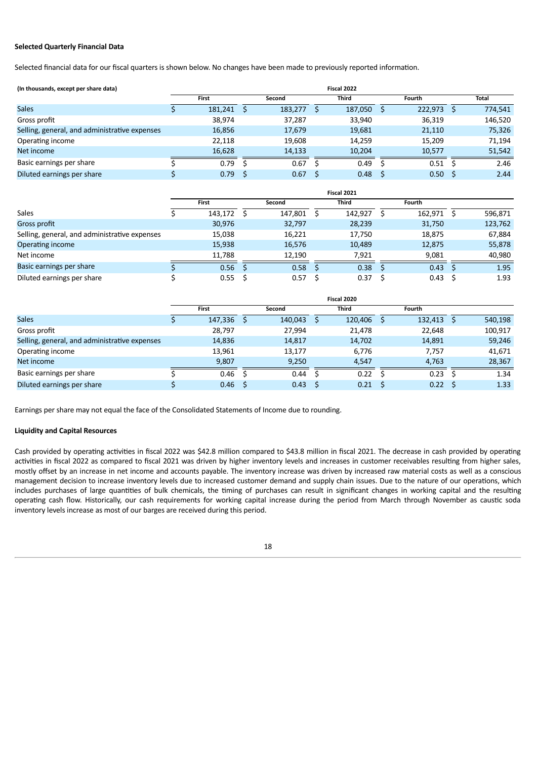## **Selected Quarterly Financial Data**

Selected financial data for our fiscal quarters is shown below. No changes have been made to previously reported information.

| (In thousands, except per share data)         | Fiscal 2022 |              |  |         |  |              |  |         |  |         |  |  |
|-----------------------------------------------|-------------|--------------|--|---------|--|--------------|--|---------|--|---------|--|--|
|                                               |             | <b>First</b> |  | Second  |  | <b>Third</b> |  | Fourth  |  | Total   |  |  |
| <b>Sales</b>                                  |             | 181,241      |  | 183,277 |  | 187,050      |  | 222,973 |  | 774,541 |  |  |
| Gross profit                                  |             | 38,974       |  | 37,287  |  | 33,940       |  | 36,319  |  | 146,520 |  |  |
| Selling, general, and administrative expenses |             | 16,856       |  | 17,679  |  | 19,681       |  | 21,110  |  | 75,326  |  |  |
| Operating income                              |             | 22,118       |  | 19,608  |  | 14,259       |  | 15,209  |  | 71,194  |  |  |
| Net income                                    |             | 16,628       |  | 14,133  |  | 10,204       |  | 10,577  |  | 51,542  |  |  |
| Basic earnings per share                      |             | 0.79         |  | 0.67    |  | 0.49         |  | 0.51    |  | 2.46    |  |  |
| Diluted earnings per share                    |             | 0.79         |  | 0.67    |  | 0.48         |  | 0.50    |  | 2.44    |  |  |

|                                               | Fiscal 2021 |              |  |         |  |              |        |                 |  |         |  |  |  |
|-----------------------------------------------|-------------|--------------|--|---------|--|--------------|--------|-----------------|--|---------|--|--|--|
|                                               |             | <b>First</b> |  | Second  |  | <b>Third</b> | Fourth |                 |  |         |  |  |  |
| <b>Sales</b>                                  |             | 143,172      |  | 147,801 |  | 142,927      |        | $162,971$ \$    |  | 596,871 |  |  |  |
| Gross profit                                  |             | 30,976       |  | 32,797  |  | 28,239       |        | 31,750          |  | 123,762 |  |  |  |
| Selling, general, and administrative expenses |             | 15,038       |  | 16,221  |  | 17,750       |        | 18,875          |  | 67,884  |  |  |  |
| Operating income                              |             | 15,938       |  | 16,576  |  | 10,489       |        | 12,875          |  | 55,878  |  |  |  |
| Net income                                    |             | 11,788       |  | 12,190  |  | 7,921        |        | 9,081           |  | 40,980  |  |  |  |
| Basic earnings per share                      |             | 0.56         |  | 0.58    |  | 0.38         |        | 0.43            |  | 1.95    |  |  |  |
| Diluted earnings per share                    |             | 0.55         |  | 0.57    |  | 0.37         |        | $0.43 \quad$ \$ |  | 1.93    |  |  |  |

|                                               |  | <b>First</b> | Second  | <b>Third</b> | Fourth |              |  |         |
|-----------------------------------------------|--|--------------|---------|--------------|--------|--------------|--|---------|
| <b>Sales</b>                                  |  | 147,336      | 140,043 | 120,406      |        | 132,413      |  | 540,198 |
| Gross profit                                  |  | 28,797       | 27,994  | 21,478       |        | 22,648       |  | 100,917 |
| Selling, general, and administrative expenses |  | 14,836       | 14,817  | 14,702       |        | 14,891       |  | 59,246  |
| Operating income                              |  | 13,961       | 13,177  | 6,776        |        | 7,757        |  | 41,671  |
| Net income                                    |  | 9,807        | 9.250   | 4.547        |        | 4,763        |  | 28,367  |
| Basic earnings per share                      |  | 0.46         | 0.44    | 0.22         |        | 0.23         |  | 1.34    |
| Diluted earnings per share                    |  | 0.46         | 0.43    | 0.21         |        | $0.22 \quad$ |  | 1.33    |

Earnings per share may not equal the face of the Consolidated Statements of Income due to rounding.

## **Liquidity and Capital Resources**

Cash provided by operating activities in fiscal 2022 was \$42.8 million compared to \$43.8 million in fiscal 2021. The decrease in cash provided by operating activities in fiscal 2022 as compared to fiscal 2021 was driven by higher inventory levels and increases in customer receivables resulting from higher sales, mostly offset by an increase in net income and accounts payable. The inventory increase was driven by increased raw material costs as well as a conscious management decision to increase inventory levels due to increased customer demand and supply chain issues. Due to the nature of our operations, which includes purchases of large quantities of bulk chemicals, the timing of purchases can result in significant changes in working capital and the resulting operating cash flow. Historically, our cash requirements for working capital increase during the period from March through November as caustic soda inventory levels increase as most of our barges are received during this period.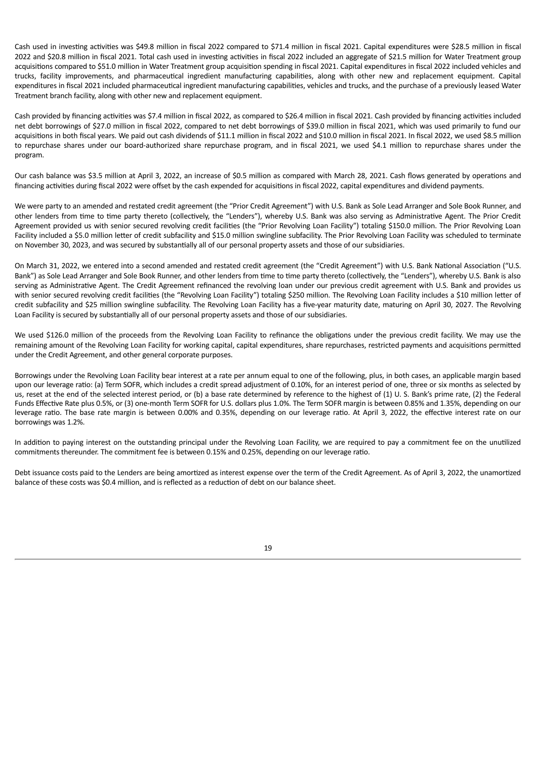Cash used in investing activities was \$49.8 million in fiscal 2022 compared to \$71.4 million in fiscal 2021. Capital expenditures were \$28.5 million in fiscal 2022 and \$20.8 million in fiscal 2021. Total cash used in investing activities in fiscal 2022 included an aggregate of \$21.5 million for Water Treatment group acquisitions compared to \$51.0 million in Water Treatment group acquisition spending in fiscal 2021. Capital expenditures in fiscal 2022 included vehicles and trucks, facility improvements, and pharmaceutical ingredient manufacturing capabilities, along with other new and replacement equipment. Capital expenditures in fiscal 2021 included pharmaceutical ingredient manufacturing capabilities, vehicles and trucks, and the purchase of a previously leased Water Treatment branch facility, along with other new and replacement equipment.

Cash provided by financing activities was \$7.4 million in fiscal 2022, as compared to \$26.4 million in fiscal 2021. Cash provided by financing activities included net debt borrowings of \$27.0 million in fiscal 2022, compared to net debt borrowings of \$39.0 million in fiscal 2021, which was used primarily to fund our acquisitions in both fiscal years. We paid out cash dividends of \$11.1 million in fiscal 2022 and \$10.0 million in fiscal 2021. In fiscal 2022, we used \$8.5 million to repurchase shares under our board-authorized share repurchase program, and in fiscal 2021, we used \$4.1 million to repurchase shares under the program.

Our cash balance was \$3.5 million at April 3, 2022, an increase of \$0.5 million as compared with March 28, 2021. Cash flows generated by operations and financing activities during fiscal 2022 were offset by the cash expended for acquisitions in fiscal 2022, capital expenditures and dividend payments.

We were party to an amended and restated credit agreement (the "Prior Credit Agreement") with U.S. Bank as Sole Lead Arranger and Sole Book Runner, and other lenders from time to time party thereto (collectively, the "Lenders"), whereby U.S. Bank was also serving as Administrative Agent. The Prior Credit Agreement provided us with senior secured revolving credit facilities (the "Prior Revolving Loan Facility") totaling \$150.0 million. The Prior Revolving Loan Facility included a \$5.0 million letter of credit subfacility and \$15.0 million swingline subfacility. The Prior Revolving Loan Facility was scheduled to terminate on November 30, 2023, and was secured by substantially all of our personal property assets and those of our subsidiaries.

On March 31, 2022, we entered into a second amended and restated credit agreement (the "Credit Agreement") with U.S. Bank National Association ("U.S. Bank") as Sole Lead Arranger and Sole Book Runner, and other lenders from time to time party thereto (collectively, the "Lenders"), whereby U.S. Bank is also serving as Administrative Agent. The Credit Agreement refinanced the revolving loan under our previous credit agreement with U.S. Bank and provides us with senior secured revolving credit facilities (the "Revolving Loan Facility") totaling \$250 million. The Revolving Loan Facility includes a \$10 million letter of credit subfacility and \$25 million swingline subfacility. The Revolving Loan Facility has a five-year maturity date, maturing on April 30, 2027. The Revolving Loan Facility is secured by substantially all of our personal property assets and those of our subsidiaries.

We used \$126.0 million of the proceeds from the Revolving Loan Facility to refinance the obligations under the previous credit facility. We may use the remaining amount of the Revolving Loan Facility for working capital, capital expenditures, share repurchases, restricted payments and acquisitions permitted under the Credit Agreement, and other general corporate purposes.

Borrowings under the Revolving Loan Facility bear interest at a rate per annum equal to one of the following, plus, in both cases, an applicable margin based upon our leverage ratio: (a) Term SOFR, which includes a credit spread adjustment of 0.10%, for an interest period of one, three or six months as selected by us, reset at the end of the selected interest period, or (b) a base rate determined by reference to the highest of (1) U. S. Bank's prime rate, (2) the Federal Funds Effective Rate plus 0.5%, or (3) one-month Term SOFR for U.S. dollars plus 1.0%. The Term SOFR margin is between 0.85% and 1.35%, depending on our leverage ratio. The base rate margin is between 0.00% and 0.35%, depending on our leverage ratio. At April 3, 2022, the effective interest rate on our borrowings was 1.2%.

In addition to paying interest on the outstanding principal under the Revolving Loan Facility, we are required to pay a commitment fee on the unutilized commitments thereunder. The commitment fee is between 0.15% and 0.25%, depending on our leverage ratio.

Debt issuance costs paid to the Lenders are being amortized as interest expense over the term of the Credit Agreement. As of April 3, 2022, the unamortized balance of these costs was \$0.4 million, and is reflected as a reduction of debt on our balance sheet.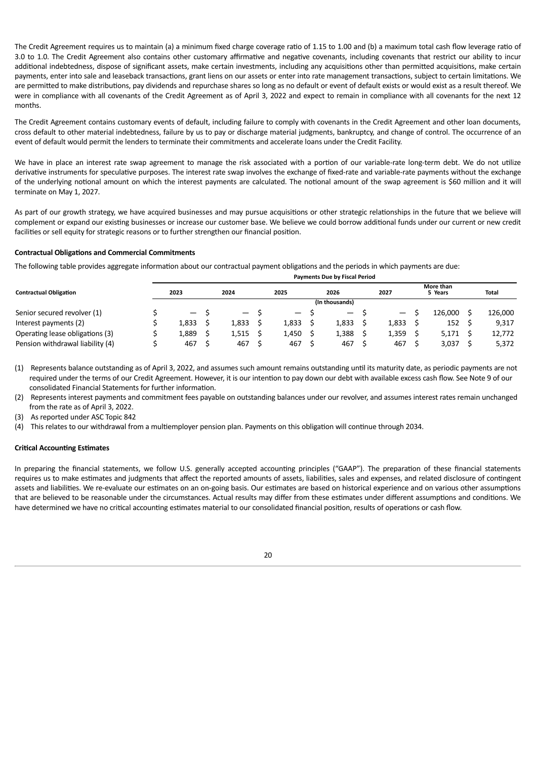The Credit Agreement requires us to maintain (a) a minimum fixed charge coverage ratio of 1.15 to 1.00 and (b) a maximum total cash flow leverage ratio of 3.0 to 1.0. The Credit Agreement also contains other customary affirmative and negative covenants, including covenants that restrict our ability to incur additional indebtedness, dispose of significant assets, make certain investments, including any acquisitions other than permitted acquisitions, make certain payments, enter into sale and leaseback transactions, grant liens on our assets or enter into rate management transactions, subject to certain limitations. We are permitted to make distributions, pay dividends and repurchase shares so long as no default or event of default exists or would exist as a result thereof. We were in compliance with all covenants of the Credit Agreement as of April 3, 2022 and expect to remain in compliance with all covenants for the next 12 months.

The Credit Agreement contains customary events of default, including failure to comply with covenants in the Credit Agreement and other loan documents, cross default to other material indebtedness, failure by us to pay or discharge material judgments, bankruptcy, and change of control. The occurrence of an event of default would permit the lenders to terminate their commitments and accelerate loans under the Credit Facility.

We have in place an interest rate swap agreement to manage the risk associated with a portion of our variable-rate long-term debt. We do not utilize derivative instruments for speculative purposes. The interest rate swap involves the exchange of fixed-rate and variable-rate payments without the exchange of the underlying notional amount on which the interest payments are calculated. The notional amount of the swap agreement is \$60 million and it will terminate on May 1, 2027.

As part of our growth strategy, we have acquired businesses and may pursue acquisitions or other strategic relationships in the future that we believe will complement or expand our existing businesses or increase our customer base. We believe we could borrow additional funds under our current or new credit facilities or sell equity for strategic reasons or to further strengthen our financial position.

**Payments Due by Fiscal Period**

## **Contractual Obligations and Commercial Commitments**

The following table provides aggregate information about our contractual payment obligations and the periods in which payments are due:

| <b>Contractual Obligation</b>    |  |                                         |      |                          |      |                   |      |                          |  |                          |  |         |         |
|----------------------------------|--|-----------------------------------------|------|--------------------------|------|-------------------|------|--------------------------|--|--------------------------|--|---------|---------|
|                                  |  | 2023                                    | 2024 |                          | 2025 |                   | 2026 |                          |  | More than<br>5 Years     |  | Total   |         |
|                                  |  |                                         |      |                          |      |                   |      | (In thousands)           |  |                          |  |         |         |
| Senior secured revolver (1)      |  | $\qquad \qquad \  \  \, -\qquad \qquad$ |      | $\overline{\phantom{m}}$ |      | $\qquad \qquad -$ |      | $\overline{\phantom{0}}$ |  | $\overline{\phantom{m}}$ |  | 126.000 | 126,000 |
| Interest payments (2)            |  | 1,833                                   |      | 1.833                    |      | 1,833             |      | 1,833                    |  | 1,833                    |  | 152     | 9,317   |
| Operating lease obligations (3)  |  | 1,889                                   |      | 1.515                    |      | 1,450             |      | 1,388                    |  | 1,359                    |  | 5,171   | 12,772  |
| Pension withdrawal liability (4) |  | 467                                     |      | 467                      |      | 467               |      | 467                      |  | 467                      |  | 3,037   | 5,372   |

(1) Represents balance outstanding as of April 3, 2022, and assumes such amount remains outstanding until its maturity date, as periodic payments are not required under the terms of our Credit Agreement. However, it is our intention to pay down our debt with available excess cash flow. See Note 9 of our consolidated Financial Statements for further information.

(2) Represents interest payments and commitment fees payable on outstanding balances under our revolver, and assumes interest rates remain unchanged from the rate as of April 3, 2022.

(3) As reported under ASC Topic 842

(4) This relates to our withdrawal from a multiemployer pension plan. Payments on this obligation will continue through 2034.

## **Critical Accounting Estimates**

In preparing the financial statements, we follow U.S. generally accepted accounting principles ("GAAP"). The preparation of these financial statements requires us to make estimates and judgments that affect the reported amounts of assets, liabilities, sales and expenses, and related disclosure of contingent assets and liabilities. We re-evaluate our estimates on an on-going basis. Our estimates are based on historical experience and on various other assumptions that are believed to be reasonable under the circumstances. Actual results may differ from these estimates under different assumptions and conditions. We have determined we have no critical accounting estimates material to our consolidated financial position, results of operations or cash flow.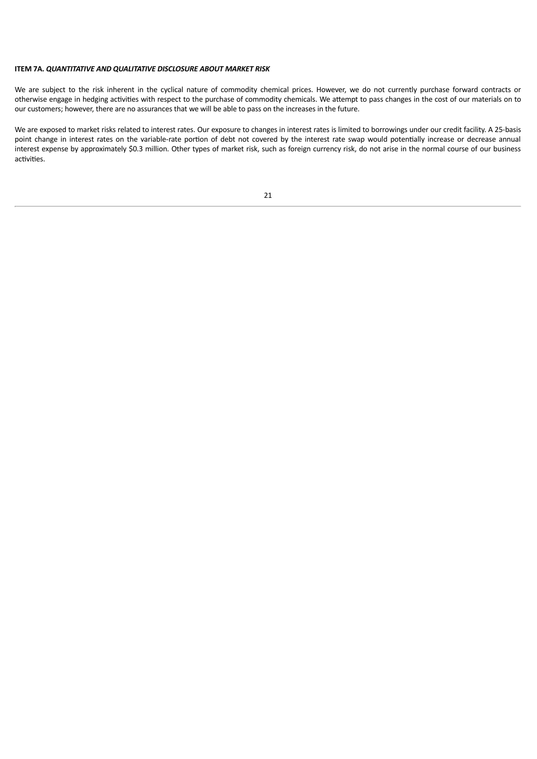## <span id="page-23-0"></span>**ITEM 7A.** *QUANTITATIVE AND QUALITATIVE DISCLOSURE ABOUT MARKET RISK*

We are subject to the risk inherent in the cyclical nature of commodity chemical prices. However, we do not currently purchase forward contracts or otherwise engage in hedging activities with respect to the purchase of commodity chemicals. We attempt to pass changes in the cost of our materials on to our customers; however, there are no assurances that we will be able to pass on the increases in the future.

<span id="page-23-1"></span>We are exposed to market risks related to interest rates. Our exposure to changes in interest rates is limited to borrowings under our credit facility. A 25-basis point change in interest rates on the variable-rate portion of debt not covered by the interest rate swap would potentially increase or decrease annual interest expense by approximately \$0.3 million. Other types of market risk, such as foreign currency risk, do not arise in the normal course of our business activities.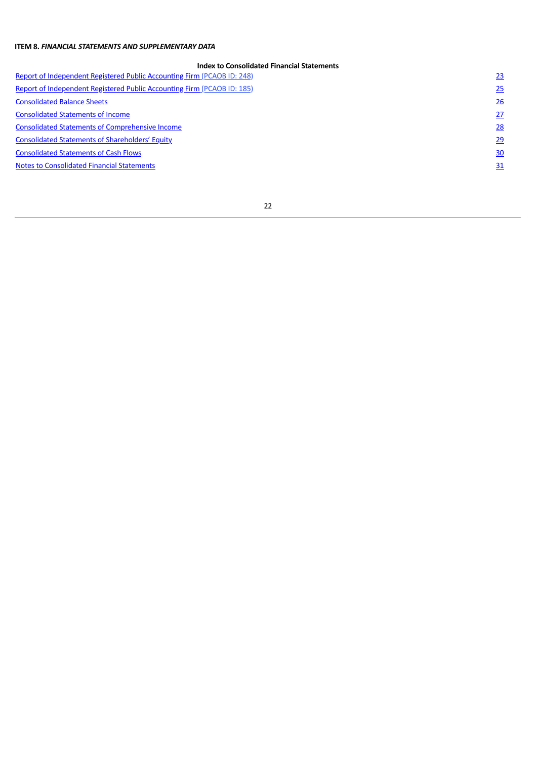## **ITEM 8.** *FINANCIAL STATEMENTS AND SUPPLEMENTARY DATA*

# **Index to Consolidated Financial Statements**

<span id="page-24-0"></span>

| Report of Independent Registered Public Accounting Firm (PCAOB ID: 248)        | <u>23</u> |
|--------------------------------------------------------------------------------|-----------|
| <b>Report of Independent Registered Public Accounting Firm (PCAOB ID: 185)</b> | 25        |
| <b>Consolidated Balance Sheets</b>                                             | <u>26</u> |
| <b>Consolidated Statements of Income</b>                                       | <u>27</u> |
| <b>Consolidated Statements of Comprehensive Income</b>                         | 28        |
| <b>Consolidated Statements of Shareholders' Equity</b>                         | 29        |
| <b>Consolidated Statements of Cash Flows</b>                                   | 30        |
| <b>Notes to Consolidated Financial Statements</b>                              | 31        |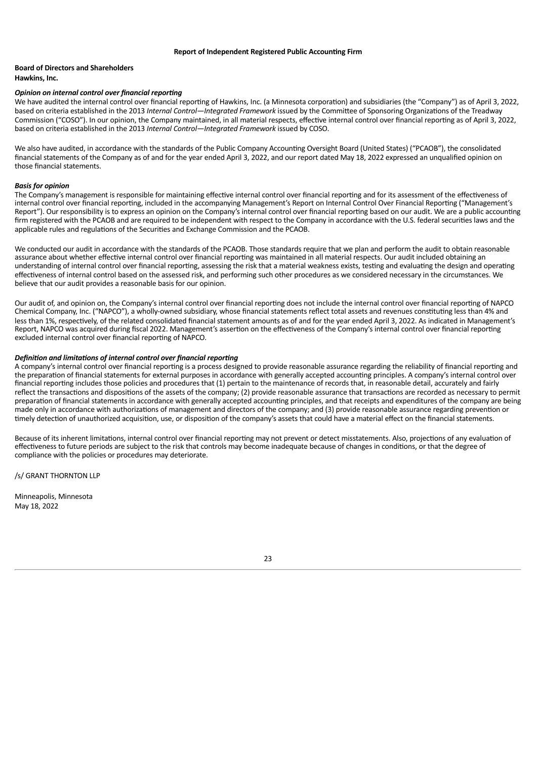#### **Report of Independent Registered Public Accounting Firm**

#### **Board of Directors and Shareholders Hawkins, Inc.**

## *Opinion on internal control over financial reporting*

We have audited the internal control over financial reporting of Hawkins, Inc. (a Minnesota corporation) and subsidiaries (the "Company") as of April 3, 2022, based on criteria established in the 2013 *Internal Control—Integrated Framework* issued by the Committee of Sponsoring Organizations of the Treadway Commission ("COSO"). In our opinion, the Company maintained, in all material respects, effective internal control over financial reporting as of April 3, 2022, based on criteria established in the 2013 *Internal Control—Integrated Framework* issued by COSO.

We also have audited, in accordance with the standards of the Public Company Accounting Oversight Board (United States) ("PCAOB"), the consolidated financial statements of the Company as of and for the year ended April 3, 2022, and our report dated May 18, 2022 expressed an unqualified opinion on those financial statements.

#### *Basis for opinion*

The Company's management is responsible for maintaining effective internal control over financial reporting and for its assessment of the effectiveness of internal control over financial reporting, included in the accompanying Management's Report on Internal Control Over Financial Reporting ("Management's Report"). Our responsibility is to express an opinion on the Company's internal control over financial reporting based on our audit. We are a public accounting firm registered with the PCAOB and are required to be independent with respect to the Company in accordance with the U.S. federal securities laws and the applicable rules and regulations of the Securities and Exchange Commission and the PCAOB.

We conducted our audit in accordance with the standards of the PCAOB. Those standards require that we plan and perform the audit to obtain reasonable assurance about whether effective internal control over financial reporting was maintained in all material respects. Our audit included obtaining an understanding of internal control over financial reporting, assessing the risk that a material weakness exists, testing and evaluating the design and operating effectiveness of internal control based on the assessed risk, and performing such other procedures as we considered necessary in the circumstances. We believe that our audit provides a reasonable basis for our opinion.

Our audit of, and opinion on, the Company's internal control over financial reporting does not include the internal control over financial reporting of NAPCO Chemical Company, Inc. ("NAPCO"), a wholly-owned subsidiary, whose financial statements reflect total assets and revenues constituting less than 4% and less than 1%, respectively, of the related consolidated financial statement amounts as of and for the year ended April 3, 2022. As indicated in Management's Report, NAPCO was acquired during fiscal 2022. Management's assertion on the effectiveness of the Company's internal control over financial reporting excluded internal control over financial reporting of NAPCO.

#### *Definition and limitations of internal control over financial reporting*

A company's internal control over financial reporting is a process designed to provide reasonable assurance regarding the reliability of financial reporting and the preparation of financial statements for external purposes in accordance with generally accepted accounting principles. A company's internal control over financial reporting includes those policies and procedures that (1) pertain to the maintenance of records that, in reasonable detail, accurately and fairly reflect the transactions and dispositions of the assets of the company; (2) provide reasonable assurance that transactions are recorded as necessary to permit preparation of financial statements in accordance with generally accepted accounting principles, and that receipts and expenditures of the company are being made only in accordance with authorizations of management and directors of the company; and (3) provide reasonable assurance regarding prevention or timely detection of unauthorized acquisition, use, or disposition of the company's assets that could have a material effect on the financial statements.

Because of its inherent limitations, internal control over financial reporting may not prevent or detect misstatements. Also, projections of any evaluation of effectiveness to future periods are subject to the risk that controls may become inadequate because of changes in conditions, or that the degree of compliance with the policies or procedures may deteriorate.

/s/ GRANT THORNTON LLP

Minneapolis, Minnesota May 18, 2022

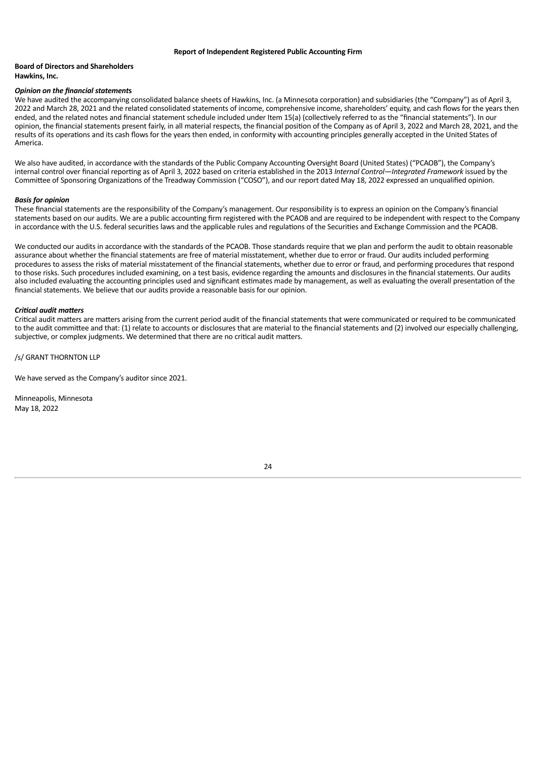#### **Report of Independent Registered Public Accounting Firm**

## **Board of Directors and Shareholders Hawkins, Inc.**

## *Opinion on the financial statement***s**

We have audited the accompanying consolidated balance sheets of Hawkins, Inc. (a Minnesota corporation) and subsidiaries (the "Company") as of April 3, 2022 and March 28, 2021 and the related consolidated statements of income, comprehensive income, shareholders' equity, and cash flows for the years then ended, and the related notes and financial statement schedule included under Item 15(a) (collectively referred to as the "financial statements"). In our opinion, the financial statements present fairly, in all material respects, the financial position of the Company as of April 3, 2022 and March 28, 2021, and the results of its operations and its cash flows for the years then ended, in conformity with accounting principles generally accepted in the United States of America.

We also have audited, in accordance with the standards of the Public Company Accounting Oversight Board (United States) ("PCAOB"), the Company's internal control over financial reporting as of April 3, 2022 based on criteria established in the 2013 *Internal Control—Integrated Framework* issued by the Committee of Sponsoring Organizations of the Treadway Commission ("COSO"), and our report dated May 18, 2022 expressed an unqualified opinion.

#### *Basis for opinion*

These financial statements are the responsibility of the Company's management. Our responsibility is to express an opinion on the Company's financial statements based on our audits. We are a public accounting firm registered with the PCAOB and are required to be independent with respect to the Company in accordance with the U.S. federal securities laws and the applicable rules and regulations of the Securities and Exchange Commission and the PCAOB.

We conducted our audits in accordance with the standards of the PCAOB. Those standards require that we plan and perform the audit to obtain reasonable assurance about whether the financial statements are free of material misstatement, whether due to error or fraud. Our audits included performing procedures to assess the risks of material misstatement of the financial statements, whether due to error or fraud, and performing procedures that respond to those risks. Such procedures included examining, on a test basis, evidence regarding the amounts and disclosures in the financial statements. Our audits also included evaluating the accounting principles used and significant estimates made by management, as well as evaluating the overall presentation of the financial statements. We believe that our audits provide a reasonable basis for our opinion.

#### *Critical audit matters*

Critical audit matters are matters arising from the current period audit of the financial statements that were communicated or required to be communicated to the audit committee and that: (1) relate to accounts or disclosures that are material to the financial statements and (2) involved our especially challenging, subjective, or complex judgments. We determined that there are no critical audit matters.

/s/ GRANT THORNTON LLP

We have served as the Company's auditor since 2021.

Minneapolis, Minnesota May 18, 2022

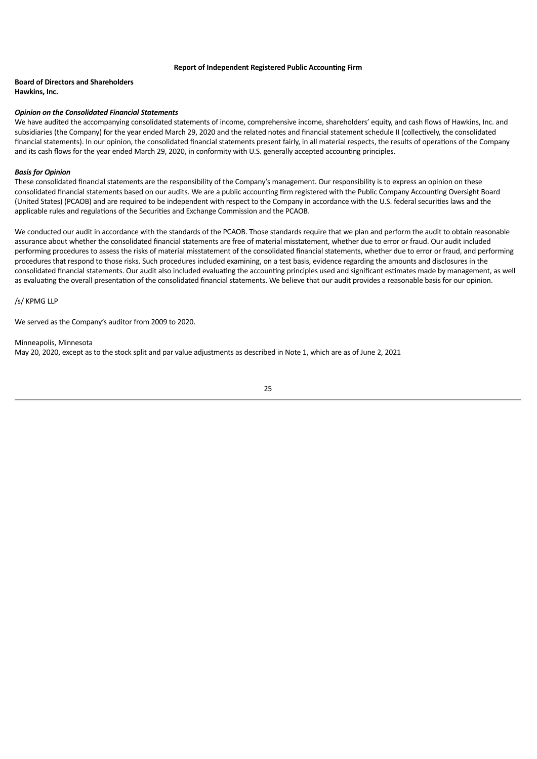#### **Report of Independent Registered Public Accounting Firm**

# <span id="page-27-0"></span>**Board of Directors and Shareholders**

**Hawkins, Inc.**

## *Opinion on the Consolidated Financial Statements*

We have audited the accompanying consolidated statements of income, comprehensive income, shareholders' equity, and cash flows of Hawkins, Inc. and subsidiaries (the Company) for the year ended March 29, 2020 and the related notes and financial statement schedule II (collectively, the consolidated financial statements). In our opinion, the consolidated financial statements present fairly, in all material respects, the results of operations of the Company and its cash flows for the year ended March 29, 2020, in conformity with U.S. generally accepted accounting principles.

## *Basis for Opinion*

These consolidated financial statements are the responsibility of the Company's management. Our responsibility is to express an opinion on these consolidated financial statements based on our audits. We are a public accounting firm registered with the Public Company Accounting Oversight Board (United States) (PCAOB) and are required to be independent with respect to the Company in accordance with the U.S. federal securities laws and the applicable rules and regulations of the Securities and Exchange Commission and the PCAOB.

We conducted our audit in accordance with the standards of the PCAOB. Those standards require that we plan and perform the audit to obtain reasonable assurance about whether the consolidated financial statements are free of material misstatement, whether due to error or fraud. Our audit included performing procedures to assess the risks of material misstatement of the consolidated financial statements, whether due to error or fraud, and performing procedures that respond to those risks. Such procedures included examining, on a test basis, evidence regarding the amounts and disclosures in the consolidated financial statements. Our audit also included evaluating the accounting principles used and significant estimates made by management, as well as evaluating the overall presentation of the consolidated financial statements. We believe that our audit provides a reasonable basis for our opinion.

## /s/ KPMG LLP

We served as the Company's auditor from 2009 to 2020.

Minneapolis, Minnesota

<span id="page-27-1"></span>May 20, 2020, except as to the stock split and par value adjustments as described in Note 1, which are as of June 2, 2021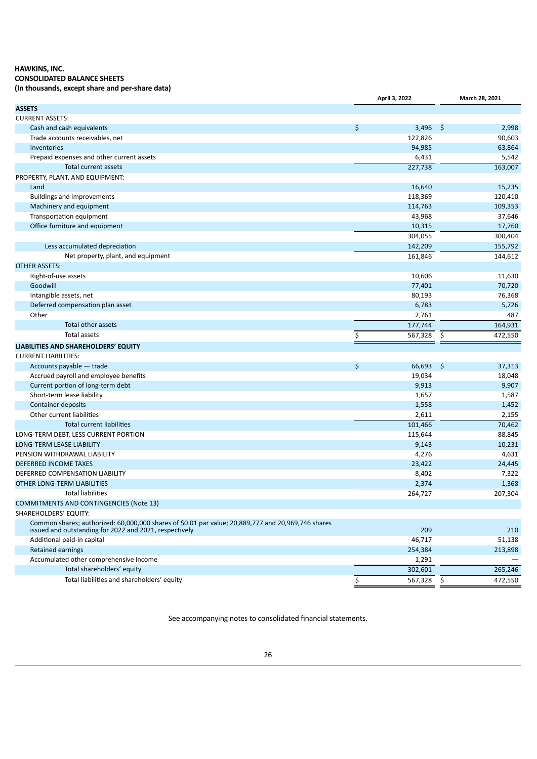#### **CONSOLIDATED BALANCE SHEETS (In thousands, except share and per-share data)**

| (iii thousanus, except share and per-share uata)                                                                                                             | April 3, 2022 |                     | March 28, 2021 |  |  |
|--------------------------------------------------------------------------------------------------------------------------------------------------------------|---------------|---------------------|----------------|--|--|
| <b>ASSETS</b>                                                                                                                                                |               |                     |                |  |  |
| <b>CURRENT ASSETS:</b>                                                                                                                                       |               |                     |                |  |  |
| Cash and cash equivalents                                                                                                                                    | \$<br>3,496   | $\ddot{\mathsf{S}}$ | 2,998          |  |  |
| Trade accounts receivables, net                                                                                                                              | 122,826       |                     | 90,603         |  |  |
| Inventories                                                                                                                                                  | 94,985        |                     | 63,864         |  |  |
| Prepaid expenses and other current assets                                                                                                                    | 6,431         |                     | 5,542          |  |  |
| Total current assets                                                                                                                                         | 227,738       |                     | 163,007        |  |  |
| PROPERTY, PLANT, AND EQUIPMENT:                                                                                                                              |               |                     |                |  |  |
| Land                                                                                                                                                         | 16,640        |                     | 15,235         |  |  |
| <b>Buildings and improvements</b>                                                                                                                            | 118,369       |                     | 120,410        |  |  |
| Machinery and equipment                                                                                                                                      | 114,763       |                     | 109,353        |  |  |
| Transportation equipment                                                                                                                                     | 43,968        |                     | 37,646         |  |  |
| Office furniture and equipment                                                                                                                               | 10,315        |                     | 17,760         |  |  |
|                                                                                                                                                              | 304,055       |                     | 300,404        |  |  |
| Less accumulated depreciation                                                                                                                                | 142,209       |                     | 155,792        |  |  |
| Net property, plant, and equipment                                                                                                                           | 161,846       |                     | 144,612        |  |  |
| <b>OTHER ASSETS:</b>                                                                                                                                         |               |                     |                |  |  |
| Right-of-use assets                                                                                                                                          | 10,606        |                     | 11,630         |  |  |
| Goodwill                                                                                                                                                     | 77,401        |                     | 70,720         |  |  |
| Intangible assets, net                                                                                                                                       | 80,193        |                     | 76,368         |  |  |
| Deferred compensation plan asset                                                                                                                             | 6,783         |                     | 5,726          |  |  |
| Other                                                                                                                                                        | 2,761         |                     | 487            |  |  |
| Total other assets                                                                                                                                           | 177,744       |                     | 164,931        |  |  |
| Total assets                                                                                                                                                 | \$<br>567,328 | \$                  | 472,550        |  |  |
| LIABILITIES AND SHAREHOLDERS' EQUITY                                                                                                                         |               |                     |                |  |  |
| <b>CURRENT LIABILITIES:</b>                                                                                                                                  |               |                     |                |  |  |
| Accounts payable - trade                                                                                                                                     | \$<br>66,693  | $\ddot{\mathsf{S}}$ | 37,313         |  |  |
| Accrued payroll and employee benefits                                                                                                                        | 19,034        |                     | 18,048         |  |  |
| Current portion of long-term debt                                                                                                                            | 9,913         |                     | 9,907          |  |  |
| Short-term lease liability                                                                                                                                   | 1,657         |                     | 1,587          |  |  |
| <b>Container deposits</b>                                                                                                                                    | 1,558         |                     | 1,452          |  |  |
| Other current liabilities                                                                                                                                    | 2,611         |                     | 2,155          |  |  |
| Total current liabilities                                                                                                                                    | 101,466       |                     | 70,462         |  |  |
| LONG-TERM DEBT, LESS CURRENT PORTION                                                                                                                         | 115,644       |                     | 88,845         |  |  |
| LONG-TERM LEASE LIABILITY                                                                                                                                    | 9,143         |                     | 10,231         |  |  |
| PENSION WITHDRAWAL LIABILITY                                                                                                                                 | 4,276         |                     | 4,631          |  |  |
| DEFERRED INCOME TAXES                                                                                                                                        | 23,422        |                     | 24,445         |  |  |
| DEFERRED COMPENSATION LIABILITY                                                                                                                              | 8,402         |                     | 7,322          |  |  |
| OTHER LONG-TERM LIABILITIES                                                                                                                                  | 2,374         |                     | 1,368          |  |  |
| Total liabilities                                                                                                                                            | 264,727       |                     | 207,304        |  |  |
| <b>COMMITMENTS AND CONTINGENCIES (Note 13)</b>                                                                                                               |               |                     |                |  |  |
| SHAREHOLDERS' EQUITY:                                                                                                                                        |               |                     |                |  |  |
| Common shares; authorized: 60,000,000 shares of \$0.01 par value; 20,889,777 and 20,969,746 shares<br>issued and outstanding for 2022 and 2021, respectively | 209           |                     | 210            |  |  |
| Additional paid-in capital                                                                                                                                   | 46,717        |                     | 51,138         |  |  |
| Retained earnings                                                                                                                                            | 254,384       |                     | 213,898        |  |  |
| Accumulated other comprehensive income                                                                                                                       | 1,291         |                     |                |  |  |
| Total shareholders' equity                                                                                                                                   | 302,601       |                     | 265,246        |  |  |
| Total liabilities and shareholders' equity                                                                                                                   | \$<br>567,328 | \$                  | 472,550        |  |  |
|                                                                                                                                                              |               |                     |                |  |  |

<span id="page-28-0"></span>See accompanying notes to consolidated financial statements.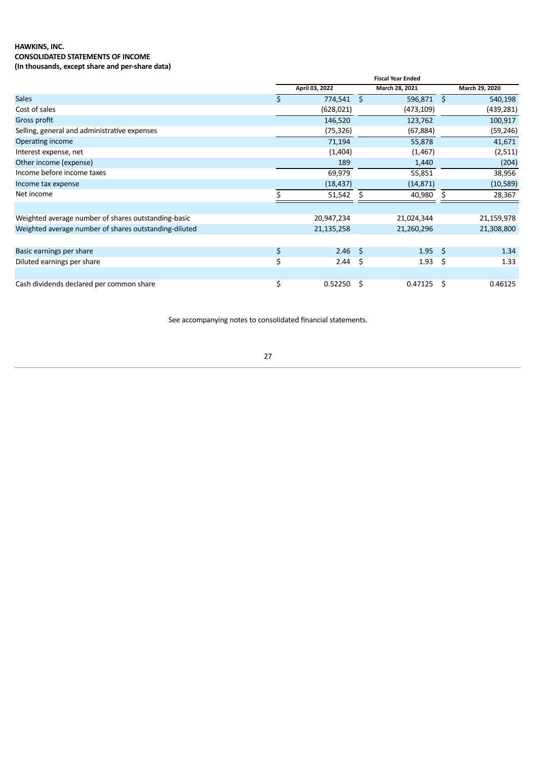## **HAWKINS, INC. CONSOLIDATED STATEMENTS OF INCOME (In thousands, except share and per-share data)**

|                                                       | <b>Fiscal Year Ended</b> |                |     |                |      |                |  |  |
|-------------------------------------------------------|--------------------------|----------------|-----|----------------|------|----------------|--|--|
|                                                       |                          | April 03, 2022 |     | March 28, 2021 |      | March 29, 2020 |  |  |
| <b>Sales</b>                                          | \$                       | 774,541 \$     |     | 596,871 \$     |      | 540,198        |  |  |
| Cost of sales                                         |                          | (628, 021)     |     | (473, 109)     |      | (439, 281)     |  |  |
| Gross profit                                          |                          | 146,520        |     | 123,762        |      | 100,917        |  |  |
| Selling, general and administrative expenses          |                          | (75, 326)      |     | (67, 884)      |      | (59, 246)      |  |  |
| Operating income                                      |                          | 71,194         |     | 55,878         |      | 41,671         |  |  |
| Interest expense, net                                 |                          | (1, 404)       |     | (1, 467)       |      | (2,511)        |  |  |
| Other income (expense)                                |                          | 189            |     | 1,440          |      | (204)          |  |  |
| Income before income taxes                            |                          | 69,979         |     | 55,851         |      | 38,956         |  |  |
| Income tax expense                                    |                          | (18, 437)      |     | (14, 871)      |      | (10, 589)      |  |  |
| Net income                                            |                          | 51,542         | Ŝ.  | $40,980$ \$    |      | 28,367         |  |  |
|                                                       |                          |                |     |                |      |                |  |  |
| Weighted average number of shares outstanding-basic   |                          | 20,947,234     |     | 21,024,344     |      | 21,159,978     |  |  |
| Weighted average number of shares outstanding-diluted |                          | 21,135,258     |     | 21,260,296     |      | 21,308,800     |  |  |
|                                                       |                          |                |     |                |      |                |  |  |
| Basic earnings per share                              | \$                       | 2.46           | -\$ | 1.95           | - \$ | 1.34           |  |  |
| Diluted earnings per share                            | \$                       | 2.44           | -\$ | 1.93           | -\$  | 1.33           |  |  |
|                                                       |                          |                |     |                |      |                |  |  |
| Cash dividends declared per common share              | \$                       | 0.52250        | \$  | 0.47125        | -Ś   | 0.46125        |  |  |

<span id="page-29-0"></span>See accompanying notes to consolidated financial statements.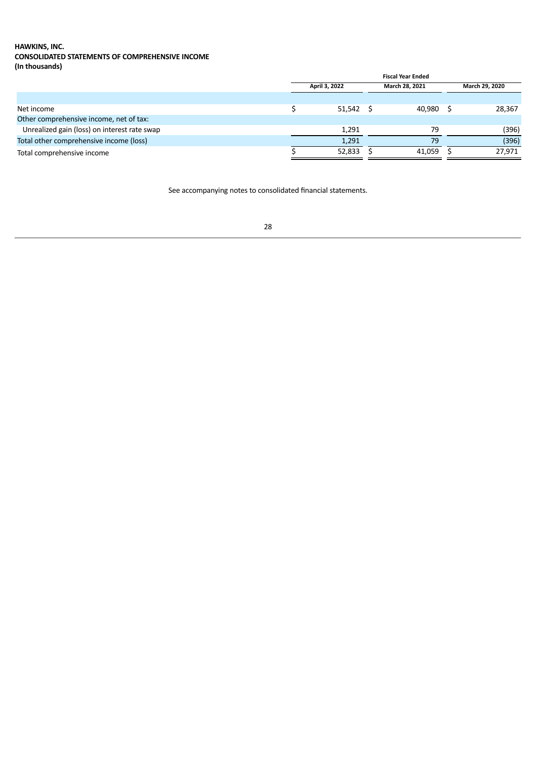## **HAWKINS, INC. CONSOLIDATED STATEMENTS OF COMPREHENSIVE INCOME (In thousands)**

| .                                            |                                 |  |        |  |                |  |  |  |  |  |
|----------------------------------------------|---------------------------------|--|--------|--|----------------|--|--|--|--|--|
|                                              | <b>Fiscal Year Ended</b>        |  |        |  |                |  |  |  |  |  |
|                                              | March 28, 2021<br>April 3, 2022 |  |        |  | March 29, 2020 |  |  |  |  |  |
|                                              |                                 |  |        |  |                |  |  |  |  |  |
| Net income                                   | $51,542 \quad$ \$               |  | 40,980 |  | 28,367         |  |  |  |  |  |
| Other comprehensive income, net of tax:      |                                 |  |        |  |                |  |  |  |  |  |
| Unrealized gain (loss) on interest rate swap | 1,291                           |  | 79     |  | (396)          |  |  |  |  |  |
| Total other comprehensive income (loss)      | 1,291                           |  | 79     |  | (396)          |  |  |  |  |  |
| Total comprehensive income                   | 52,833                          |  | 41,059 |  | 27,971         |  |  |  |  |  |

<span id="page-30-0"></span>See accompanying notes to consolidated financial statements.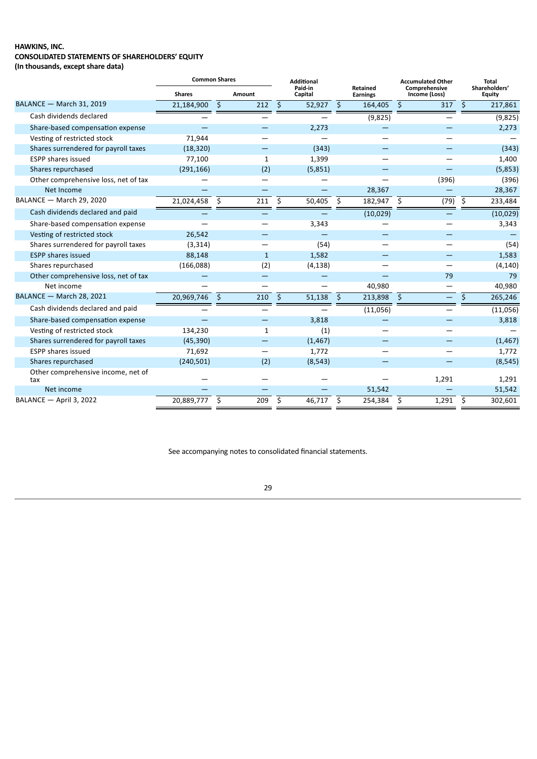# **CONSOLIDATED STATEMENTS OF SHAREHOLDERS' EQUITY**

**(In thousands, except share data)**

|                                           | <b>Common Shares</b> |              |              |              | <b>Additional</b><br>Paid-in | Retained      |                 |    | <b>Accumulated Other</b><br>Comprehensive | <b>Total</b><br>Shareholders' |  |
|-------------------------------------------|----------------------|--------------|--------------|--------------|------------------------------|---------------|-----------------|----|-------------------------------------------|-------------------------------|--|
|                                           | <b>Shares</b>        |              | Amount       |              | Capital                      |               | <b>Earnings</b> |    | Income (Loss)                             | <b>Equity</b>                 |  |
| BALANCE - March 31, 2019                  | 21,184,900           | $\mathsf{S}$ | 212          | $\mathsf{S}$ | 52,927                       | Ŝ.            | 164,405         | \$ | 317                                       | \$<br>217,861                 |  |
| Cash dividends declared                   |                      |              |              |              |                              |               | (9,825)         |    |                                           | (9,825)                       |  |
| Share-based compensation expense          |                      |              |              |              | 2,273                        |               |                 |    |                                           | 2,273                         |  |
| Vesting of restricted stock               | 71,944               |              |              |              |                              |               |                 |    |                                           |                               |  |
| Shares surrendered for payroll taxes      | (18, 320)            |              |              |              | (343)                        |               |                 |    |                                           | (343)                         |  |
| <b>ESPP shares issued</b>                 | 77,100               |              | 1            |              | 1,399                        |               |                 |    |                                           | 1,400                         |  |
| Shares repurchased                        | (291, 166)           |              | (2)          |              | (5,851)                      |               |                 |    |                                           | (5,853)                       |  |
| Other comprehensive loss, net of tax      |                      |              |              |              |                              |               |                 |    | (396)                                     | (396)                         |  |
| Net Income                                |                      |              |              |              |                              |               | 28,367          |    |                                           | 28,367                        |  |
| BALANCE - March 29, 2020                  | 21,024,458           | \$.          | 211          | \$           | 50,405                       | Ŝ.            | 182,947         | \$ | (79)                                      | \$<br>233,484                 |  |
| Cash dividends declared and paid          |                      |              |              |              |                              |               | (10, 029)       |    |                                           | (10,029)                      |  |
| Share-based compensation expense          |                      |              |              |              | 3,343                        |               |                 |    |                                           | 3,343                         |  |
| Vesting of restricted stock               | 26,542               |              |              |              |                              |               |                 |    |                                           |                               |  |
| Shares surrendered for payroll taxes      | (3, 314)             |              |              |              | (54)                         |               |                 |    |                                           | (54)                          |  |
| <b>ESPP shares issued</b>                 | 88,148               |              | $\mathbf{1}$ |              | 1,582                        |               |                 |    |                                           | 1,583                         |  |
| Shares repurchased                        | (166,088)            |              | (2)          |              | (4, 138)                     |               |                 |    |                                           | (4, 140)                      |  |
| Other comprehensive loss, net of tax      |                      |              |              |              |                              |               |                 |    | 79                                        | 79                            |  |
| Net income                                |                      |              |              |              |                              |               | 40,980          |    |                                           | 40,980                        |  |
| BALANCE - March 28, 2021                  | 20,969,746           | Ŝ.           | 210          | $\zeta$      | 51,138                       | $\frac{1}{2}$ | 213,898         | \$ | $\equiv$                                  | \$<br>265,246                 |  |
| Cash dividends declared and paid          |                      |              |              |              |                              |               | (11,056)        |    |                                           | (11,056)                      |  |
| Share-based compensation expense          |                      |              |              |              | 3,818                        |               |                 |    |                                           | 3,818                         |  |
| Vesting of restricted stock               | 134,230              |              | 1            |              | (1)                          |               |                 |    |                                           |                               |  |
| Shares surrendered for payroll taxes      | (45, 390)            |              |              |              | (1, 467)                     |               |                 |    |                                           | (1, 467)                      |  |
| <b>ESPP shares issued</b>                 | 71,692               |              |              |              | 1,772                        |               |                 |    |                                           | 1,772                         |  |
| Shares repurchased                        | (240, 501)           |              | (2)          |              | (8, 543)                     |               |                 |    |                                           | (8, 545)                      |  |
| Other comprehensive income, net of<br>tax |                      |              |              |              |                              |               |                 |    | 1,291                                     | 1,291                         |  |
| Net income                                |                      |              |              |              |                              |               | 51,542          |    |                                           | 51,542                        |  |
| BALANCE - April 3, 2022                   | 20,889,777           | Ŝ.           | 209          | \$           | 46,717                       | \$            | 254,384         | \$ | 1,291                                     | \$<br>302,601                 |  |

<span id="page-31-0"></span>See accompanying notes to consolidated financial statements.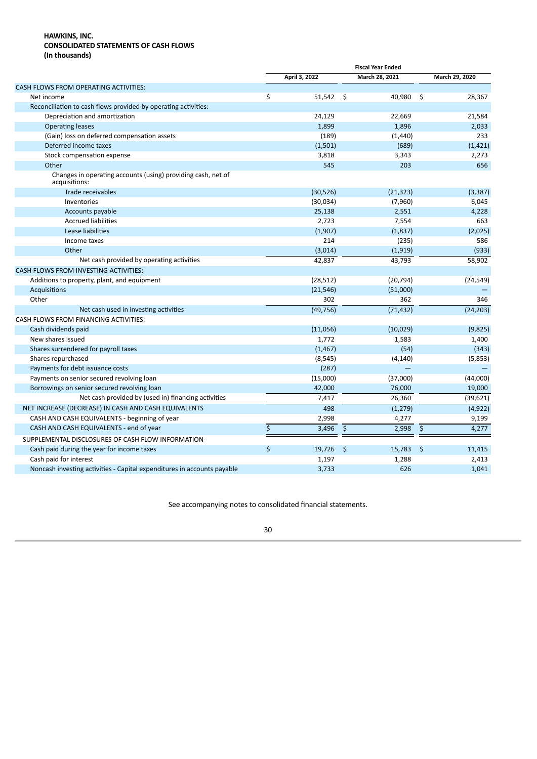**HAWKINS, INC. CONSOLIDATED STATEMENTS OF CASH FLOWS (In thousands)**

|                                                                               | <b>Fiscal Year Ended</b> |               |    |                |    |                |
|-------------------------------------------------------------------------------|--------------------------|---------------|----|----------------|----|----------------|
|                                                                               |                          | April 3, 2022 |    | March 28, 2021 |    | March 29, 2020 |
| CASH FLOWS FROM OPERATING ACTIVITIES:                                         |                          |               |    |                |    |                |
| Net income                                                                    | \$                       | $51,542$ \$   |    | 40,980 \$      |    | 28,367         |
| Reconciliation to cash flows provided by operating activities:                |                          |               |    |                |    |                |
| Depreciation and amortization                                                 |                          | 24,129        |    | 22,669         |    | 21,584         |
| <b>Operating leases</b>                                                       |                          | 1,899         |    | 1,896          |    | 2,033          |
| (Gain) loss on deferred compensation assets                                   |                          | (189)         |    | (1,440)        |    | 233            |
| Deferred income taxes                                                         |                          | (1,501)       |    | (689)          |    | (1, 421)       |
| Stock compensation expense                                                    |                          | 3,818         |    | 3,343          |    | 2,273          |
| Other                                                                         |                          | 545           |    | 203            |    | 656            |
| Changes in operating accounts (using) providing cash, net of<br>acquisitions: |                          |               |    |                |    |                |
| Trade receivables                                                             |                          | (30, 526)     |    | (21, 323)      |    | (3, 387)       |
| Inventories                                                                   |                          | (30,034)      |    | (7,960)        |    | 6,045          |
| Accounts payable                                                              |                          | 25,138        |    | 2,551          |    | 4,228          |
| <b>Accrued liabilities</b>                                                    |                          | 2,723         |    | 7,554          |    | 663            |
| Lease liabilities                                                             |                          | (1,907)       |    | (1,837)        |    | (2,025)        |
| Income taxes                                                                  |                          | 214           |    | (235)          |    | 586            |
| Other                                                                         |                          | (3,014)       |    | (1,919)        |    | (933)          |
| Net cash provided by operating activities                                     |                          | 42,837        |    | 43,793         |    | 58,902         |
| CASH FLOWS FROM INVESTING ACTIVITIES:                                         |                          |               |    |                |    |                |
| Additions to property, plant, and equipment                                   |                          | (28, 512)     |    | (20, 794)      |    | (24, 549)      |
| Acquisitions                                                                  |                          | (21, 546)     |    | (51,000)       |    |                |
| Other                                                                         |                          | 302           |    | 362            |    | 346            |
| Net cash used in investing activities                                         |                          | (49, 756)     |    | (71, 432)      |    | (24, 203)      |
| CASH FLOWS FROM FINANCING ACTIVITIES:                                         |                          |               |    |                |    |                |
| Cash dividends paid                                                           |                          | (11,056)      |    | (10,029)       |    | (9,825)        |
| New shares issued                                                             |                          | 1,772         |    | 1,583          |    | 1,400          |
| Shares surrendered for payroll taxes                                          |                          | (1, 467)      |    | (54)           |    | (343)          |
| Shares repurchased                                                            |                          | (8, 545)      |    | (4, 140)       |    | (5,853)        |
| Payments for debt issuance costs                                              |                          | (287)         |    |                |    |                |
| Payments on senior secured revolving loan                                     |                          | (15,000)      |    | (37,000)       |    | (44,000)       |
| Borrowings on senior secured revolving loan                                   |                          | 42,000        |    | 76,000         |    | 19,000         |
| Net cash provided by (used in) financing activities                           |                          | 7,417         |    | 26,360         |    | (39, 621)      |
| NET INCREASE (DECREASE) IN CASH AND CASH EQUIVALENTS                          |                          | 498           |    | (1, 279)       |    | (4,922)        |
| CASH AND CASH EQUIVALENTS - beginning of year                                 |                          | 2,998         |    | 4,277          |    | 9,199          |
| CASH AND CASH EQUIVALENTS - end of year                                       | \$                       | 3,496         | \$ | 2,998          | \$ | 4,277          |
| SUPPLEMENTAL DISCLOSURES OF CASH FLOW INFORMATION-                            |                          |               |    |                |    |                |
| Cash paid during the year for income taxes                                    | \$                       | 19,726        | \$ | 15,783         | \$ | 11,415         |
| Cash paid for interest                                                        |                          | 1,197         |    | 1,288          |    | 2,413          |
| Noncash investing activities - Capital expenditures in accounts payable       |                          | 3.733         |    | 626            |    | 1.041          |

<span id="page-32-0"></span>See accompanying notes to consolidated financial statements.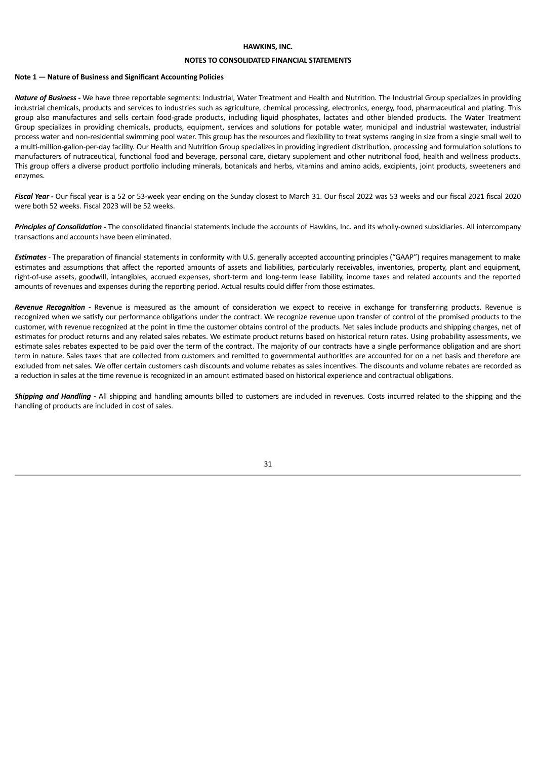#### **NOTES TO CONSOLIDATED FINANCIAL STATEMENTS**

## **Note 1 — Nature of Business and Significant Accounting Policies**

*Nature of Business -* We have three reportable segments: Industrial, Water Treatment and Health and Nutrition. The Industrial Group specializes in providing industrial chemicals, products and services to industries such as agriculture, chemical processing, electronics, energy, food, pharmaceutical and plating. This group also manufactures and sells certain food-grade products, including liquid phosphates, lactates and other blended products. The Water Treatment Group specializes in providing chemicals, products, equipment, services and solutions for potable water, municipal and industrial wastewater, industrial process water and non-residential swimming pool water. This group has the resources and flexibility to treat systems ranging in size from a single small well to a multi-million-gallon-per-day facility. Our Health and Nutrition Group specializes in providing ingredient distribution, processing and formulation solutions to manufacturers of nutraceutical, functional food and beverage, personal care, dietary supplement and other nutritional food, health and wellness products. This group offers a diverse product portfolio including minerals, botanicals and herbs, vitamins and amino acids, excipients, joint products, sweeteners and enzymes.

*Fiscal Year -* Our fiscal year is a 52 or 53-week year ending on the Sunday closest to March 31. Our fiscal 2022 was 53 weeks and our fiscal 2021 fiscal 2020 were both 52 weeks. Fiscal 2023 will be 52 weeks.

*Principles of Consolidation -* The consolidated financial statements include the accounts of Hawkins, Inc. and its wholly-owned subsidiaries. All intercompany transactions and accounts have been eliminated.

*Estimates -* The preparation of financial statements in conformity with U.S. generally accepted accounting principles ("GAAP") requires management to make estimates and assumptions that affect the reported amounts of assets and liabilities, particularly receivables, inventories, property, plant and equipment, right-of-use assets, goodwill, intangibles, accrued expenses, short-term and long-term lease liability, income taxes and related accounts and the reported amounts of revenues and expenses during the reporting period. Actual results could differ from those estimates.

*Revenue Recognition -* Revenue is measured as the amount of consideration we expect to receive in exchange for transferring products. Revenue is recognized when we satisfy our performance obligations under the contract. We recognize revenue upon transfer of control of the promised products to the customer, with revenue recognized at the point in time the customer obtains control of the products. Net sales include products and shipping charges, net of estimates for product returns and any related sales rebates. We estimate product returns based on historical return rates. Using probability assessments, we estimate sales rebates expected to be paid over the term of the contract. The majority of our contracts have a single performance obligation and are short term in nature. Sales taxes that are collected from customers and remitted to governmental authorities are accounted for on a net basis and therefore are excluded from net sales. We offer certain customers cash discounts and volume rebates as sales incentives. The discounts and volume rebates are recorded as a reduction in sales at the time revenue is recognized in an amount estimated based on historical experience and contractual obligations.

*Shipping and Handling -* All shipping and handling amounts billed to customers are included in revenues. Costs incurred related to the shipping and the handling of products are included in cost of sales.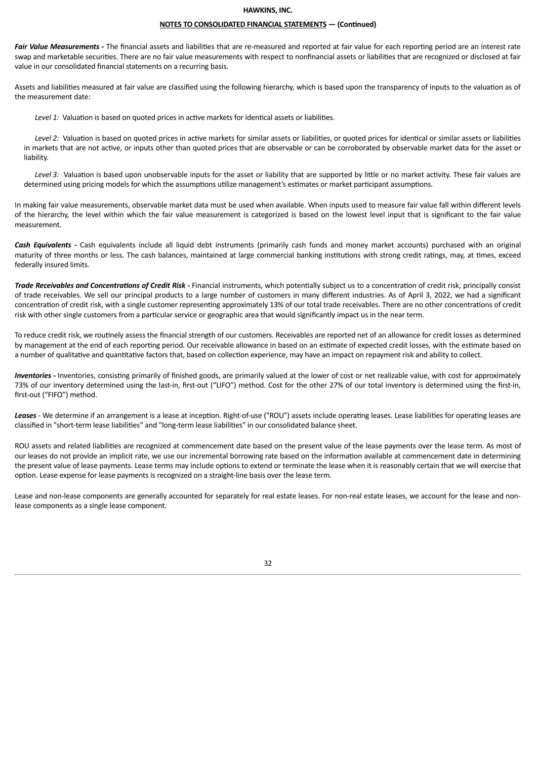## **NOTES TO CONSOLIDATED FINANCIAL STATEMENTS — (Continued)**

*Fair Value Measurements -* The financial assets and liabilities that are re-measured and reported at fair value for each reporting period are an interest rate swap and marketable securities. There are no fair value measurements with respect to nonfinancial assets or liabilities that are recognized or disclosed at fair value in our consolidated financial statements on a recurring basis.

Assets and liabilities measured at fair value are classified using the following hierarchy, which is based upon the transparency of inputs to the valuation as of the measurement date:

*Level 1:* Valuation is based on quoted prices in active markets for identical assets or liabilities.

*Level 2:* Valuation is based on quoted prices in active markets for similar assets or liabilities, or quoted prices for identical or similar assets or liabilities in markets that are not active, or inputs other than quoted prices that are observable or can be corroborated by observable market data for the asset or liability.

Level 3: Valuation is based upon unobservable inputs for the asset or liability that are supported by little or no market activity. These fair values are determined using pricing models for which the assumptions utilize management's estimates or market participant assumptions.

In making fair value measurements, observable market data must be used when available. When inputs used to measure fair value fall within different levels of the hierarchy, the level within which the fair value measurement is categorized is based on the lowest level input that is significant to the fair value measurement.

*Cash Equivalents -* Cash equivalents include all liquid debt instruments (primarily cash funds and money market accounts) purchased with an original maturity of three months or less. The cash balances, maintained at large commercial banking institutions with strong credit ratings, may, at times, exceed federally insured limits.

*Trade Receivables and Concentrations of Credit Risk -* Financial instruments, which potentially subject us to a concentration of credit risk, principally consist of trade receivables. We sell our principal products to a large number of customers in many different industries. As of April 3, 2022, we had a significant concentration of credit risk, with a single customer representing approximately 13% of our total trade receivables. There are no other concentrations of credit risk with other single customers from a particular service or geographic area that would significantly impact us in the near term.

To reduce credit risk, we routinely assess the financial strength of our customers. Receivables are reported net of an allowance for credit losses as determined by management at the end of each reporting period. Our receivable allowance in based on an estimate of expected credit losses, with the estimate based on a number of qualitative and quantitative factors that, based on collection experience, may have an impact on repayment risk and ability to collect.

*Inventories -* Inventories, consisting primarily of finished goods, are primarily valued at the lower of cost or net realizable value, with cost for approximately 73% of our inventory determined using the last-in, first-out ("LIFO") method. Cost for the other 27% of our total inventory is determined using the first-in, first-out ("FIFO") method.

Leases - We determine if an arrangement is a lease at inception. Right-of-use ("ROU") assets include operating leases. Lease liabilities for operating leases are classified in "short-term lease liabilities" and "long-term lease liabilities" in our consolidated balance sheet.

ROU assets and related liabilities are recognized at commencement date based on the present value of the lease payments over the lease term. As most of our leases do not provide an implicit rate, we use our incremental borrowing rate based on the information available at commencement date in determining the present value of lease payments. Lease terms may include options to extend or terminate the lease when it is reasonably certain that we will exercise that option. Lease expense for lease payments is recognized on a straight-line basis over the lease term.

Lease and non-lease components are generally accounted for separately for real estate leases. For non-real estate leases, we account for the lease and nonlease components as a single lease component.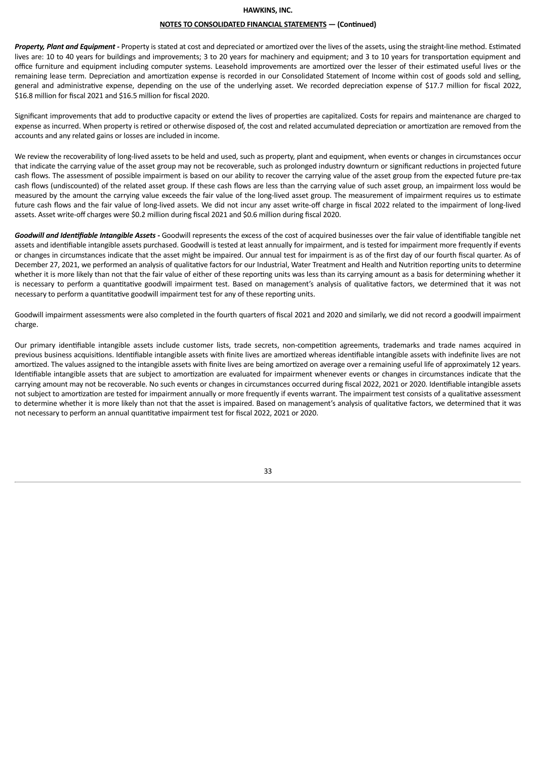#### **NOTES TO CONSOLIDATED FINANCIAL STATEMENTS — (Continued)**

*Property, Plant and Equipment -* Property is stated at cost and depreciated or amortized over the lives of the assets, using the straight-line method. Estimated lives are: 10 to 40 years for buildings and improvements; 3 to 20 years for machinery and equipment; and 3 to 10 years for transportation equipment and office furniture and equipment including computer systems. Leasehold improvements are amortized over the lesser of their estimated useful lives or the remaining lease term. Depreciation and amortization expense is recorded in our Consolidated Statement of Income within cost of goods sold and selling, general and administrative expense, depending on the use of the underlying asset. We recorded depreciation expense of \$17.7 million for fiscal 2022, \$16.8 million for fiscal 2021 and \$16.5 million for fiscal 2020.

Significant improvements that add to productive capacity or extend the lives of properties are capitalized. Costs for repairs and maintenance are charged to expense as incurred. When property is retired or otherwise disposed of, the cost and related accumulated depreciation or amortization are removed from the accounts and any related gains or losses are included in income.

We review the recoverability of long-lived assets to be held and used, such as property, plant and equipment, when events or changes in circumstances occur that indicate the carrying value of the asset group may not be recoverable, such as prolonged industry downturn or significant reductions in projected future cash flows. The assessment of possible impairment is based on our ability to recover the carrying value of the asset group from the expected future pre-tax cash flows (undiscounted) of the related asset group. If these cash flows are less than the carrying value of such asset group, an impairment loss would be measured by the amount the carrying value exceeds the fair value of the long-lived asset group. The measurement of impairment requires us to estimate future cash flows and the fair value of long-lived assets. We did not incur any asset write-off charge in fiscal 2022 related to the impairment of long-lived assets. Asset write-off charges were \$0.2 million during fiscal 2021 and \$0.6 million during fiscal 2020.

*Goodwill and Identifiable Intangible Assets -* Goodwill represents the excess of the cost of acquired businesses over the fair value of identifiable tangible net assets and identifiable intangible assets purchased. Goodwill is tested at least annually for impairment, and is tested for impairment more frequently if events or changes in circumstances indicate that the asset might be impaired. Our annual test for impairment is as of the first day of our fourth fiscal quarter. As of December 27, 2021, we performed an analysis of qualitative factors for our Industrial, Water Treatment and Health and Nutrition reporting units to determine whether it is more likely than not that the fair value of either of these reporting units was less than its carrying amount as a basis for determining whether it is necessary to perform a quantitative goodwill impairment test. Based on management's analysis of qualitative factors, we determined that it was not necessary to perform a quantitative goodwill impairment test for any of these reporting units.

Goodwill impairment assessments were also completed in the fourth quarters of fiscal 2021 and 2020 and similarly, we did not record a goodwill impairment charge.

Our primary identifiable intangible assets include customer lists, trade secrets, non-competition agreements, trademarks and trade names acquired in previous business acquisitions. Identifiable intangible assets with finite lives are amortized whereas identifiable intangible assets with indefinite lives are not amortized. The values assigned to the intangible assets with finite lives are being amortized on average over a remaining useful life of approximately 12 years. Identifiable intangible assets that are subject to amortization are evaluated for impairment whenever events or changes in circumstances indicate that the carrying amount may not be recoverable. No such events or changes in circumstances occurred during fiscal 2022, 2021 or 2020. Identifiable intangible assets not subject to amortization are tested for impairment annually or more frequently if events warrant. The impairment test consists of a qualitative assessment to determine whether it is more likely than not that the asset is impaired. Based on management's analysis of qualitative factors, we determined that it was not necessary to perform an annual quantitative impairment test for fiscal 2022, 2021 or 2020.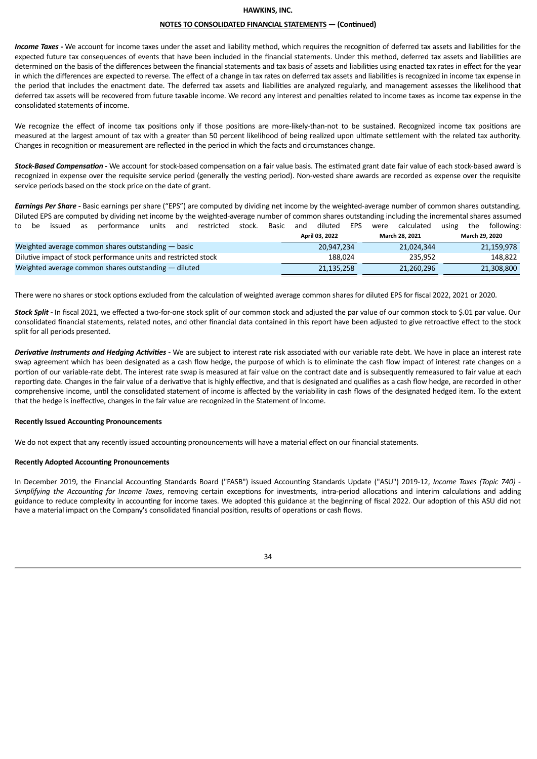#### **NOTES TO CONSOLIDATED FINANCIAL STATEMENTS — (Continued)**

*Income Taxes -* We account for income taxes under the asset and liability method, which requires the recognition of deferred tax assets and liabilities for the expected future tax consequences of events that have been included in the financial statements. Under this method, deferred tax assets and liabilities are determined on the basis of the differences between the financial statements and tax basis of assets and liabilities using enacted tax rates in effect for the year in which the differences are expected to reverse. The effect of a change in tax rates on deferred tax assets and liabilities is recognized in income tax expense in the period that includes the enactment date. The deferred tax assets and liabilities are analyzed regularly, and management assesses the likelihood that deferred tax assets will be recovered from future taxable income. We record any interest and penalties related to income taxes as income tax expense in the consolidated statements of income.

We recognize the effect of income tax positions only if those positions are more-likely-than-not to be sustained. Recognized income tax positions are measured at the largest amount of tax with a greater than 50 percent likelihood of being realized upon ultimate settlement with the related tax authority. Changes in recognition or measurement are reflected in the period in which the facts and circumstances change.

*Stock-Based Compensation -* We account for stock-based compensation on a fair value basis. The estimated grant date fair value of each stock-based award is recognized in expense over the requisite service period (generally the vesting period). Non-vested share awards are recorded as expense over the requisite service periods based on the stock price on the date of grant.

*Earnings Per Share -* Basic earnings per share ("EPS") are computed by dividing net income by the weighted-average number of common shares outstanding. Diluted EPS are computed by dividing net income by the weighted-average number of common shares outstanding including the incremental shares assumed to be issued as performance units and restricted stock. Basic and diluted EPS were calculated using the following: **April 03, 2022 March 28, 2021 March 29, 2020** Weighted average common shares outstanding — basic 20,947,234 21,024,344 21,024,344 21,159,978 Dilutive impact of stock performance units and restricted stock 188,024 235,952 148,822 Weighted average common shares outstanding — diluted 21,135,258 21,260,296 21,260,296 21,308,800

There were no shares or stock options excluded from the calculation of weighted average common shares for diluted EPS for fiscal 2022, 2021 or 2020.

*Stock Split -* In fiscal 2021, we effected a two-for-one stock split of our common stock and adjusted the par value of our common stock to \$.01 par value. Our consolidated financial statements, related notes, and other financial data contained in this report have been adjusted to give retroactive effect to the stock split for all periods presented.

*Derivative Instruments and Hedging Activities -* We are subject to interest rate risk associated with our variable rate debt. We have in place an interest rate swap agreement which has been designated as a cash flow hedge, the purpose of which is to eliminate the cash flow impact of interest rate changes on a portion of our variable-rate debt. The interest rate swap is measured at fair value on the contract date and is subsequently remeasured to fair value at each reporting date. Changes in the fair value of a derivative that is highly effective, and that is designated and qualifies as a cash flow hedge, are recorded in other comprehensive income, until the consolidated statement of income is affected by the variability in cash flows of the designated hedged item. To the extent that the hedge is ineffective, changes in the fair value are recognized in the Statement of Income.

#### **Recently Issued Accounting Pronouncements**

We do not expect that any recently issued accounting pronouncements will have a material effect on our financial statements.

## **Recently Adopted Accounting Pronouncements**

In December 2019, the Financial Accounting Standards Board ("FASB") issued Accounting Standards Update ("ASU") 2019-12, *Income Taxes (Topic 740) - Simplifying the Accounting for Income Taxes*, removing certain exceptions for investments, intra-period allocations and interim calculations and adding guidance to reduce complexity in accounting for income taxes. We adopted this guidance at the beginning of fiscal 2022. Our adoption of this ASU did not have a material impact on the Company's consolidated financial position, results of operations or cash flows.

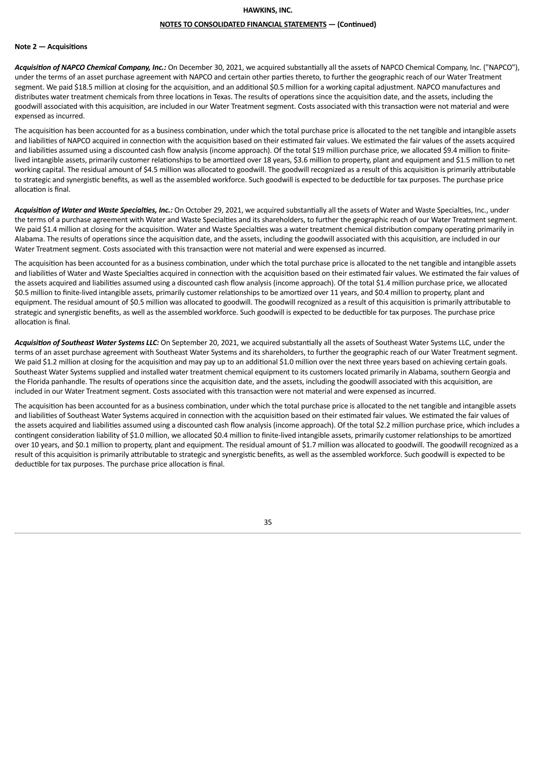# **NOTES TO CONSOLIDATED FINANCIAL STATEMENTS — (Continued)**

#### **Note 2 — Acquisitions**

*Acquisition of NAPCO Chemical Company, Inc.:* On December 30, 2021, we acquired substantially all the assets of NAPCO Chemical Company, Inc. ("NAPCO"), under the terms of an asset purchase agreement with NAPCO and certain other parties thereto, to further the geographic reach of our Water Treatment segment. We paid \$18.5 million at closing for the acquisition, and an additional \$0.5 million for a working capital adjustment. NAPCO manufactures and distributes water treatment chemicals from three locations in Texas. The results of operations since the acquisition date, and the assets, including the goodwill associated with this acquisition, are included in our Water Treatment segment. Costs associated with this transaction were not material and were expensed as incurred.

The acquisition has been accounted for as a business combination, under which the total purchase price is allocated to the net tangible and intangible assets and liabilities of NAPCO acquired in connection with the acquisition based on their estimated fair values. We estimated the fair values of the assets acquired and liabilities assumed using a discounted cash flow analysis (income approach). Of the total \$19 million purchase price, we allocated \$9.4 million to finitelived intangible assets, primarily customer relationships to be amortized over 18 years, \$3.6 million to property, plant and equipment and \$1.5 million to net working capital. The residual amount of \$4.5 million was allocated to goodwill. The goodwill recognized as a result of this acquisition is primarily attributable to strategic and synergistic benefits, as well as the assembled workforce. Such goodwill is expected to be deductible for tax purposes. The purchase price allocation is final.

*Acquisition of Water and Waste Specialties, Inc.:* On October 29, 2021, we acquired substantially all the assets of Water and Waste Specialties, Inc., under the terms of a purchase agreement with Water and Waste Specialties and its shareholders, to further the geographic reach of our Water Treatment segment. We paid \$1.4 million at closing for the acquisition. Water and Waste Specialties was a water treatment chemical distribution company operating primarily in Alabama. The results of operations since the acquisition date, and the assets, including the goodwill associated with this acquisition, are included in our Water Treatment segment. Costs associated with this transaction were not material and were expensed as incurred.

The acquisition has been accounted for as a business combination, under which the total purchase price is allocated to the net tangible and intangible assets and liabilities of Water and Waste Specialties acquired in connection with the acquisition based on their estimated fair values. We estimated the fair values of the assets acquired and liabilities assumed using a discounted cash flow analysis (income approach). Of the total \$1.4 million purchase price, we allocated \$0.5 million to finite-lived intangible assets, primarily customer relationships to be amortized over 11 years, and \$0.4 million to property, plant and equipment. The residual amount of \$0.5 million was allocated to goodwill. The goodwill recognized as a result of this acquisition is primarily attributable to strategic and synergistic benefits, as well as the assembled workforce. Such goodwill is expected to be deductible for tax purposes. The purchase price allocation is final.

*Acquisition of Southeast Water Systems LLC:* On September 20, 2021, we acquired substantially all the assets of Southeast Water Systems LLC, under the terms of an asset purchase agreement with Southeast Water Systems and its shareholders, to further the geographic reach of our Water Treatment segment. We paid \$1.2 million at closing for the acquisition and may pay up to an additional \$1.0 million over the next three years based on achieving certain goals. Southeast Water Systems supplied and installed water treatment chemical equipment to its customers located primarily in Alabama, southern Georgia and the Florida panhandle. The results of operations since the acquisition date, and the assets, including the goodwill associated with this acquisition, are included in our Water Treatment segment. Costs associated with this transaction were not material and were expensed as incurred.

The acquisition has been accounted for as a business combination, under which the total purchase price is allocated to the net tangible and intangible assets and liabilities of Southeast Water Systems acquired in connection with the acquisition based on their estimated fair values. We estimated the fair values of the assets acquired and liabilities assumed using a discounted cash flow analysis (income approach). Of the total \$2.2 million purchase price, which includes a contingent consideration liability of \$1.0 million, we allocated \$0.4 million to finite-lived intangible assets, primarily customer relationships to be amortized over 10 years, and \$0.1 million to property, plant and equipment. The residual amount of \$1.7 million was allocated to goodwill. The goodwill recognized as a result of this acquisition is primarily attributable to strategic and synergistic benefits, as well as the assembled workforce. Such goodwill is expected to be deductible for tax purposes. The purchase price allocation is final.

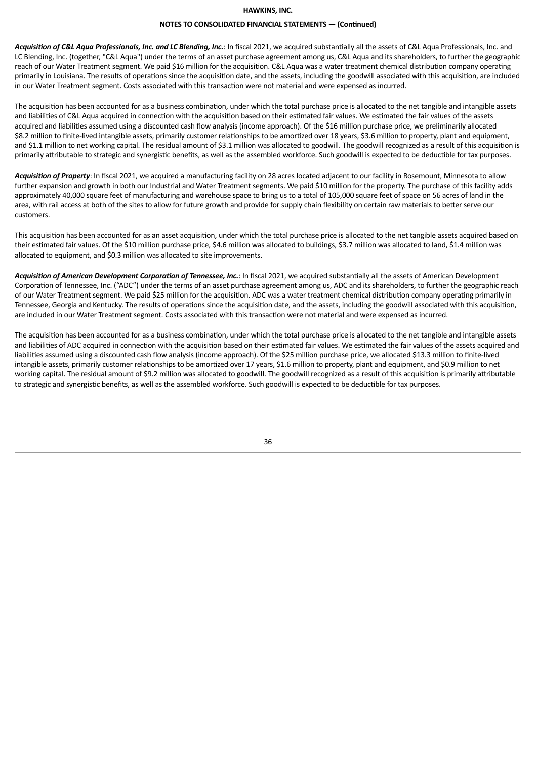#### **NOTES TO CONSOLIDATED FINANCIAL STATEMENTS — (Continued)**

Acquisition of C&L Aqua Professionals, Inc. and LC Blending, Inc.: In fiscal 2021, we acquired substantially all the assets of C&L Aqua Professionals, Inc. and LC Blending, Inc. (together, "C&L Aqua") under the terms of an asset purchase agreement among us, C&L Aqua and its shareholders, to further the geographic reach of our Water Treatment segment. We paid \$16 million for the acquisition. C&L Aqua was a water treatment chemical distribution company operating primarily in Louisiana. The results of operations since the acquisition date, and the assets, including the goodwill associated with this acquisition, are included in our Water Treatment segment. Costs associated with this transaction were not material and were expensed as incurred.

The acquisition has been accounted for as a business combination, under which the total purchase price is allocated to the net tangible and intangible assets and liabilities of C&L Aqua acquired in connection with the acquisition based on their estimated fair values. We estimated the fair values of the assets acquired and liabilities assumed using a discounted cash flow analysis (income approach). Of the \$16 million purchase price, we preliminarily allocated \$8.2 million to finite-lived intangible assets, primarily customer relationships to be amortized over 18 years, \$3.6 million to property, plant and equipment, and \$1.1 million to net working capital. The residual amount of \$3.1 million was allocated to goodwill. The goodwill recognized as a result of this acquisition is primarily attributable to strategic and synergistic benefits, as well as the assembled workforce. Such goodwill is expected to be deductible for tax purposes.

*Acquisition of Property*: In fiscal 2021, we acquired a manufacturing facility on 28 acres located adjacent to our facility in Rosemount, Minnesota to allow further expansion and growth in both our Industrial and Water Treatment segments. We paid \$10 million for the property. The purchase of this facility adds approximately 40,000 square feet of manufacturing and warehouse space to bring us to a total of 105,000 square feet of space on 56 acres of land in the area, with rail access at both of the sites to allow for future growth and provide for supply chain flexibility on certain raw materials to better serve our customers.

This acquisition has been accounted for as an asset acquisition, under which the total purchase price is allocated to the net tangible assets acquired based on their estimated fair values. Of the \$10 million purchase price, \$4.6 million was allocated to buildings, \$3.7 million was allocated to land, \$1.4 million was allocated to equipment, and \$0.3 million was allocated to site improvements.

*Acquisition of American Development Corporation of Tennessee, Inc.*: In fiscal 2021, we acquired substantially all the assets of American Development Corporation of Tennessee, Inc. ("ADC") under the terms of an asset purchase agreement among us, ADC and its shareholders, to further the geographic reach of our Water Treatment segment. We paid \$25 million for the acquisition. ADC was a water treatment chemical distribution company operating primarily in Tennessee, Georgia and Kentucky. The results of operations since the acquisition date, and the assets, including the goodwill associated with this acquisition, are included in our Water Treatment segment. Costs associated with this transaction were not material and were expensed as incurred.

The acquisition has been accounted for as a business combination, under which the total purchase price is allocated to the net tangible and intangible assets and liabilities of ADC acquired in connection with the acquisition based on their estimated fair values. We estimated the fair values of the assets acquired and liabilities assumed using a discounted cash flow analysis (income approach). Of the \$25 million purchase price, we allocated \$13.3 million to finite-lived intangible assets, primarily customer relationships to be amortized over 17 years, \$1.6 million to property, plant and equipment, and \$0.9 million to net working capital. The residual amount of \$9.2 million was allocated to goodwill. The goodwill recognized as a result of this acquisition is primarily attributable to strategic and synergistic benefits, as well as the assembled workforce. Such goodwill is expected to be deductible for tax purposes.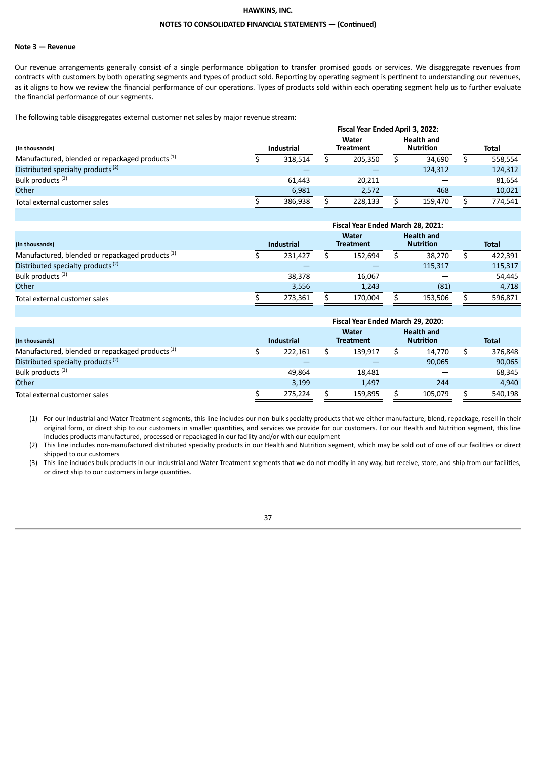## **NOTES TO CONSOLIDATED FINANCIAL STATEMENTS — (Continued)**

#### **Note 3 — Revenue**

Our revenue arrangements generally consist of a single performance obligation to transfer promised goods or services. We disaggregate revenues from contracts with customers by both operating segments and types of product sold. Reporting by operating segment is pertinent to understanding our revenues, as it aligns to how we review the financial performance of our operations. Types of products sold within each operating segment help us to further evaluate the financial performance of our segments.

The following table disaggregates external customer net sales by major revenue stream:

|                                                             |  | Fiscal Year Ended April 3, 2022: |  |                    |  |                                       |  |         |  |  |  |  |
|-------------------------------------------------------------|--|----------------------------------|--|--------------------|--|---------------------------------------|--|---------|--|--|--|--|
| (In thousands)                                              |  | Industrial                       |  | Water<br>Treatment |  | <b>Health and</b><br><b>Nutrition</b> |  | Total   |  |  |  |  |
| Manufactured, blended or repackaged products <sup>(1)</sup> |  | 318.514                          |  | 205,350            |  | 34,690                                |  | 558,554 |  |  |  |  |
| Distributed specialty products <sup>(2)</sup>               |  |                                  |  |                    |  | 124,312                               |  | 124,312 |  |  |  |  |
| Bulk products <sup>(3)</sup>                                |  | 61,443                           |  | 20,211             |  |                                       |  | 81,654  |  |  |  |  |
| Other                                                       |  | 6,981                            |  | 2,572              |  | 468                                   |  | 10,021  |  |  |  |  |
| Total external customer sales                               |  | 386.938                          |  | 228.133            |  | 159.470                               |  | 774,541 |  |  |  |  |

|                                                             | Fiscal Year Ended March 28, 2021: |            |  |                           |  |                                       |  |              |  |  |
|-------------------------------------------------------------|-----------------------------------|------------|--|---------------------------|--|---------------------------------------|--|--------------|--|--|
| (In thousands)                                              |                                   | Industrial |  | Water<br><b>Treatment</b> |  | <b>Health and</b><br><b>Nutrition</b> |  | <b>Total</b> |  |  |
| Manufactured, blended or repackaged products <sup>(1)</sup> |                                   | 231.427    |  | 152.694                   |  | 38.270                                |  | 422.391      |  |  |
| Distributed specialty products <sup>(2)</sup>               |                                   |            |  |                           |  | 115,317                               |  | 115,317      |  |  |
| Bulk products <sup>(3)</sup>                                |                                   | 38,378     |  | 16,067                    |  |                                       |  | 54,445       |  |  |
| Other                                                       |                                   | 3,556      |  | 1,243                     |  | (81)                                  |  | 4,718        |  |  |
| Total external customer sales                               |                                   | 273.361    |  | 170,004                   |  | 153,506                               |  | 596.871      |  |  |

|                                                             | Fiscal Year Ended March 29, 2020: |            |  |                           |  |                                       |  |              |  |  |
|-------------------------------------------------------------|-----------------------------------|------------|--|---------------------------|--|---------------------------------------|--|--------------|--|--|
| (In thousands)                                              |                                   | Industrial |  | Water<br><b>Treatment</b> |  | <b>Health and</b><br><b>Nutrition</b> |  | <b>Total</b> |  |  |
| Manufactured, blended or repackaged products <sup>(1)</sup> |                                   | 222.161    |  | 139.917                   |  | 14.770                                |  | 376.848      |  |  |
| Distributed specialty products <sup>(2)</sup>               |                                   |            |  |                           |  | 90,065                                |  | 90,065       |  |  |
| Bulk products <sup>(3)</sup>                                |                                   | 49.864     |  | 18.481                    |  |                                       |  | 68,345       |  |  |
| Other                                                       |                                   | 3,199      |  | 1,497                     |  | 244                                   |  | 4.940        |  |  |
| Total external customer sales                               |                                   | 275.224    |  | 159.895                   |  | 105,079                               |  | 540,198      |  |  |

(1) For our Industrial and Water Treatment segments, this line includes our non-bulk specialty products that we either manufacture, blend, repackage, resell in their original form, or direct ship to our customers in smaller quantities, and services we provide for our customers. For our Health and Nutrition segment, this line includes products manufactured, processed or repackaged in our facility and/or with our equipment

(2) This line includes non-manufactured distributed specialty products in our Health and Nutrition segment, which may be sold out of one of our facilities or direct shipped to our customers

(3) This line includes bulk products in our Industrial and Water Treatment segments that we do not modify in any way, but receive, store, and ship from our facilities, or direct ship to our customers in large quantities.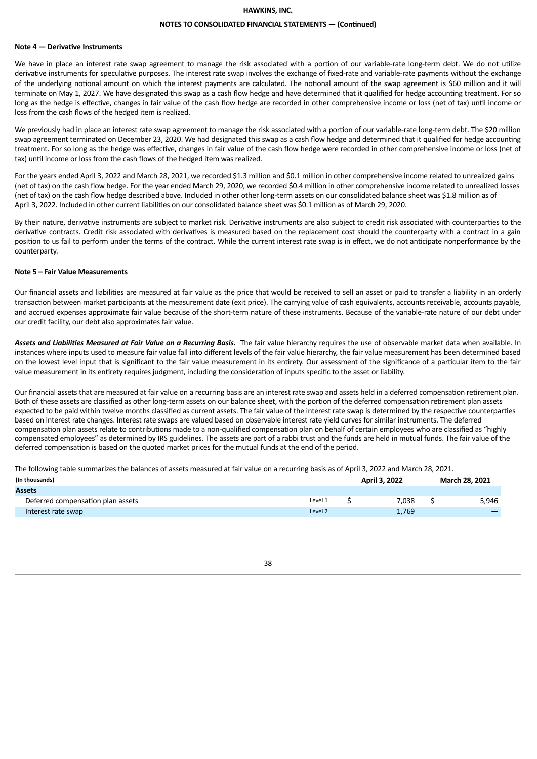### **NOTES TO CONSOLIDATED FINANCIAL STATEMENTS — (Continued)**

#### **Note 4 — Derivative Instruments**

We have in place an interest rate swap agreement to manage the risk associated with a portion of our variable-rate long-term debt. We do not utilize derivative instruments for speculative purposes. The interest rate swap involves the exchange of fixed-rate and variable-rate payments without the exchange of the underlying notional amount on which the interest payments are calculated. The notional amount of the swap agreement is \$60 million and it will terminate on May 1, 2027. We have designated this swap as a cash flow hedge and have determined that it qualified for hedge accounting treatment. For so long as the hedge is effective, changes in fair value of the cash flow hedge are recorded in other comprehensive income or loss (net of tax) until income or loss from the cash flows of the hedged item is realized.

We previously had in place an interest rate swap agreement to manage the risk associated with a portion of our variable-rate long-term debt. The \$20 million swap agreement terminated on December 23, 2020. We had designated this swap as a cash flow hedge and determined that it qualified for hedge accounting treatment. For so long as the hedge was effective, changes in fair value of the cash flow hedge were recorded in other comprehensive income or loss (net of tax) until income or loss from the cash flows of the hedged item was realized.

For the years ended April 3, 2022 and March 28, 2021, we recorded \$1.3 million and \$0.1 million in other comprehensive income related to unrealized gains (net of tax) on the cash flow hedge. For the year ended March 29, 2020, we recorded \$0.4 million in other comprehensive income related to unrealized losses (net of tax) on the cash flow hedge described above. Included in other other long-term assets on our consolidated balance sheet was \$1.8 million as of April 3, 2022. Included in other current liabilities on our consolidated balance sheet was \$0.1 million as of March 29, 2020.

By their nature, derivative instruments are subject to market risk. Derivative instruments are also subject to credit risk associated with counterparties to the derivative contracts. Credit risk associated with derivatives is measured based on the replacement cost should the counterparty with a contract in a gain position to us fail to perform under the terms of the contract. While the current interest rate swap is in effect, we do not anticipate nonperformance by the counterparty.

#### **Note 5 – Fair Value Measurements**

Our financial assets and liabilities are measured at fair value as the price that would be received to sell an asset or paid to transfer a liability in an orderly transaction between market participants at the measurement date (exit price). The carrying value of cash equivalents, accounts receivable, accounts payable, and accrued expenses approximate fair value because of the short-term nature of these instruments. Because of the variable-rate nature of our debt under our credit facility, our debt also approximates fair value.

Assets and Liabilities Measured at Fair Value on a Recurring Basis. The fair value hierarchy requires the use of observable market data when available. In instances where inputs used to measure fair value fall into different levels of the fair value hierarchy, the fair value measurement has been determined based on the lowest level input that is significant to the fair value measurement in its entirety. Our assessment of the significance of a particular item to the fair value measurement in its entirety requires judgment, including the consideration of inputs specific to the asset or liability.

Our financial assets that are measured at fair value on a recurring basis are an interest rate swap and assets held in a deferred compensation retirement plan. Both of these assets are classified as other long-term assets on our balance sheet, with the portion of the deferred compensation retirement plan assets expected to be paid within twelve months classified as current assets. The fair value of the interest rate swap is determined by the respective counterparties based on interest rate changes. Interest rate swaps are valued based on observable interest rate yield curves for similar instruments. The deferred compensation plan assets relate to contributions made to a non-qualified compensation plan on behalf of certain employees who are classified as "highly compensated employees" as determined by IRS guidelines. The assets are part of a rabbi trust and the funds are held in mutual funds. The fair value of the deferred compensation is based on the quoted market prices for the mutual funds at the end of the period.

The following table summarizes the balances of assets measured at fair value on a recurring basis as of April 3, 2022 and March 28, 2021.

| (In thousands)                    |         | April 3, 2022 | <b>March 28, 2021</b> |
|-----------------------------------|---------|---------------|-----------------------|
| <b>Assets</b>                     |         |               |                       |
| Deferred compensation plan assets | Level 1 | 7.038         | 5,946                 |
| Interest rate swap                | Level 2 | 1,769         |                       |

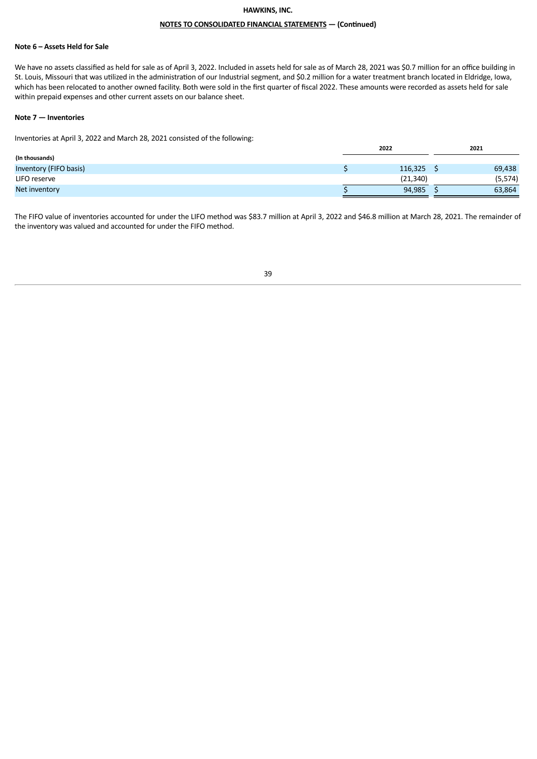## **NOTES TO CONSOLIDATED FINANCIAL STATEMENTS — (Continued)**

## **Note 6 – Assets Held for Sale**

We have no assets classified as held for sale as of April 3, 2022. Included in assets held for sale as of March 28, 2021 was \$0.7 million for an office building in St. Louis, Missouri that was utilized in the administration of our Industrial segment, and \$0.2 million for a water treatment branch located in Eldridge, Iowa, which has been relocated to another owned facility. Both were sold in the first quarter of fiscal 2022. These amounts were recorded as assets held for sale within prepaid expenses and other current assets on our balance sheet.

#### **Note 7 — Inventories**

Inventories at April 3, 2022 and March 28, 2021 consisted of the following:

|                        | 2022      | 2021     |
|------------------------|-----------|----------|
| (In thousands)         |           |          |
| Inventory (FIFO basis) | 116,325   | 69,438   |
| LIFO reserve           | (21, 340) | (5, 574) |
| Net inventory          | 94,985    | 63,864   |

The FIFO value of inventories accounted for under the LIFO method was \$83.7 million at April 3, 2022 and \$46.8 million at March 28, 2021. The remainder of the inventory was valued and accounted for under the FIFO method.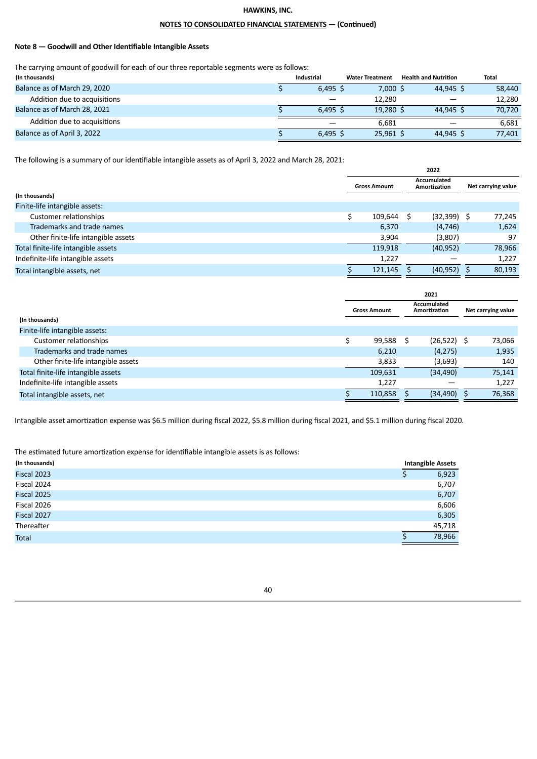# **NOTES TO CONSOLIDATED FINANCIAL STATEMENTS — (Continued)**

# **Note 8 — Goodwill and Other Identifiable Intangible Assets**

The carrying amount of goodwill for each of our three reportable segments were as follows:

| (In thousands)               | Industrial | <b>Water Treatment</b> | <b>Health and Nutrition</b> | Total  |
|------------------------------|------------|------------------------|-----------------------------|--------|
| Balance as of March 29, 2020 | $6,495$ \$ | $7,000$ \$             | 44.945 S                    | 58,440 |
| Addition due to acquisitions |            | 12.280                 |                             | 12,280 |
| Balance as of March 28, 2021 | 6.495S     | $19.280 \text{ S}$     | 44.945 S                    | 70,720 |
| Addition due to acquisitions |            | 6.681                  |                             | 6.681  |
| Balance as of April 3, 2022  | 6.495S     | $25.961$ \$            | 44.945 S                    | 77,401 |

The following is a summary of our identifiable intangible assets as of April 3, 2022 and March 28, 2021:

|                                     | 2022                                               |  |                    |  |        |
|-------------------------------------|----------------------------------------------------|--|--------------------|--|--------|
|                                     | Accumulated<br><b>Gross Amount</b><br>Amortization |  | Net carrying value |  |        |
| (In thousands)                      |                                                    |  |                    |  |        |
| Finite-life intangible assets:      |                                                    |  |                    |  |        |
| Customer relationships              | 109,644                                            |  | $(32,399)$ \$      |  | 77,245 |
| Trademarks and trade names          | 6,370                                              |  | (4,746)            |  | 1,624  |
| Other finite-life intangible assets | 3,904                                              |  | (3,807)            |  | 97     |
| Total finite-life intangible assets | 119,918                                            |  | (40, 952)          |  | 78,966 |
| Indefinite-life intangible assets   | 1,227                                              |  |                    |  | 1,227  |
| Total intangible assets, net        | 121,145                                            |  | (40, 952)          |  | 80,193 |
|                                     |                                                    |  |                    |  |        |

**2022**

|                                     | 2021                                               |         |   |                |                    |        |
|-------------------------------------|----------------------------------------------------|---------|---|----------------|--------------------|--------|
|                                     | Accumulated<br>Amortization<br><b>Gross Amount</b> |         |   |                | Net carrying value |        |
| (In thousands)                      |                                                    |         |   |                |                    |        |
| Finite-life intangible assets:      |                                                    |         |   |                |                    |        |
| Customer relationships              |                                                    | 99,588  | S | $(26, 522)$ \$ |                    | 73,066 |
| Trademarks and trade names          |                                                    | 6,210   |   | (4, 275)       |                    | 1,935  |
| Other finite-life intangible assets |                                                    | 3,833   |   | (3,693)        |                    | 140    |
| Total finite-life intangible assets |                                                    | 109,631 |   | (34, 490)      |                    | 75,141 |
| Indefinite-life intangible assets   |                                                    | 1,227   |   |                |                    | 1,227  |
| Total intangible assets, net        |                                                    | 110,858 |   | (34, 490)      |                    | 76,368 |

Intangible asset amortization expense was \$6.5 million during fiscal 2022, \$5.8 million during fiscal 2021, and \$5.1 million during fiscal 2020.

The estimated future amortization expense for identifiable intangible assets is as follows:

| (In thousands) | <b>Intangible Assets</b> |
|----------------|--------------------------|
| Fiscal 2023    | 6,923                    |
| Fiscal 2024    | 6,707                    |
| Fiscal 2025    | 6,707                    |
| Fiscal 2026    | 6,606                    |
| Fiscal 2027    | 6,305                    |
| Thereafter     | 45,718                   |
| <b>Total</b>   | 78,966                   |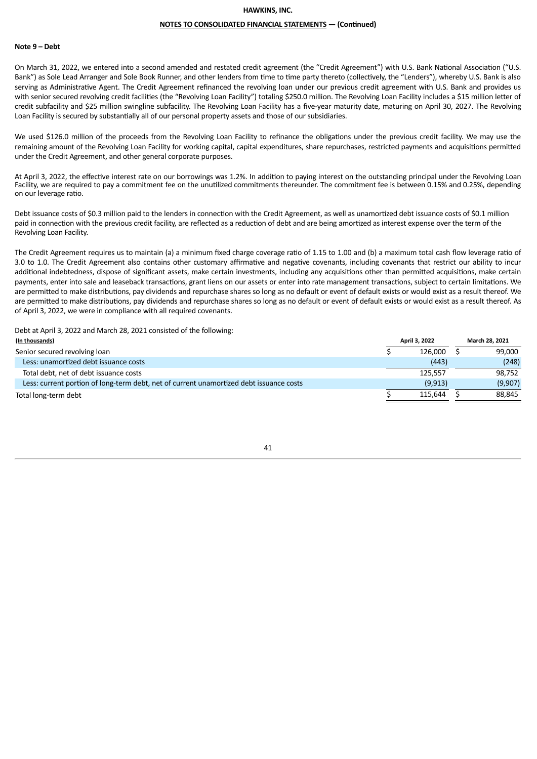#### **NOTES TO CONSOLIDATED FINANCIAL STATEMENTS — (Continued)**

#### **Note 9 – Debt**

On March 31, 2022, we entered into a second amended and restated credit agreement (the "Credit Agreement") with U.S. Bank National Association ("U.S. Bank") as Sole Lead Arranger and Sole Book Runner, and other lenders from time to time party thereto (collectively, the "Lenders"), whereby U.S. Bank is also serving as Administrative Agent. The Credit Agreement refinanced the revolving loan under our previous credit agreement with U.S. Bank and provides us with senior secured revolving credit facilities (the "Revolving Loan Facility") totaling \$250.0 million. The Revolving Loan Facility includes a \$15 million letter of credit subfacility and \$25 million swingline subfacility. The Revolving Loan Facility has a five-year maturity date, maturing on April 30, 2027. The Revolving Loan Facility is secured by substantially all of our personal property assets and those of our subsidiaries.

We used \$126.0 million of the proceeds from the Revolving Loan Facility to refinance the obligations under the previous credit facility. We may use the remaining amount of the Revolving Loan Facility for working capital, capital expenditures, share repurchases, restricted payments and acquisitions permitted under the Credit Agreement, and other general corporate purposes.

At April 3, 2022, the effective interest rate on our borrowings was 1.2%. In addition to paying interest on the outstanding principal under the Revolving Loan Facility, we are required to pay a commitment fee on the unutilized commitments thereunder. The commitment fee is between 0.15% and 0.25%, depending on our leverage ratio.

Debt issuance costs of \$0.3 million paid to the lenders in connection with the Credit Agreement, as well as unamortized debt issuance costs of \$0.1 million paid in connection with the previous credit facility, are reflected as a reduction of debt and are being amortized as interest expense over the term of the Revolving Loan Facility.

The Credit Agreement requires us to maintain (a) a minimum fixed charge coverage ratio of 1.15 to 1.00 and (b) a maximum total cash flow leverage ratio of 3.0 to 1.0. The Credit Agreement also contains other customary affirmative and negative covenants, including covenants that restrict our ability to incur additional indebtedness, dispose of significant assets, make certain investments, including any acquisitions other than permitted acquisitions, make certain payments, enter into sale and leaseback transactions, grant liens on our assets or enter into rate management transactions, subject to certain limitations. We are permitted to make distributions, pay dividends and repurchase shares so long as no default or event of default exists or would exist as a result thereof. We are permitted to make distributions, pay dividends and repurchase shares so long as no default or event of default exists or would exist as a result thereof. As of April 3, 2022, we were in compliance with all required covenants.

Debt at April 3, 2022 and March 28, 2021 consisted of the following:

| (In thousands)                                                                          | April 3, 2022 |          | March 28, 2021 |         |  |
|-----------------------------------------------------------------------------------------|---------------|----------|----------------|---------|--|
| Senior secured revolving loan                                                           |               | 126.000  |                | 99.000  |  |
| Less: unamortized debt issuance costs                                                   |               | (443)    |                | (248)   |  |
| Total debt, net of debt issuance costs                                                  |               | 125.557  |                | 98,752  |  |
| Less: current portion of long-term debt, net of current unamortized debt issuance costs |               | (9, 913) |                | (9,907) |  |
| Total long-term debt                                                                    |               | 115.644  |                | 88.845  |  |

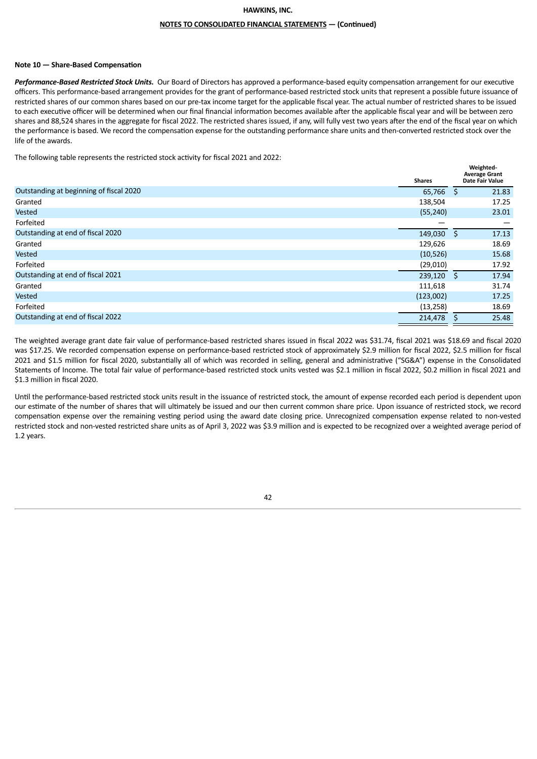#### **NOTES TO CONSOLIDATED FINANCIAL STATEMENTS — (Continued)**

#### **Note 10 — Share-Based Compensation**

*Performance-Based Restricted Stock Units.* Our Board of Directors has approved a performance-based equity compensation arrangement for our executive officers. This performance-based arrangement provides for the grant of performance-based restricted stock units that represent a possible future issuance of restricted shares of our common shares based on our pre-tax income target for the applicable fiscal year. The actual number of restricted shares to be issued to each executive officer will be determined when our final financial information becomes available after the applicable fiscal year and will be between zero shares and 88,524 shares in the aggregate for fiscal 2022. The restricted shares issued, if any, will fully vest two years after the end of the fiscal year on which the performance is based. We record the compensation expense for the outstanding performance share units and then-converted restricted stock over the life of the awards.

**Weighted-**

The following table represents the restricted stock activity for fiscal 2021 and 2022:

|                                         | <b>Shares</b> |   | weighted-<br><b>Average Grant</b><br>Date Fair Value |
|-----------------------------------------|---------------|---|------------------------------------------------------|
| Outstanding at beginning of fiscal 2020 | 65,766        | S | 21.83                                                |
| Granted                                 | 138,504       |   | 17.25                                                |
| Vested                                  | (55, 240)     |   | 23.01                                                |
| Forfeited                               |               |   |                                                      |
| Outstanding at end of fiscal 2020       | 149,030       | S | 17.13                                                |
| Granted                                 | 129,626       |   | 18.69                                                |
| Vested                                  | (10, 526)     |   | 15.68                                                |
| Forfeited                               | (29,010)      |   | 17.92                                                |
| Outstanding at end of fiscal 2021       | 239,120       | S | 17.94                                                |
| Granted                                 | 111,618       |   | 31.74                                                |
| Vested                                  | (123,002)     |   | 17.25                                                |
| Forfeited                               | (13, 258)     |   | 18.69                                                |
| Outstanding at end of fiscal 2022       | 214,478       |   | 25.48                                                |

The weighted average grant date fair value of performance-based restricted shares issued in fiscal 2022 was \$31.74, fiscal 2021 was \$18.69 and fiscal 2020 was \$17.25. We recorded compensation expense on performance-based restricted stock of approximately \$2.9 million for fiscal 2022, \$2.5 million for fiscal 2021 and \$1.5 million for fiscal 2020, substantially all of which was recorded in selling, general and administrative ("SG&A") expense in the Consolidated Statements of Income. The total fair value of performance-based restricted stock units vested was \$2.1 million in fiscal 2022, \$0.2 million in fiscal 2021 and \$1.3 million in fiscal 2020.

Until the performance-based restricted stock units result in the issuance of restricted stock, the amount of expense recorded each period is dependent upon our estimate of the number of shares that will ultimately be issued and our then current common share price. Upon issuance of restricted stock, we record compensation expense over the remaining vesting period using the award date closing price. Unrecognized compensation expense related to non-vested restricted stock and non-vested restricted share units as of April 3, 2022 was \$3.9 million and is expected to be recognized over a weighted average period of 1.2 years.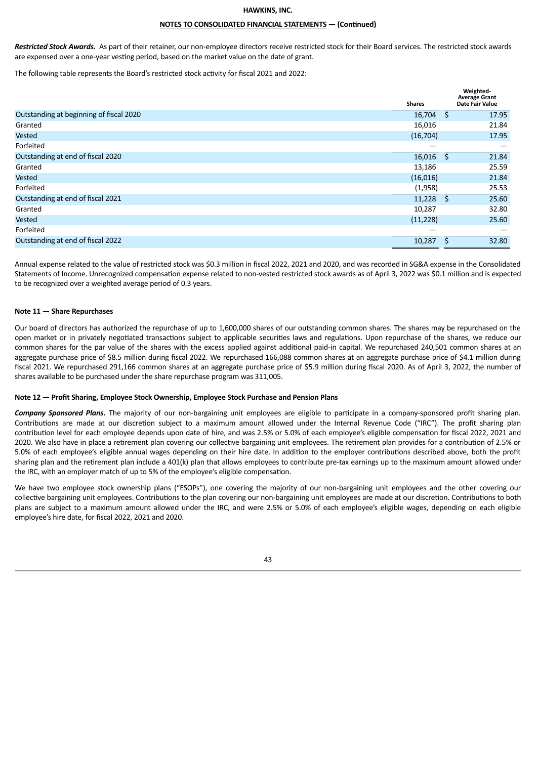#### **NOTES TO CONSOLIDATED FINANCIAL STATEMENTS — (Continued)**

*Restricted Stock Awards.* As part of their retainer, our non-employee directors receive restricted stock for their Board services. The restricted stock awards are expensed over a one-year vesting period, based on the market value on the date of grant.

**Weighted-**

The following table represents the Board's restricted stock activity for fiscal 2021 and 2022:

|                                         | <b>Shares</b> |    | weighted-<br><b>Average Grant</b><br>Date Fair Value |
|-----------------------------------------|---------------|----|------------------------------------------------------|
| Outstanding at beginning of fiscal 2020 | 16,704        | S  | 17.95                                                |
| Granted                                 | 16,016        |    | 21.84                                                |
| Vested                                  | (16, 704)     |    | 17.95                                                |
| Forfeited                               |               |    |                                                      |
| Outstanding at end of fiscal 2020       | 16,016        | \$ | 21.84                                                |
| Granted                                 | 13,186        |    | 25.59                                                |
| Vested                                  | (16,016)      |    | 21.84                                                |
| Forfeited                               | (1,958)       |    | 25.53                                                |
| Outstanding at end of fiscal 2021       | 11,228        | S  | 25.60                                                |
| Granted                                 | 10,287        |    | 32.80                                                |
| Vested                                  | (11, 228)     |    | 25.60                                                |
| Forfeited                               |               |    |                                                      |
| Outstanding at end of fiscal 2022       | 10,287        |    | 32.80                                                |

Annual expense related to the value of restricted stock was \$0.3 million in fiscal 2022, 2021 and 2020, and was recorded in SG&A expense in the Consolidated Statements of Income. Unrecognized compensation expense related to non-vested restricted stock awards as of April 3, 2022 was \$0.1 million and is expected to be recognized over a weighted average period of 0.3 years.

#### **Note 11 — Share Repurchases**

Our board of directors has authorized the repurchase of up to 1,600,000 shares of our outstanding common shares. The shares may be repurchased on the open market or in privately negotiated transactions subject to applicable securities laws and regulations. Upon repurchase of the shares, we reduce our common shares for the par value of the shares with the excess applied against additional paid-in capital. We repurchased 240,501 common shares at an aggregate purchase price of \$8.5 million during fiscal 2022. We repurchased 166,088 common shares at an aggregate purchase price of \$4.1 million during fiscal 2021. We repurchased 291,166 common shares at an aggregate purchase price of \$5.9 million during fiscal 2020. As of April 3, 2022, the number of shares available to be purchased under the share repurchase program was 311,005.

#### **Note 12 — Profit Sharing, Employee Stock Ownership, Employee Stock Purchase and Pension Plans**

*Company Sponsored Plans***.** The majority of our non-bargaining unit employees are eligible to participate in a company-sponsored profit sharing plan. Contributions are made at our discretion subject to a maximum amount allowed under the Internal Revenue Code ("IRC"). The profit sharing plan contribution level for each employee depends upon date of hire, and was 2.5% or 5.0% of each employee's eligible compensation for fiscal 2022, 2021 and 2020. We also have in place a retirement plan covering our collective bargaining unit employees. The retirement plan provides for a contribution of 2.5% or 5.0% of each employee's eligible annual wages depending on their hire date. In addition to the employer contributions described above, both the profit sharing plan and the retirement plan include a 401(k) plan that allows employees to contribute pre-tax earnings up to the maximum amount allowed under the IRC, with an employer match of up to 5% of the employee's eligible compensation.

We have two employee stock ownership plans ("ESOPs"), one covering the majority of our non-bargaining unit employees and the other covering our collective bargaining unit employees. Contributions to the plan covering our non-bargaining unit employees are made at our discretion. Contributions to both plans are subject to a maximum amount allowed under the IRC, and were 2.5% or 5.0% of each employee's eligible wages, depending on each eligible employee's hire date, for fiscal 2022, 2021 and 2020.

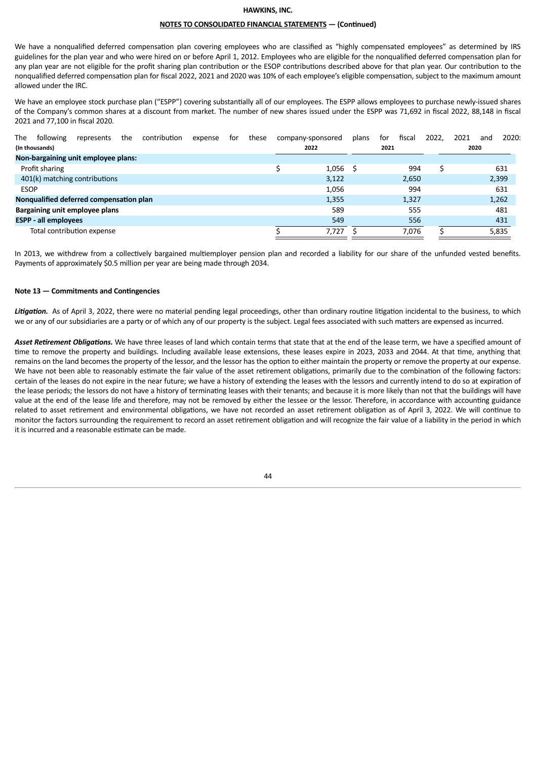#### **NOTES TO CONSOLIDATED FINANCIAL STATEMENTS — (Continued)**

We have a nonqualified deferred compensation plan covering employees who are classified as "highly compensated employees" as determined by IRS guidelines for the plan year and who were hired on or before April 1, 2012. Employees who are eligible for the nonqualified deferred compensation plan for any plan year are not eligible for the profit sharing plan contribution or the ESOP contributions described above for that plan year. Our contribution to the nonqualified deferred compensation plan for fiscal 2022, 2021 and 2020 was 10% of each employee's eligible compensation, subject to the maximum amount allowed under the IRC.

We have an employee stock purchase plan ("ESPP") covering substantially all of our employees. The ESPP allows employees to purchase newly-issued shares of the Company's common shares at a discount from market. The number of new shares issued under the ESPP was 71,692 in fiscal 2022, 88,148 in fiscal 2021 and 77,100 in fiscal 2020.

| The | following                   | represents                              | the | contribution | expense | for  | these | company-sponsored<br>plans |      | for | fiscal | 2022. | 2021 | and | 2020: |
|-----|-----------------------------|-----------------------------------------|-----|--------------|---------|------|-------|----------------------------|------|-----|--------|-------|------|-----|-------|
|     | (In thousands)              |                                         |     | 2022         |         | 2021 |       |                            | 2020 |     |        |       |      |     |       |
|     |                             | Non-bargaining unit employee plans:     |     |              |         |      |       |                            |      |     |        |       |      |     |       |
|     | Profit sharing              |                                         |     |              |         |      |       | 1,056                      |      |     | 994    |       |      |     | 631   |
|     |                             | 401(k) matching contributions           |     |              |         |      |       | 3,122                      |      |     | 2,650  |       |      |     | 2,399 |
|     | <b>ESOP</b>                 |                                         |     |              |         |      |       | 1,056                      |      |     | 994    |       |      |     | 631   |
|     |                             | Nonqualified deferred compensation plan |     |              |         |      |       | 1,355                      |      |     | 1,327  |       |      |     | 1,262 |
|     |                             | Bargaining unit employee plans          |     |              |         |      |       | 589                        |      |     | 555    |       |      |     | 481   |
|     | <b>ESPP - all employees</b> |                                         |     |              |         |      |       | 549                        |      |     | 556    |       |      |     | 431   |
|     |                             | Total contribution expense              |     |              |         |      |       | 7.727                      |      |     | 7,076  |       |      |     | 5,835 |

In 2013, we withdrew from a collectively bargained multiemployer pension plan and recorded a liability for our share of the unfunded vested benefits. Payments of approximately \$0.5 million per year are being made through 2034.

### **Note 13 — Commitments and Contingencies**

Litigation. As of April 3, 2022, there were no material pending legal proceedings, other than ordinary routine litigation incidental to the business, to which we or any of our subsidiaries are a party or of which any of our property is the subject. Legal fees associated with such matters are expensed as incurred.

*Asset Retirement Obligations.* We have three leases of land which contain terms that state that at the end of the lease term, we have a specified amount of time to remove the property and buildings. Including available lease extensions, these leases expire in 2023, 2033 and 2044. At that time, anything that remains on the land becomes the property of the lessor, and the lessor has the option to either maintain the property or remove the property at our expense. We have not been able to reasonably estimate the fair value of the asset retirement obligations, primarily due to the combination of the following factors: certain of the leases do not expire in the near future; we have a history of extending the leases with the lessors and currently intend to do so at expiration of the lease periods; the lessors do not have a history of terminating leases with their tenants; and because it is more likely than not that the buildings will have value at the end of the lease life and therefore, may not be removed by either the lessee or the lessor. Therefore, in accordance with accounting guidance related to asset retirement and environmental obligations, we have not recorded an asset retirement obligation as of April 3, 2022. We will continue to monitor the factors surrounding the requirement to record an asset retirement obligation and will recognize the fair value of a liability in the period in which it is incurred and a reasonable estimate can be made.

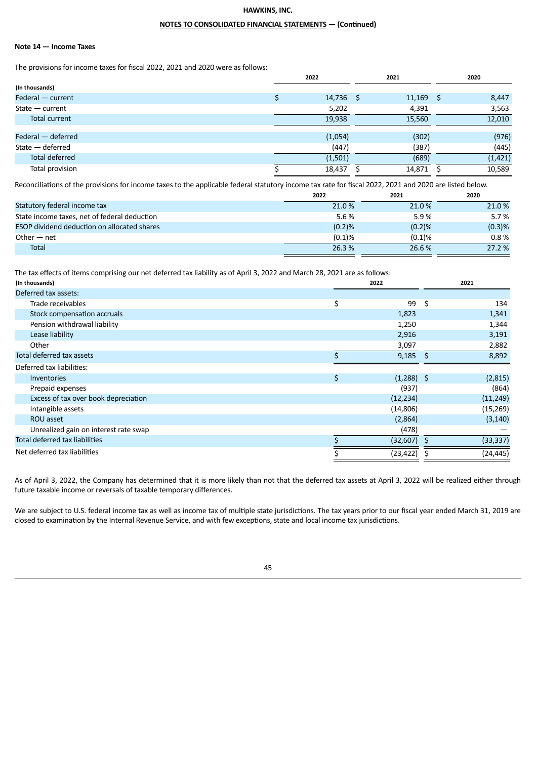## **NOTES TO CONSOLIDATED FINANCIAL STATEMENTS — (Continued)**

## **Note 14 — Income Taxes**

The provisions for income taxes for fiscal 2022, 2021 and 2020 were as follows:

|                       | 2022        | 2021 |             | 2020     |
|-----------------------|-------------|------|-------------|----------|
| (In thousands)        |             |      |             |          |
| Federal - current     | $14,736$ \$ |      | $11,169$ \$ | 8,447    |
| $State - current$     | 5,202       |      | 4,391       | 3,563    |
| Total current         | 19,938      |      | 15,560      | 12,010   |
|                       |             |      |             |          |
| Federal - deferred    | (1,054)     |      | (302)       | (976)    |
| $State$ - deferred    | (447)       |      | (387)       | (445)    |
| <b>Total deferred</b> | (1,501)     |      | (689)       | (1, 421) |
| Total provision       | 18,437      |      | 14,871      | 10,589   |
|                       |             |      |             |          |

Reconciliations of the provisions for income taxes to the applicable federal statutory income tax rate for fiscal 2022, 2021 and 2020 are listed below.

|                                                    | 2022      | 2021      | 2020   |
|----------------------------------------------------|-----------|-----------|--------|
| Statutory federal income tax                       | 21.0 %    | 21.0 %    | 21.0 % |
| State income taxes, net of federal deduction       | 5.6 %     | 5.9%      | 5.7%   |
| <b>ESOP dividend deduction on allocated shares</b> | $(0.2)$ % | $(0.2)$ % | (0.3)% |
| Other $-$ net                                      | $(0.1)$ % | $(0.1)$ % | 0.8%   |
| Total                                              | 26.3 %    | 26.6 %    | 27.2%  |

The tax effects of items comprising our net deferred tax liability as of April 3, 2022 and March 28, 2021 are as follows:

| (In thousands)                        | 2022               |              | 2021      |
|---------------------------------------|--------------------|--------------|-----------|
| Deferred tax assets:                  |                    |              |           |
| Trade receivables                     | \$<br>99           | \$           | 134       |
| Stock compensation accruals           | 1,823              |              | 1,341     |
| Pension withdrawal liability          | 1,250              |              | 1,344     |
| Lease liability                       | 2,916              |              | 3,191     |
| Other                                 | 3,097              |              | 2,882     |
| Total deferred tax assets             | 9,185              | - \$         | 8,892     |
| Deferred tax liabilities:             |                    |              |           |
| <b>Inventories</b>                    | \$<br>$(1,288)$ \$ |              | (2,815)   |
| Prepaid expenses                      | (937)              |              | (864)     |
| Excess of tax over book depreciation  | (12, 234)          |              | (11, 249) |
| Intangible assets                     | (14, 806)          |              | (15, 269) |
| ROU asset                             | (2,864)            |              | (3, 140)  |
| Unrealized gain on interest rate swap | (478)              |              |           |
| Total deferred tax liabilities        | (32,607)           | <sub>S</sub> | (33, 337) |
| Net deferred tax liabilities          | (23, 422)          |              | (24, 445) |
|                                       |                    |              |           |

As of April 3, 2022, the Company has determined that it is more likely than not that the deferred tax assets at April 3, 2022 will be realized either through future taxable income or reversals of taxable temporary differences.

We are subject to U.S. federal income tax as well as income tax of multiple state jurisdictions. The tax years prior to our fiscal year ended March 31, 2019 are closed to examination by the Internal Revenue Service, and with few exceptions, state and local income tax jurisdictions.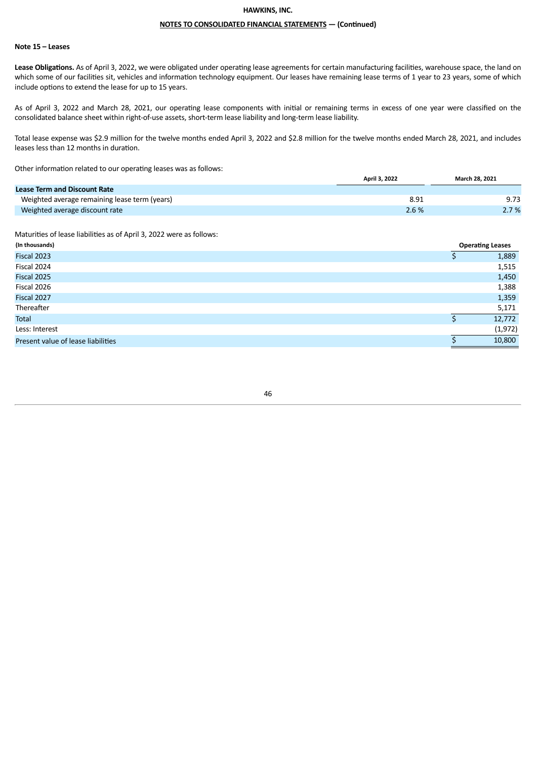## **NOTES TO CONSOLIDATED FINANCIAL STATEMENTS — (Continued)**

## **Note 15 – Leases**

**Lease Obligations.** As of April 3, 2022, we were obligated under operating lease agreements for certain manufacturing facilities, warehouse space, the land on which some of our facilities sit, vehicles and information technology equipment. Our leases have remaining lease terms of 1 year to 23 years, some of which include options to extend the lease for up to 15 years.

As of April 3, 2022 and March 28, 2021, our operating lease components with initial or remaining terms in excess of one year were classified on the consolidated balance sheet within right-of-use assets, short-term lease liability and long-term lease liability.

Total lease expense was \$2.9 million for the twelve months ended April 3, 2022 and \$2.8 million for the twelve months ended March 28, 2021, and includes leases less than 12 months in duration.

Other information related to our operating leases was as follows:

|                                               | April 3, 2022 | March 28, 2021 |
|-----------------------------------------------|---------------|----------------|
| <b>Lease Term and Discount Rate</b>           |               |                |
| Weighted average remaining lease term (years) | 8.91          |                |
| Weighted average discount rate                | 2.6%          | 2.7%           |

Maturities of lease liabilities as of April 3, 2022 were as follows:

| (In thousands)                     | <b>Operating Leases</b> |          |
|------------------------------------|-------------------------|----------|
| Fiscal 2023                        |                         | 1,889    |
| Fiscal 2024                        |                         | 1,515    |
| Fiscal 2025                        |                         | 1,450    |
| Fiscal 2026                        |                         | 1,388    |
| Fiscal 2027                        |                         | 1,359    |
| Thereafter                         |                         | 5,171    |
| <b>Total</b>                       |                         | 12,772   |
| Less: Interest                     |                         | (1, 972) |
| Present value of lease liabilities |                         | 10,800   |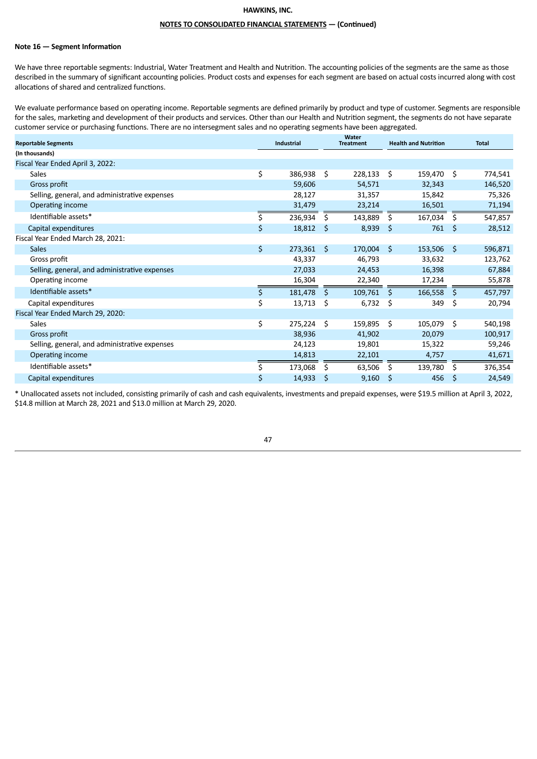## **NOTES TO CONSOLIDATED FINANCIAL STATEMENTS — (Continued)**

#### **Note 16 — Segment Information**

We have three reportable segments: Industrial, Water Treatment and Health and Nutrition. The accounting policies of the segments are the same as those described in the summary of significant accounting policies. Product costs and expenses for each segment are based on actual costs incurred along with cost allocations of shared and centralized functions.

We evaluate performance based on operating income. Reportable segments are defined primarily by product and type of customer. Segments are responsible for the sales, marketing and development of their products and services. Other than our Health and Nutrition segment, the segments do not have separate customer service or purchasing functions. There are no intersegment sales and no operating segments have been aggregated.

|                                               |                   |     | Water            |    |                             |         |              |
|-----------------------------------------------|-------------------|-----|------------------|----|-----------------------------|---------|--------------|
| <b>Reportable Segments</b>                    | <b>Industrial</b> |     | <b>Treatment</b> |    | <b>Health and Nutrition</b> |         | <b>Total</b> |
| (In thousands)                                |                   |     |                  |    |                             |         |              |
| Fiscal Year Ended April 3, 2022:              |                   |     |                  |    |                             |         |              |
| Sales                                         | \$<br>386,938 \$  |     | 228,133          | Ŝ. | 159,470                     | -Ś      | 774,541      |
| Gross profit                                  | 59,606            |     | 54,571           |    | 32,343                      |         | 146,520      |
| Selling, general, and administrative expenses | 28,127            |     | 31,357           |    | 15,842                      |         | 75,326       |
| Operating income                              | 31,479            |     | 23,214           |    | 16,501                      |         | 71,194       |
| Identifiable assets*                          | \$<br>236,934     | Ŝ.  | 143,889          | Ś. | 167,034                     | Ŝ.      | 547,857      |
| Capital expenditures                          | \$<br>18,812      | -\$ | 8,939            | \$ | 761                         | $\zeta$ | 28,512       |
| Fiscal Year Ended March 28, 2021:             |                   |     |                  |    |                             |         |              |
| <b>Sales</b>                                  | \$<br>273,361 \$  |     | 170,004          | Ŝ. | 153,506                     | Ŝ.      | 596,871      |
| Gross profit                                  | 43,337            |     | 46,793           |    | 33,632                      |         | 123,762      |
| Selling, general, and administrative expenses | 27,033            |     | 24,453           |    | 16,398                      |         | 67,884       |
| Operating income                              | 16,304            |     | 22,340           |    | 17,234                      |         | 55,878       |
| Identifiable assets*                          | \$<br>181,478     | Ŝ.  | 109,761          | Ŝ. | 166,558                     | Ŝ.      | 457,797      |
| Capital expenditures                          | \$<br>13,713      | Ŝ.  | 6,732            | \$ | 349                         | \$      | 20,794       |
| Fiscal Year Ended March 29, 2020:             |                   |     |                  |    |                             |         |              |
| <b>Sales</b>                                  | \$<br>275,224 \$  |     | 159,895          | Ś. | 105,079                     | S.      | 540,198      |
| Gross profit                                  | 38,936            |     | 41,902           |    | 20,079                      |         | 100,917      |
| Selling, general, and administrative expenses | 24,123            |     | 19,801           |    | 15,322                      |         | 59,246       |
| Operating income                              | 14,813            |     | 22,101           |    | 4,757                       |         | 41,671       |
| Identifiable assets*                          | 173,068           | Ŝ.  | 63,506           | Ś. | 139,780                     | Ś.      | 376,354      |
| Capital expenditures                          | \$<br>14,933      | \$  | 9,160            | \$ | 456                         | \$      | 24,549       |

\* Unallocated assets not included, consisting primarily of cash and cash equivalents, investments and prepaid expenses, were \$19.5 million at April 3, 2022, \$14.8 million at March 28, 2021 and \$13.0 million at March 29, 2020.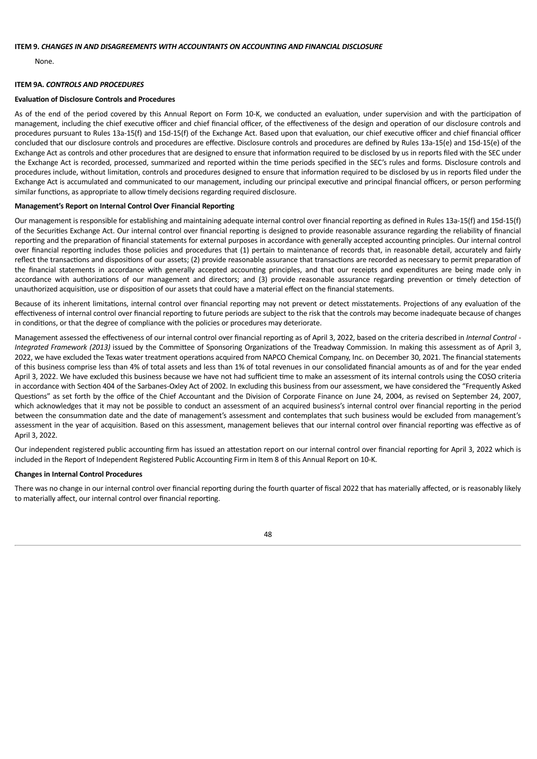### **ITEM 9.** *CHANGES IN AND DISAGREEMENTS WITH ACCOUNTANTS ON ACCOUNTING AND FINANCIAL DISCLOSURE*

None.

### **ITEM 9A.** *CONTROLS AND PROCEDURES*

#### **Evaluation of Disclosure Controls and Procedures**

As of the end of the period covered by this Annual Report on Form 10-K, we conducted an evaluation, under supervision and with the participation of management, including the chief executive officer and chief financial officer, of the effectiveness of the design and operation of our disclosure controls and procedures pursuant to Rules 13a-15(f) and 15d-15(f) of the Exchange Act. Based upon that evaluation, our chief executive officer and chief financial officer concluded that our disclosure controls and procedures are effective. Disclosure controls and procedures are defined by Rules 13a-15(e) and 15d-15(e) of the Exchange Act as controls and other procedures that are designed to ensure that information required to be disclosed by us in reports filed with the SEC under the Exchange Act is recorded, processed, summarized and reported within the time periods specified in the SEC's rules and forms. Disclosure controls and procedures include, without limitation, controls and procedures designed to ensure that information required to be disclosed by us in reports filed under the Exchange Act is accumulated and communicated to our management, including our principal executive and principal financial officers, or person performing similar functions, as appropriate to allow timely decisions regarding required disclosure.

#### **Management's Report on Internal Control Over Financial Reporting**

Our management is responsible for establishing and maintaining adequate internal control over financial reporting as defined in Rules 13a-15(f) and 15d-15(f) of the Securities Exchange Act. Our internal control over financial reporting is designed to provide reasonable assurance regarding the reliability of financial reporting and the preparation of financial statements for external purposes in accordance with generally accepted accounting principles. Our internal control over financial reporting includes those policies and procedures that (1) pertain to maintenance of records that, in reasonable detail, accurately and fairly reflect the transactions and dispositions of our assets; (2) provide reasonable assurance that transactions are recorded as necessary to permit preparation of the financial statements in accordance with generally accepted accounting principles, and that our receipts and expenditures are being made only in accordance with authorizations of our management and directors; and (3) provide reasonable assurance regarding prevention or timely detection of unauthorized acquisition, use or disposition of our assets that could have a material effect on the financial statements.

Because of its inherent limitations, internal control over financial reporting may not prevent or detect misstatements. Projections of any evaluation of the effectiveness of internal control over financial reporting to future periods are subject to the risk that the controls may become inadequate because of changes in conditions, or that the degree of compliance with the policies or procedures may deteriorate.

Management assessed the effectiveness of our internal control over financial reporting as of April 3, 2022, based on the criteria described in *Internal Control - Integrated Framework (2013)* issued by the Committee of Sponsoring Organizations of the Treadway Commission. In making this assessment as of April 3, 2022, we have excluded the Texas water treatment operations acquired from NAPCO Chemical Company, Inc. on December 30, 2021. The financial statements of this business comprise less than 4% of total assets and less than 1% of total revenues in our consolidated financial amounts as of and for the year ended April 3, 2022. We have excluded this business because we have not had sufficient time to make an assessment of its internal controls using the COSO criteria in accordance with Section 404 of the Sarbanes-Oxley Act of 2002. In excluding this business from our assessment, we have considered the "Frequently Asked Questions" as set forth by the office of the Chief Accountant and the Division of Corporate Finance on June 24, 2004, as revised on September 24, 2007, which acknowledges that it may not be possible to conduct an assessment of an acquired business's internal control over financial reporting in the period between the consummation date and the date of management's assessment and contemplates that such business would be excluded from management's assessment in the year of acquisition. Based on this assessment, management believes that our internal control over financial reporting was effective as of April 3, 2022.

Our independent registered public accounting firm has issued an attestation report on our internal control over financial reporting for April 3, 2022 which is included in the Report of Independent Registered Public Accounting Firm in Item 8 of this Annual Report on 10-K.

## **Changes in Internal Control Procedures**

There was no change in our internal control over financial reporting during the fourth quarter of fiscal 2022 that has materially affected, or is reasonably likely to materially affect, our internal control over financial reporting.

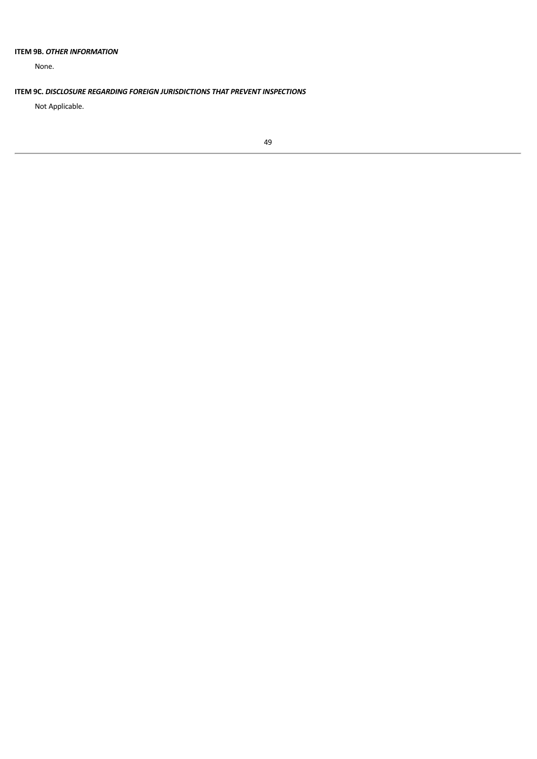# **ITEM 9B.** *OTHER INFORMATION*

None.

# **ITEM 9C.** *DISCLOSURE REGARDING FOREIGN JURISDICTIONS THAT PREVENT INSPECTIONS*

Not Applicable.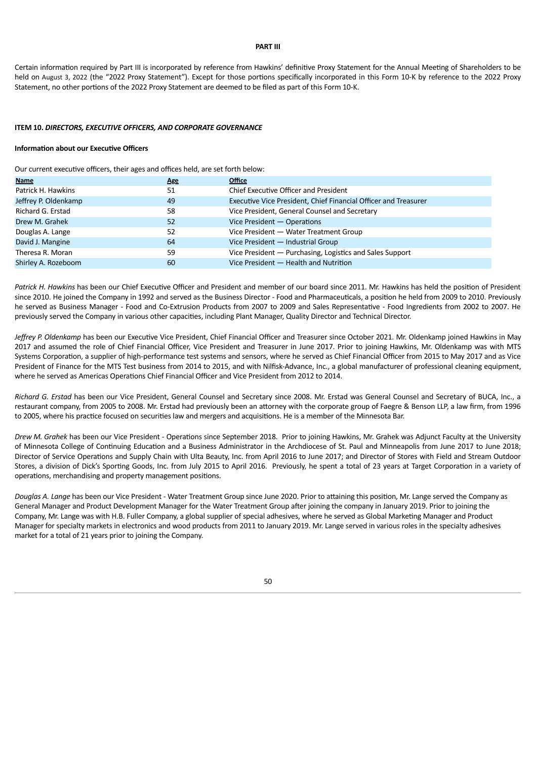# **PART III**

Certain information required by Part III is incorporated by reference from Hawkins' definitive Proxy Statement for the Annual Meeting of Shareholders to be held on August 3, 2022 (the "2022 Proxy Statement"). Except for those portions specifically incorporated in this Form 10-K by reference to the 2022 Proxy Statement, no other portions of the 2022 Proxy Statement are deemed to be filed as part of this Form 10-K.

#### **ITEM 10.** *DIRECTORS, EXECUTIVE OFFICERS, AND CORPORATE GOVERNANCE*

#### **Information about our Executive Officers**

Our current executive officers, their ages and offices held, are set forth below:

| <b>Name</b>          | Age | Office                                                          |
|----------------------|-----|-----------------------------------------------------------------|
| Patrick H. Hawkins   | 51  | Chief Executive Officer and President                           |
| Jeffrey P. Oldenkamp | 49  | Executive Vice President, Chief Financial Officer and Treasurer |
| Richard G. Erstad    | 58  | Vice President, General Counsel and Secretary                   |
| Drew M. Grahek       | 52  | Vice President - Operations                                     |
| Douglas A. Lange     | 52  | Vice President - Water Treatment Group                          |
| David J. Mangine     | 64  | Vice President - Industrial Group                               |
| Theresa R. Moran     | 59  | Vice President — Purchasing, Logistics and Sales Support        |
| Shirley A. Rozeboom  | 60  | Vice President - Health and Nutrition                           |

*Patrick H. Hawkins* has been our Chief Executive Officer and President and member of our board since 2011. Mr. Hawkins has held the position of President since 2010. He joined the Company in 1992 and served as the Business Director - Food and Pharmaceuticals, a position he held from 2009 to 2010. Previously he served as Business Manager - Food and Co-Extrusion Products from 2007 to 2009 and Sales Representative - Food Ingredients from 2002 to 2007. He previously served the Company in various other capacities, including Plant Manager, Quality Director and Technical Director.

*Jeffrey P. Oldenkamp* has been our Executive Vice President, Chief Financial Officer and Treasurer since October 2021. Mr. Oldenkamp joined Hawkins in May 2017 and assumed the role of Chief Financial Officer, Vice President and Treasurer in June 2017. Prior to joining Hawkins, Mr. Oldenkamp was with MTS Systems Corporation, a supplier of high-performance test systems and sensors, where he served as Chief Financial Officer from 2015 to May 2017 and as Vice President of Finance for the MTS Test business from 2014 to 2015, and with Nilfisk-Advance, Inc., a global manufacturer of professional cleaning equipment, where he served as Americas Operations Chief Financial Officer and Vice President from 2012 to 2014.

*Richard G. Erstad* has been our Vice President, General Counsel and Secretary since 2008. Mr. Erstad was General Counsel and Secretary of BUCA, Inc., a restaurant company, from 2005 to 2008. Mr. Erstad had previously been an attorney with the corporate group of Faegre & Benson LLP, a law firm, from 1996 to 2005, where his practice focused on securities law and mergers and acquisitions. He is a member of the Minnesota Bar.

*Drew M. Grahek* has been our Vice President - Operations since September 2018. Prior to joining Hawkins, Mr. Grahek was Adjunct Faculty at the University of Minnesota College of Continuing Education and a Business Administrator in the Archdiocese of St. Paul and Minneapolis from June 2017 to June 2018; Director of Service Operations and Supply Chain with Ulta Beauty, Inc. from April 2016 to June 2017; and Director of Stores with Field and Stream Outdoor Stores, a division of Dick's Sporting Goods, Inc. from July 2015 to April 2016. Previously, he spent a total of 23 years at Target Corporation in a variety of operations, merchandising and property management positions.

*Douglas A. Lange* has been our Vice President - Water Treatment Group since June 2020. Prior to attaining this position, Mr. Lange served the Company as General Manager and Product Development Manager for the Water Treatment Group after joining the company in January 2019. Prior to joining the Company, Mr. Lange was with H.B. Fuller Company, a global supplier of special adhesives, where he served as Global Marketing Manager and Product Manager for specialty markets in electronics and wood products from 2011 to January 2019. Mr. Lange served in various roles in the specialty adhesives market for a total of 21 years prior to joining the Company.

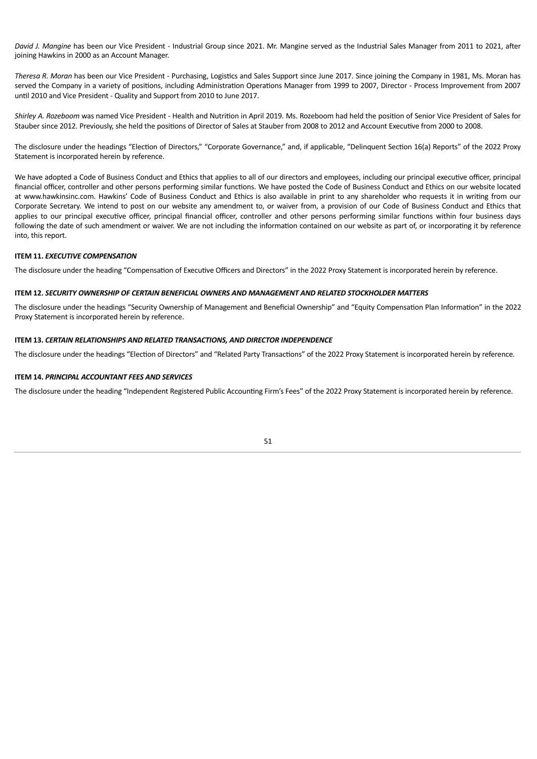*David J. Mangine* has been our Vice President - Industrial Group since 2021. Mr. Mangine served as the Industrial Sales Manager from 2011 to 2021, after joining Hawkins in 2000 as an Account Manager.

*Theresa R. Moran* has been our Vice President - Purchasing, Logistics and Sales Support since June 2017. Since joining the Company in 1981, Ms. Moran has served the Company in a variety of positions, including Administration Operations Manager from 1999 to 2007, Director - Process Improvement from 2007 until 2010 and Vice President - Quality and Support from 2010 to June 2017.

*Shirley A. Rozeboom* was named Vice President - Health and Nutrition in April 2019. Ms. Rozeboom had held the position of Senior Vice President of Sales for Stauber since 2012. Previously, she held the positions of Director of Sales at Stauber from 2008 to 2012 and Account Executive from 2000 to 2008.

The disclosure under the headings "Election of Directors," "Corporate Governance," and, if applicable, "Delinquent Section 16(a) Reports" of the 2022 Proxy Statement is incorporated herein by reference.

We have adopted a Code of Business Conduct and Ethics that applies to all of our directors and employees, including our principal executive officer, principal financial officer, controller and other persons performing similar functions. We have posted the Code of Business Conduct and Ethics on our website located at www.hawkinsinc.com. Hawkins' Code of Business Conduct and Ethics is also available in print to any shareholder who requests it in writing from our Corporate Secretary. We intend to post on our website any amendment to, or waiver from, a provision of our Code of Business Conduct and Ethics that applies to our principal executive officer, principal financial officer, controller and other persons performing similar functions within four business days following the date of such amendment or waiver. We are not including the information contained on our website as part of, or incorporating it by reference into, this report.

## **ITEM 11.** *EXECUTIVE COMPENSATION*

The disclosure under the heading "Compensation of Executive Officers and Directors" in the 2022 Proxy Statement is incorporated herein by reference.

## **ITEM 12.** *SECURITY OWNERSHIP OF CERTAIN BENEFICIAL OWNERS AND MANAGEMENT AND RELATED STOCKHOLDER MATTERS*

The disclosure under the headings "Security Ownership of Management and Beneficial Ownership" and "Equity Compensation Plan Information" in the 2022 Proxy Statement is incorporated herein by reference.

## **ITEM 13.** *CERTAIN RELATIONSHIPS AND RELATED TRANSACTIONS, AND DIRECTOR INDEPENDENCE*

The disclosure under the headings "Election of Directors" and "Related Party Transactions" of the 2022 Proxy Statement is incorporated herein by reference.

## **ITEM 14.** *PRINCIPAL ACCOUNTANT FEES AND SERVICES*

The disclosure under the heading "Independent Registered Public Accounting Firm's Fees" of the 2022 Proxy Statement is incorporated herein by reference.

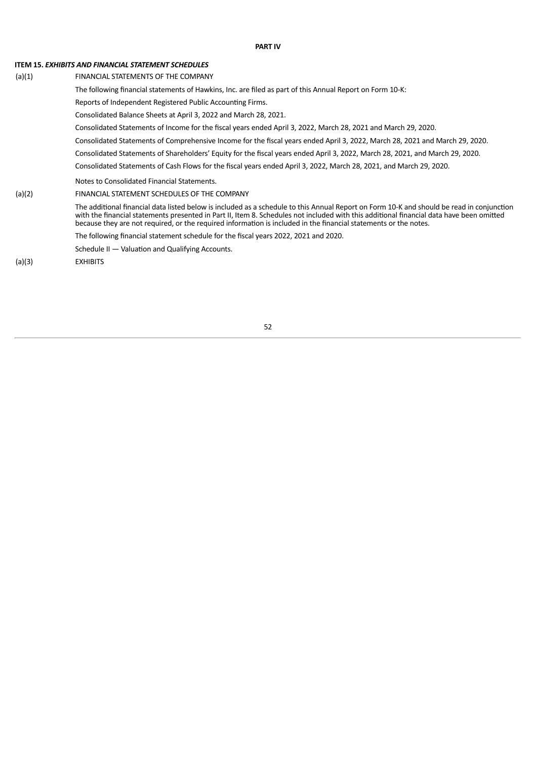# **PART IV**

# **ITEM 15.** *EXHIBITS AND FINANCIAL STATEMENT SCHEDULES*

| (a)(1) | FINANCIAL STATEMENTS OF THE COMPANY                                                                                                                                                                                                                                                                                                                                                                       |
|--------|-----------------------------------------------------------------------------------------------------------------------------------------------------------------------------------------------------------------------------------------------------------------------------------------------------------------------------------------------------------------------------------------------------------|
|        | The following financial statements of Hawkins, Inc. are filed as part of this Annual Report on Form 10-K:                                                                                                                                                                                                                                                                                                 |
|        | Reports of Independent Registered Public Accounting Firms.                                                                                                                                                                                                                                                                                                                                                |
|        | Consolidated Balance Sheets at April 3, 2022 and March 28, 2021.                                                                                                                                                                                                                                                                                                                                          |
|        | Consolidated Statements of Income for the fiscal years ended April 3, 2022, March 28, 2021 and March 29, 2020.                                                                                                                                                                                                                                                                                            |
|        | Consolidated Statements of Comprehensive Income for the fiscal years ended April 3, 2022, March 28, 2021 and March 29, 2020.                                                                                                                                                                                                                                                                              |
|        | Consolidated Statements of Shareholders' Equity for the fiscal years ended April 3, 2022, March 28, 2021, and March 29, 2020.                                                                                                                                                                                                                                                                             |
|        | Consolidated Statements of Cash Flows for the fiscal years ended April 3, 2022, March 28, 2021, and March 29, 2020.                                                                                                                                                                                                                                                                                       |
|        | Notes to Consolidated Financial Statements.                                                                                                                                                                                                                                                                                                                                                               |
| (a)(2) | FINANCIAL STATEMENT SCHEDULES OF THE COMPANY                                                                                                                                                                                                                                                                                                                                                              |
|        | The additional financial data listed below is included as a schedule to this Annual Report on Form 10-K and should be read in conjunction<br>with the financial statements presented in Part II, Item 8. Schedules not included with this additional financial data have been omitted<br>because they are not required, or the required information is included in the financial statements or the notes. |
|        | The following financial statement schedule for the fiscal years 2022, 2021 and 2020.                                                                                                                                                                                                                                                                                                                      |
|        | Schedule II - Valuation and Qualifying Accounts.                                                                                                                                                                                                                                                                                                                                                          |
| (a)(3) | <b>EXHIBITS</b>                                                                                                                                                                                                                                                                                                                                                                                           |
|        |                                                                                                                                                                                                                                                                                                                                                                                                           |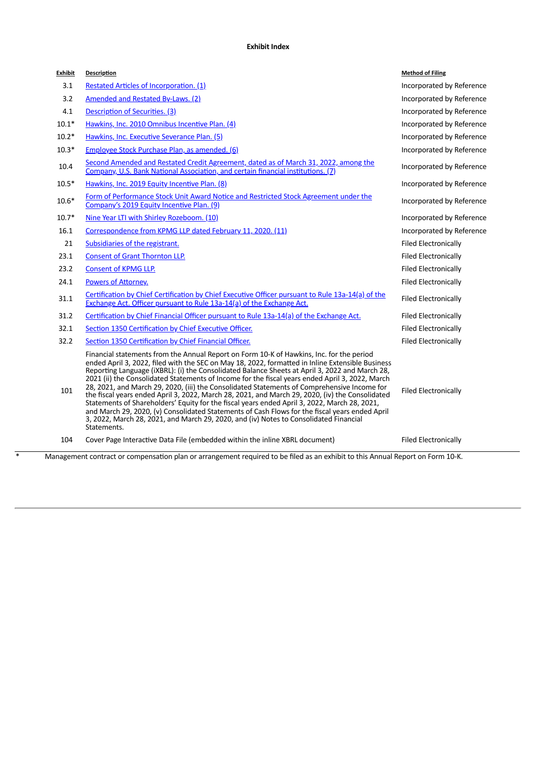# **Exhibit Index**

| <b>Exhibit</b> | <b>Description</b>                                                                                                                                                                                                                                                                                                                                                                                                                                                                                                                                                                                                                                                                                                                                                                                                                                                                                            | <b>Method of Filing</b>     |
|----------------|---------------------------------------------------------------------------------------------------------------------------------------------------------------------------------------------------------------------------------------------------------------------------------------------------------------------------------------------------------------------------------------------------------------------------------------------------------------------------------------------------------------------------------------------------------------------------------------------------------------------------------------------------------------------------------------------------------------------------------------------------------------------------------------------------------------------------------------------------------------------------------------------------------------|-----------------------------|
| 3.1            | <b>Restated Articles of Incorporation. (1)</b>                                                                                                                                                                                                                                                                                                                                                                                                                                                                                                                                                                                                                                                                                                                                                                                                                                                                | Incorporated by Reference   |
| 3.2            | Amended and Restated By-Laws. (2)                                                                                                                                                                                                                                                                                                                                                                                                                                                                                                                                                                                                                                                                                                                                                                                                                                                                             | Incorporated by Reference   |
| 4.1            | Description of Securities. (3)                                                                                                                                                                                                                                                                                                                                                                                                                                                                                                                                                                                                                                                                                                                                                                                                                                                                                | Incorporated by Reference   |
| $10.1*$        | Hawkins, Inc. 2010 Omnibus Incentive Plan. (4)                                                                                                                                                                                                                                                                                                                                                                                                                                                                                                                                                                                                                                                                                                                                                                                                                                                                | Incorporated by Reference   |
| $10.2*$        | Hawkins, Inc. Executive Severance Plan. (5)                                                                                                                                                                                                                                                                                                                                                                                                                                                                                                                                                                                                                                                                                                                                                                                                                                                                   | Incorporated by Reference   |
| $10.3*$        | Employee Stock Purchase Plan, as amended. (6)                                                                                                                                                                                                                                                                                                                                                                                                                                                                                                                                                                                                                                                                                                                                                                                                                                                                 | Incorporated by Reference   |
| 10.4           | Second Amended and Restated Credit Agreement, dated as of March 31, 2022, among the<br>Company, U.S. Bank National Association, and certain financial institutions. (7)                                                                                                                                                                                                                                                                                                                                                                                                                                                                                                                                                                                                                                                                                                                                       | Incorporated by Reference   |
| $10.5*$        | Hawkins, Inc. 2019 Equity Incentive Plan. (8)                                                                                                                                                                                                                                                                                                                                                                                                                                                                                                                                                                                                                                                                                                                                                                                                                                                                 | Incorporated by Reference   |
| $10.6*$        | Form of Performance Stock Unit Award Notice and Restricted Stock Agreement under the<br>Company's 2019 Equity Incentive Plan. (9)                                                                                                                                                                                                                                                                                                                                                                                                                                                                                                                                                                                                                                                                                                                                                                             | Incorporated by Reference   |
| $10.7*$        | Nine Year LTI with Shirley Rozeboom. (10)                                                                                                                                                                                                                                                                                                                                                                                                                                                                                                                                                                                                                                                                                                                                                                                                                                                                     | Incorporated by Reference   |
| 16.1           | Correspondence from KPMG LLP dated February 11, 2020. (11)                                                                                                                                                                                                                                                                                                                                                                                                                                                                                                                                                                                                                                                                                                                                                                                                                                                    | Incorporated by Reference   |
| 21             | Subsidiaries of the registrant.                                                                                                                                                                                                                                                                                                                                                                                                                                                                                                                                                                                                                                                                                                                                                                                                                                                                               | <b>Filed Electronically</b> |
| 23.1           | <b>Consent of Grant Thornton LLP.</b>                                                                                                                                                                                                                                                                                                                                                                                                                                                                                                                                                                                                                                                                                                                                                                                                                                                                         | <b>Filed Electronically</b> |
| 23.2           | <b>Consent of KPMG LLP.</b>                                                                                                                                                                                                                                                                                                                                                                                                                                                                                                                                                                                                                                                                                                                                                                                                                                                                                   | <b>Filed Electronically</b> |
| 24.1           | Powers of Attorney.                                                                                                                                                                                                                                                                                                                                                                                                                                                                                                                                                                                                                                                                                                                                                                                                                                                                                           | <b>Filed Electronically</b> |
| 31.1           | Certification by Chief Certification by Chief Executive Officer pursuant to Rule 13a-14(a) of the<br>Exchange Act. Officer pursuant to Rule 13a-14(a) of the Exchange Act.                                                                                                                                                                                                                                                                                                                                                                                                                                                                                                                                                                                                                                                                                                                                    | <b>Filed Electronically</b> |
| 31.2           | Certification by Chief Financial Officer pursuant to Rule 13a-14(a) of the Exchange Act.                                                                                                                                                                                                                                                                                                                                                                                                                                                                                                                                                                                                                                                                                                                                                                                                                      | <b>Filed Electronically</b> |
| 32.1           | Section 1350 Certification by Chief Executive Officer.                                                                                                                                                                                                                                                                                                                                                                                                                                                                                                                                                                                                                                                                                                                                                                                                                                                        | <b>Filed Electronically</b> |
| 32.2           | Section 1350 Certification by Chief Financial Officer.                                                                                                                                                                                                                                                                                                                                                                                                                                                                                                                                                                                                                                                                                                                                                                                                                                                        | <b>Filed Electronically</b> |
| 101            | Financial statements from the Annual Report on Form 10-K of Hawkins, Inc. for the period<br>ended April 3, 2022, filed with the SEC on May 18, 2022, formatted in Inline Extensible Business<br>Reporting Language (iXBRL): (i) the Consolidated Balance Sheets at April 3, 2022 and March 28,<br>2021 (ii) the Consolidated Statements of Income for the fiscal years ended April 3, 2022, March<br>28, 2021, and March 29, 2020, (iii) the Consolidated Statements of Comprehensive Income for<br>the fiscal years ended April 3, 2022, March 28, 2021, and March 29, 2020, (iv) the Consolidated<br>Statements of Shareholders' Equity for the fiscal years ended April 3, 2022, March 28, 2021,<br>and March 29, 2020, (v) Consolidated Statements of Cash Flows for the fiscal years ended April<br>3, 2022, March 28, 2021, and March 29, 2020, and (iv) Notes to Consolidated Financial<br>Statements. | <b>Filed Electronically</b> |
| 104            | Cover Page Interactive Data File (embedded within the inline XBRL document)                                                                                                                                                                                                                                                                                                                                                                                                                                                                                                                                                                                                                                                                                                                                                                                                                                   | <b>Filed Electronically</b> |

\* Management contract or compensation plan or arrangement required to be filed as an exhibit to this Annual Report on Form 10-K.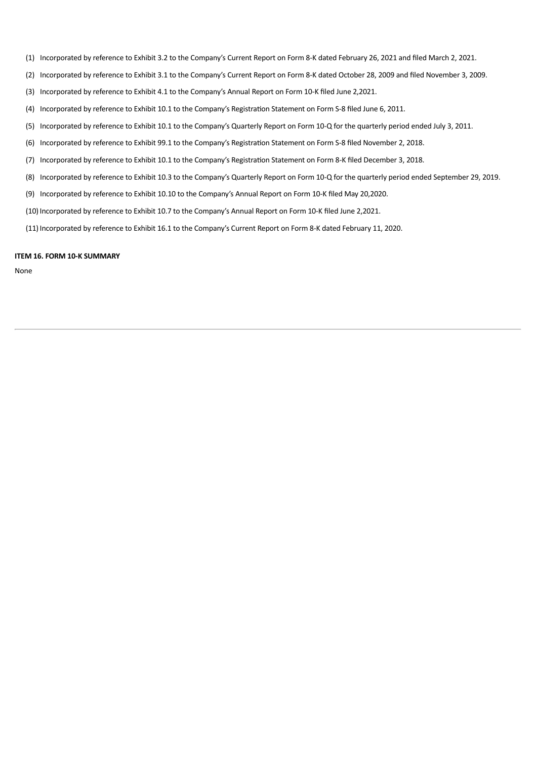- (1) Incorporated by reference to Exhibit 3.2 to the Company's Current Report on Form 8-K dated February 26, 2021 and filed March 2, 2021.
- (2) Incorporated by reference to Exhibit 3.1 to the Company's Current Report on Form 8-K dated October 28, 2009 and filed November 3, 2009.
- (3) Incorporated by reference to Exhibit 4.1 to the Company's Annual Report on Form 10-K filed June 2,2021.
- (4) Incorporated by reference to Exhibit 10.1 to the Company's Registration Statement on Form S-8 filed June 6, 2011.
- (5) Incorporated by reference to Exhibit 10.1 to the Company's Quarterly Report on Form 10-Q for the quarterly period ended July 3, 2011.
- (6) Incorporated by reference to Exhibit 99.1 to the Company's Registration Statement on Form S-8 filed November 2, 2018.
- (7) Incorporated by reference to Exhibit 10.1 to the Company's Registration Statement on Form 8-K filed December 3, 2018.
- (8) Incorporated by reference to Exhibit 10.3 to the Company's Quarterly Report on Form 10-Q for the quarterly period ended September 29, 2019.
- (9) Incorporated by reference to Exhibit 10.10 to the Company's Annual Report on Form 10-K filed May 20,2020.
- (10)Incorporated by reference to Exhibit 10.7 to the Company's Annual Report on Form 10-K filed June 2,2021.
- (11)Incorporated by reference to Exhibit 16.1 to the Company's Current Report on Form 8-K dated February 11, 2020.

# **ITEM 16. FORM 10-K SUMMARY**

None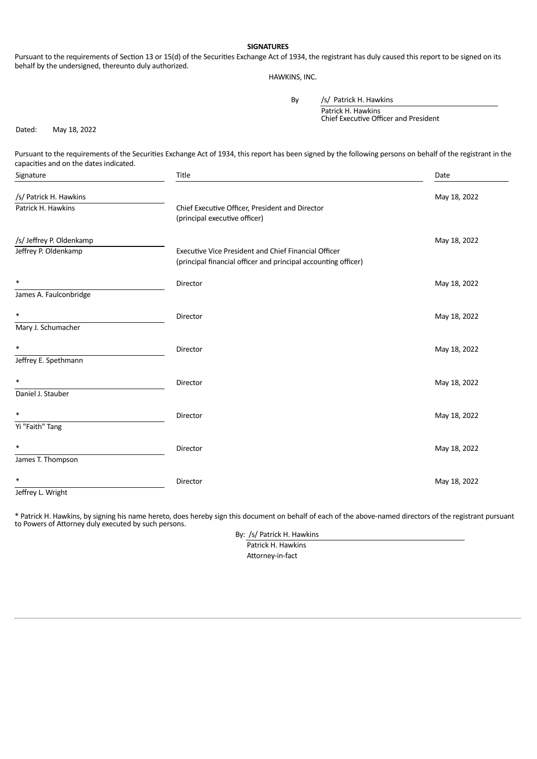**SIGNATURES**

Pursuant to the requirements of Section 13 or 15(d) of the Securities Exchange Act of 1934, the registrant has duly caused this report to be signed on its behalf by the undersigned, thereunto duly authorized.

HAWKINS, INC.

By /s/ Patrick H. Hawkins

Patrick H. Hawkins Chief Executive Officer and President

Dated: May 18, 2022

Pursuant to the requirements of the Securities Exchange Act of 1934, this report has been signed by the following persons on behalf of the registrant in the capacities and on the dates indicated.

| Signature                | Title                                                                                                                  | Date         |
|--------------------------|------------------------------------------------------------------------------------------------------------------------|--------------|
| /s/ Patrick H. Hawkins   |                                                                                                                        | May 18, 2022 |
| Patrick H. Hawkins       | Chief Executive Officer, President and Director<br>(principal executive officer)                                       |              |
| /s/ Jeffrey P. Oldenkamp |                                                                                                                        | May 18, 2022 |
| Jeffrey P. Oldenkamp     | Executive Vice President and Chief Financial Officer<br>(principal financial officer and principal accounting officer) |              |
| $\ast$                   | Director                                                                                                               | May 18, 2022 |
| James A. Faulconbridge   |                                                                                                                        |              |
| $\ast$                   | Director                                                                                                               | May 18, 2022 |
| Mary J. Schumacher       |                                                                                                                        |              |
| $\ast$                   | Director                                                                                                               | May 18, 2022 |
| Jeffrey E. Spethmann     |                                                                                                                        |              |
| $\ast$                   | Director                                                                                                               | May 18, 2022 |
| Daniel J. Stauber        |                                                                                                                        |              |
| $\ast$                   | Director                                                                                                               | May 18, 2022 |
| Yi "Faith" Tang          |                                                                                                                        |              |
| $\ast$                   | Director                                                                                                               | May 18, 2022 |
| James T. Thompson        |                                                                                                                        |              |
| $\ast$                   | Director                                                                                                               | May 18, 2022 |
| Jeffrey L. Wright        |                                                                                                                        |              |

\* Patrick H. Hawkins, by signing his name hereto, does hereby sign this document on behalf of each of the above-named directors of the registrant pursuant to Powers of Attorney duly executed by such persons.

By: /s/ Patrick H. Hawkins

Patrick H. Hawkins Attorney-in-fact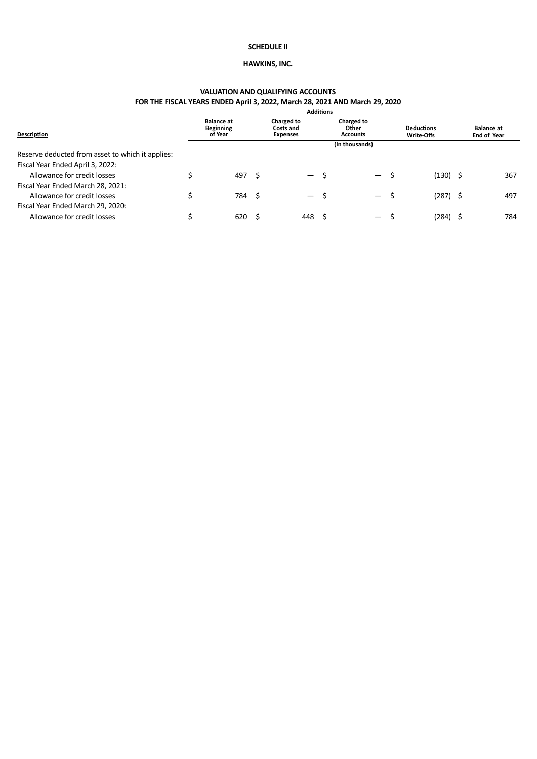# **SCHEDULE II**

# **HAWKINS, INC.**

#### **VALUATION AND QUALIFYING ACCOUNTS FOR THE FISCAL YEARS ENDED April 3, 2022, March 28, 2021 AND March 29, 2020**

|                                                  |  |                                                  |     |                                            | <b>Additions</b> |                                        |  |                                 |                                  |  |
|--------------------------------------------------|--|--------------------------------------------------|-----|--------------------------------------------|------------------|----------------------------------------|--|---------------------------------|----------------------------------|--|
| Description                                      |  | <b>Balance at</b><br><b>Beginning</b><br>of Year |     | Charged to<br>Costs and<br><b>Expenses</b> |                  | Charged to<br>Other<br><b>Accounts</b> |  | <b>Deductions</b><br>Write-Offs | <b>Balance at</b><br>End of Year |  |
|                                                  |  |                                                  |     |                                            |                  | (In thousands)                         |  |                                 |                                  |  |
| Reserve deducted from asset to which it applies: |  |                                                  |     |                                            |                  |                                        |  |                                 |                                  |  |
| Fiscal Year Ended April 3, 2022:                 |  |                                                  |     |                                            |                  |                                        |  |                                 |                                  |  |
| Allowance for credit losses                      |  | 497 \$                                           |     | — \$                                       |                  | — \$                                   |  | $(130)$ \$                      | 367                              |  |
| Fiscal Year Ended March 28, 2021:                |  |                                                  |     |                                            |                  |                                        |  |                                 |                                  |  |
| Allowance for credit losses                      |  | 784 \$                                           |     | $-5$                                       |                  | $-$                                    |  | $(287)$ \$                      | 497                              |  |
| Fiscal Year Ended March 29, 2020:                |  |                                                  |     |                                            |                  |                                        |  |                                 |                                  |  |
| Allowance for credit losses                      |  | 620                                              | - S | 448 S                                      |                  | $-5$                                   |  | $(284)$ \$                      | 784                              |  |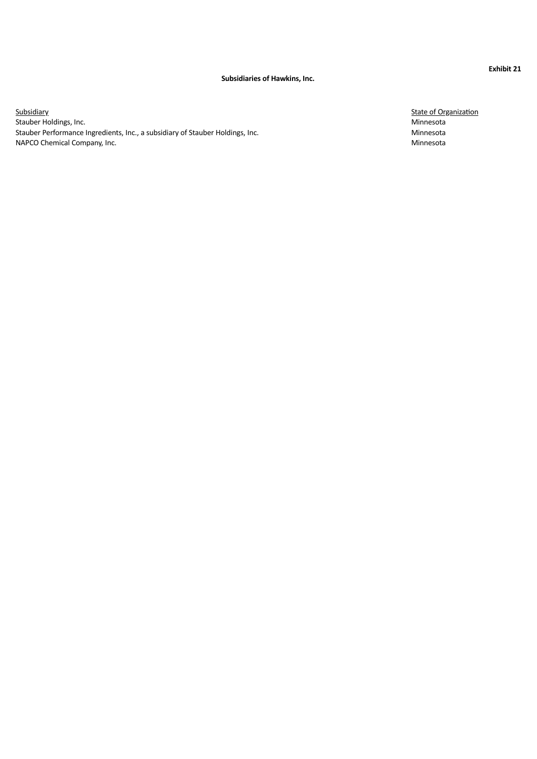# **Exhibit 21**

## **Subsidiaries of Hawkins, Inc.**

<span id="page-59-0"></span>**Subsidiary Subsidiary State of Organization** Stauber Holdings, Inc. **Minnesota** Stauber Performance Ingredients, Inc., a subsidiary of Stauber Holdings, Inc.<br>
NAPCO Chemical Company, Inc. Minnesota NAPCO Chemical Company, Inc.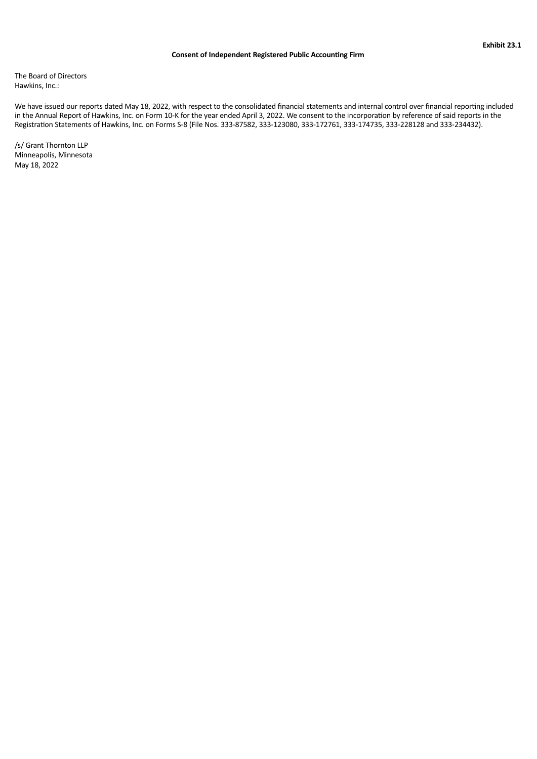#### **Consent of Independent Registered Public Accounting Firm**

<span id="page-60-0"></span>The Board of Directors Hawkins, Inc.:

We have issued our reports dated May 18, 2022, with respect to the consolidated financial statements and internal control over financial reporting included in the Annual Report of Hawkins, Inc. on Form 10-K for the year ended April 3, 2022. We consent to the incorporation by reference of said reports in the Registration Statements of Hawkins, Inc. on Forms S-8 (File Nos. 333-87582, 333-123080, 333-172761, 333-174735, 333-228128 and 333-234432).

/s/ Grant Thornton LLP Minneapolis, Minnesota May 18, 2022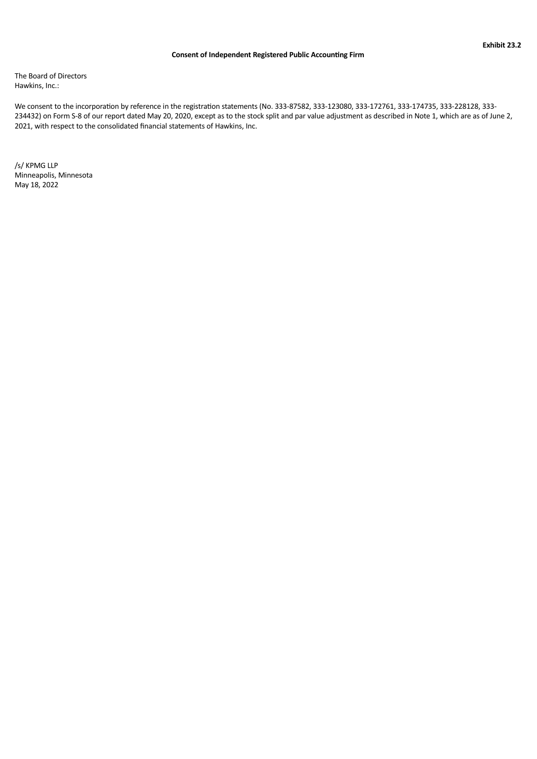#### **Consent of Independent Registered Public Accounting Firm**

<span id="page-61-0"></span>The Board of Directors Hawkins, Inc.:

We consent to the incorporation by reference in the registration statements (No. 333-87582, 333-123080, 333-172761, 333-174735, 333-228128, 333- 234432) on Form S-8 of our report dated May 20, 2020, except as to the stock split and par value adjustment as described in Note 1, which are as of June 2, 2021, with respect to the consolidated financial statements of Hawkins, Inc.

/s/ KPMG LLP Minneapolis, Minnesota May 18, 2022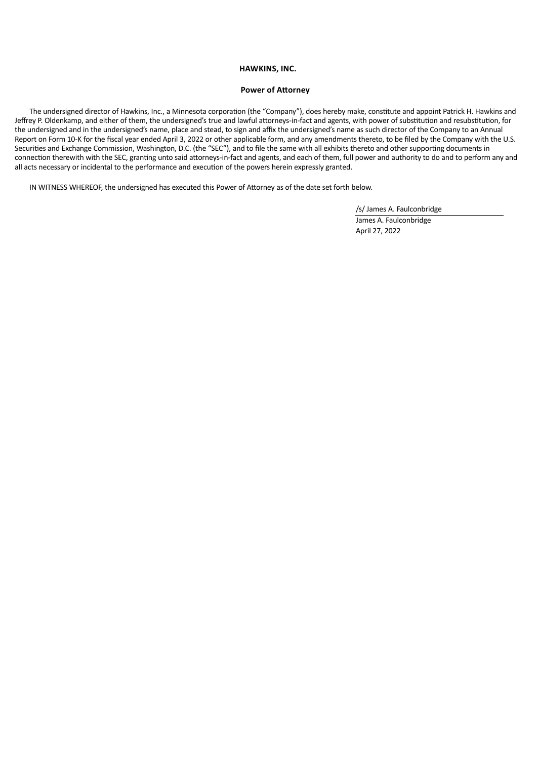## **Power of Attorney**

<span id="page-62-0"></span>The undersigned director of Hawkins, Inc., a Minnesota corporation (the "Company"), does hereby make, constitute and appoint Patrick H. Hawkins and Jeffrey P. Oldenkamp, and either of them, the undersigned's true and lawful attorneys-in-fact and agents, with power of substitution and resubstitution, for the undersigned and in the undersigned's name, place and stead, to sign and affix the undersigned's name as such director of the Company to an Annual Report on Form 10-K for the fiscal year ended April 3, 2022 or other applicable form, and any amendments thereto, to be filed by the Company with the U.S. Securities and Exchange Commission, Washington, D.C. (the "SEC"), and to file the same with all exhibits thereto and other supporting documents in connection therewith with the SEC, granting unto said attorneys-in-fact and agents, and each of them, full power and authority to do and to perform any and all acts necessary or incidental to the performance and execution of the powers herein expressly granted.

IN WITNESS WHEREOF, the undersigned has executed this Power of Attorney as of the date set forth below.

/s/ James A. Faulconbridge

James A. Faulconbridge April 27, 2022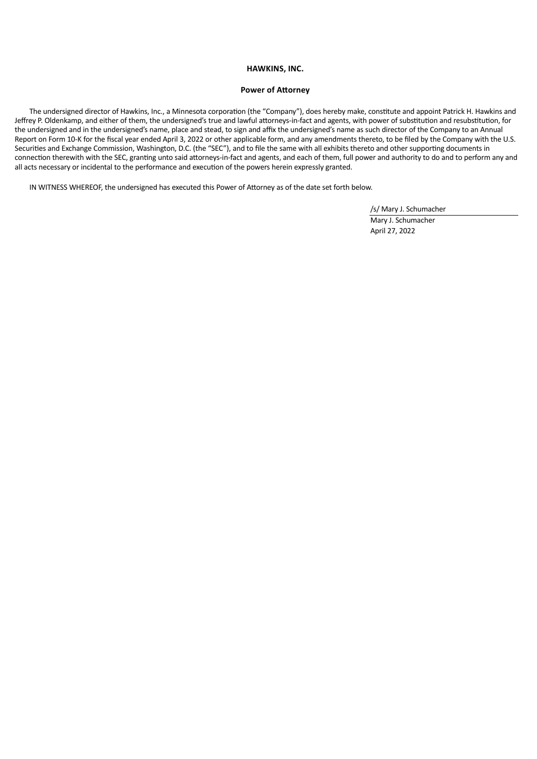## **Power of Attorney**

The undersigned director of Hawkins, Inc., a Minnesota corporation (the "Company"), does hereby make, constitute and appoint Patrick H. Hawkins and Jeffrey P. Oldenkamp, and either of them, the undersigned's true and lawful attorneys-in-fact and agents, with power of substitution and resubstitution, for the undersigned and in the undersigned's name, place and stead, to sign and affix the undersigned's name as such director of the Company to an Annual Report on Form 10-K for the fiscal year ended April 3, 2022 or other applicable form, and any amendments thereto, to be filed by the Company with the U.S. Securities and Exchange Commission, Washington, D.C. (the "SEC"), and to file the same with all exhibits thereto and other supporting documents in connection therewith with the SEC, granting unto said attorneys-in-fact and agents, and each of them, full power and authority to do and to perform any and all acts necessary or incidental to the performance and execution of the powers herein expressly granted.

IN WITNESS WHEREOF, the undersigned has executed this Power of Attorney as of the date set forth below.

/s/ Mary J. Schumacher

Mary J. Schumacher April 27, 2022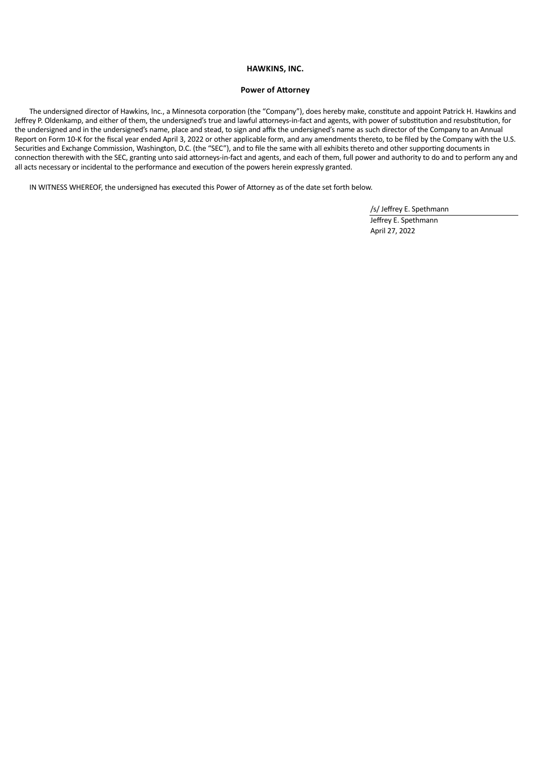## **Power of Attorney**

The undersigned director of Hawkins, Inc., a Minnesota corporation (the "Company"), does hereby make, constitute and appoint Patrick H. Hawkins and Jeffrey P. Oldenkamp, and either of them, the undersigned's true and lawful attorneys-in-fact and agents, with power of substitution and resubstitution, for the undersigned and in the undersigned's name, place and stead, to sign and affix the undersigned's name as such director of the Company to an Annual Report on Form 10-K for the fiscal year ended April 3, 2022 or other applicable form, and any amendments thereto, to be filed by the Company with the U.S. Securities and Exchange Commission, Washington, D.C. (the "SEC"), and to file the same with all exhibits thereto and other supporting documents in connection therewith with the SEC, granting unto said attorneys-in-fact and agents, and each of them, full power and authority to do and to perform any and all acts necessary or incidental to the performance and execution of the powers herein expressly granted.

IN WITNESS WHEREOF, the undersigned has executed this Power of Attorney as of the date set forth below.

/s/ Jeffrey E. Spethmann

Jeffrey E. Spethmann April 27, 2022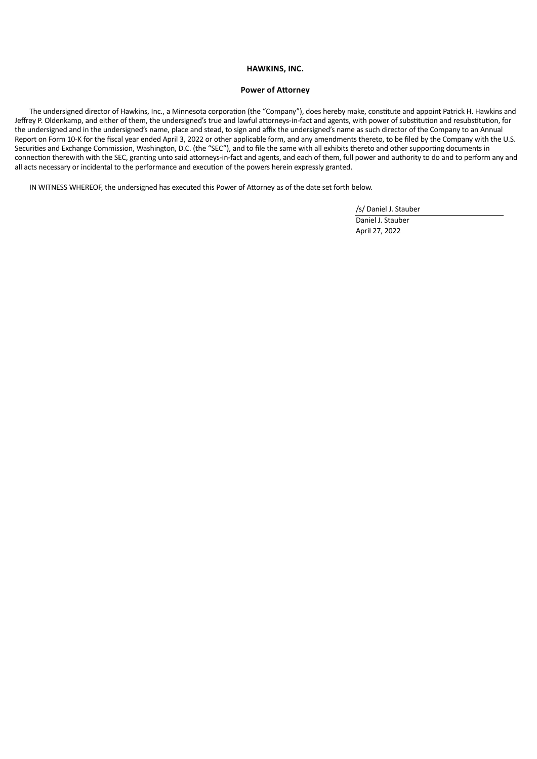## **Power of Attorney**

The undersigned director of Hawkins, Inc., a Minnesota corporation (the "Company"), does hereby make, constitute and appoint Patrick H. Hawkins and Jeffrey P. Oldenkamp, and either of them, the undersigned's true and lawful attorneys-in-fact and agents, with power of substitution and resubstitution, for the undersigned and in the undersigned's name, place and stead, to sign and affix the undersigned's name as such director of the Company to an Annual Report on Form 10-K for the fiscal year ended April 3, 2022 or other applicable form, and any amendments thereto, to be filed by the Company with the U.S. Securities and Exchange Commission, Washington, D.C. (the "SEC"), and to file the same with all exhibits thereto and other supporting documents in connection therewith with the SEC, granting unto said attorneys-in-fact and agents, and each of them, full power and authority to do and to perform any and all acts necessary or incidental to the performance and execution of the powers herein expressly granted.

IN WITNESS WHEREOF, the undersigned has executed this Power of Attorney as of the date set forth below.

/s/ Daniel J. Stauber

Daniel J. Stauber April 27, 2022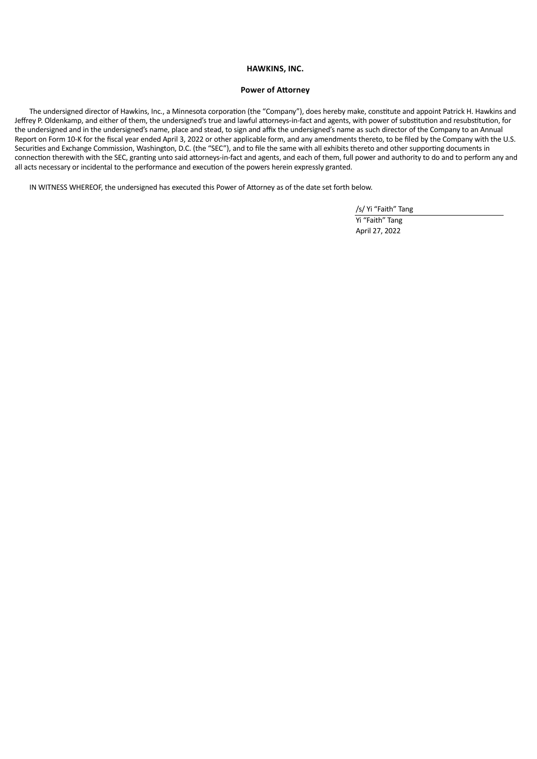## **Power of Attorney**

The undersigned director of Hawkins, Inc., a Minnesota corporation (the "Company"), does hereby make, constitute and appoint Patrick H. Hawkins and Jeffrey P. Oldenkamp, and either of them, the undersigned's true and lawful attorneys-in-fact and agents, with power of substitution and resubstitution, for the undersigned and in the undersigned's name, place and stead, to sign and affix the undersigned's name as such director of the Company to an Annual Report on Form 10-K for the fiscal year ended April 3, 2022 or other applicable form, and any amendments thereto, to be filed by the Company with the U.S. Securities and Exchange Commission, Washington, D.C. (the "SEC"), and to file the same with all exhibits thereto and other supporting documents in connection therewith with the SEC, granting unto said attorneys-in-fact and agents, and each of them, full power and authority to do and to perform any and all acts necessary or incidental to the performance and execution of the powers herein expressly granted.

IN WITNESS WHEREOF, the undersigned has executed this Power of Attorney as of the date set forth below.

/s/ Yi "Faith" Tang

Yi "Faith" Tang April 27, 2022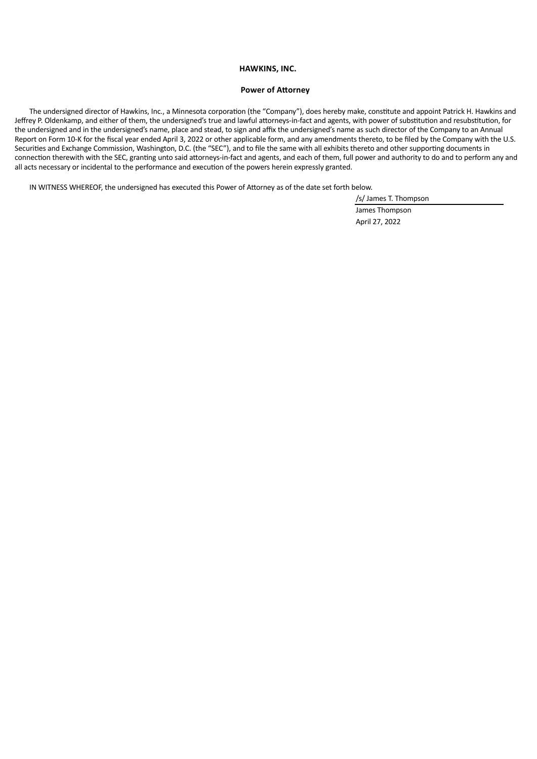## **Power of Attorney**

The undersigned director of Hawkins, Inc., a Minnesota corporation (the "Company"), does hereby make, constitute and appoint Patrick H. Hawkins and Jeffrey P. Oldenkamp, and either of them, the undersigned's true and lawful attorneys-in-fact and agents, with power of substitution and resubstitution, for the undersigned and in the undersigned's name, place and stead, to sign and affix the undersigned's name as such director of the Company to an Annual Report on Form 10-K for the fiscal year ended April 3, 2022 or other applicable form, and any amendments thereto, to be filed by the Company with the U.S. Securities and Exchange Commission, Washington, D.C. (the "SEC"), and to file the same with all exhibits thereto and other supporting documents in connection therewith with the SEC, granting unto said attorneys-in-fact and agents, and each of them, full power and authority to do and to perform any and all acts necessary or incidental to the performance and execution of the powers herein expressly granted.

IN WITNESS WHEREOF, the undersigned has executed this Power of Attorney as of the date set forth below.

/s/ James T. Thompson James Thompson April 27, 2022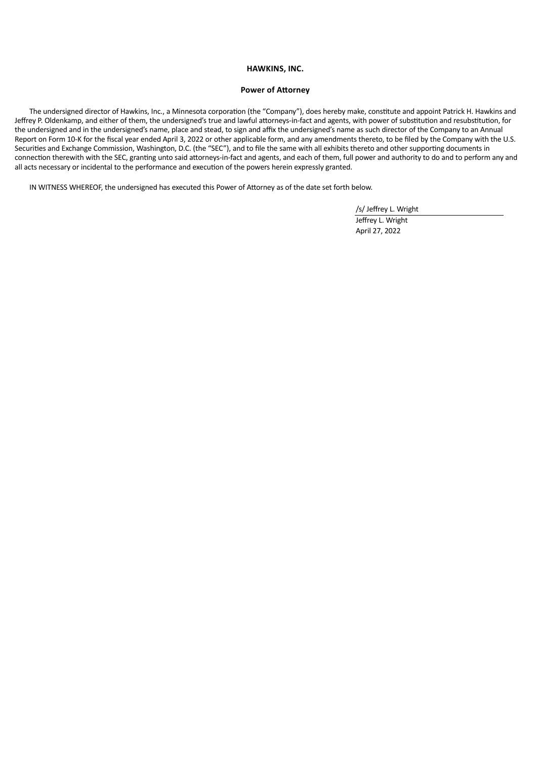## **Power of Attorney**

The undersigned director of Hawkins, Inc., a Minnesota corporation (the "Company"), does hereby make, constitute and appoint Patrick H. Hawkins and Jeffrey P. Oldenkamp, and either of them, the undersigned's true and lawful attorneys-in-fact and agents, with power of substitution and resubstitution, for the undersigned and in the undersigned's name, place and stead, to sign and affix the undersigned's name as such director of the Company to an Annual Report on Form 10-K for the fiscal year ended April 3, 2022 or other applicable form, and any amendments thereto, to be filed by the Company with the U.S. Securities and Exchange Commission, Washington, D.C. (the "SEC"), and to file the same with all exhibits thereto and other supporting documents in connection therewith with the SEC, granting unto said attorneys-in-fact and agents, and each of them, full power and authority to do and to perform any and all acts necessary or incidental to the performance and execution of the powers herein expressly granted.

IN WITNESS WHEREOF, the undersigned has executed this Power of Attorney as of the date set forth below.

/s/ Jeffrey L. Wright

Jeffrey L. Wright April 27, 2022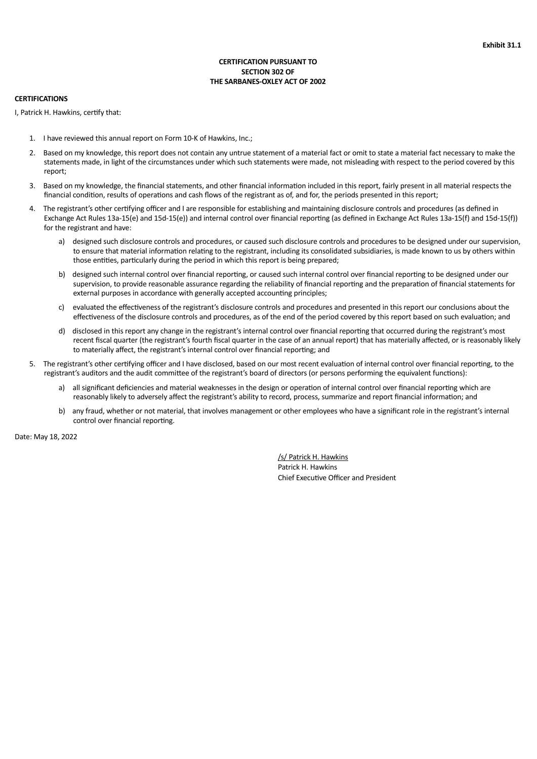## **CERTIFICATION PURSUANT TO SECTION 302 OF THE SARBANES-OXLEY ACT OF 2002**

## <span id="page-69-0"></span>**CERTIFICATIONS**

I, Patrick H. Hawkins, certify that:

- 1. I have reviewed this annual report on Form 10-K of Hawkins, Inc.;
- 2. Based on my knowledge, this report does not contain any untrue statement of a material fact or omit to state a material fact necessary to make the statements made, in light of the circumstances under which such statements were made, not misleading with respect to the period covered by this report;
- 3. Based on my knowledge, the financial statements, and other financial information included in this report, fairly present in all material respects the financial condition, results of operations and cash flows of the registrant as of, and for, the periods presented in this report;
- 4. The registrant's other certifying officer and I are responsible for establishing and maintaining disclosure controls and procedures (as defined in Exchange Act Rules 13a-15(e) and 15d-15(e)) and internal control over financial reporting (as defined in Exchange Act Rules 13a-15(f) and 15d-15(f)) for the registrant and have:
	- a) designed such disclosure controls and procedures, or caused such disclosure controls and procedures to be designed under our supervision, to ensure that material information relating to the registrant, including its consolidated subsidiaries, is made known to us by others within those entities, particularly during the period in which this report is being prepared;
	- b) designed such internal control over financial reporting, or caused such internal control over financial reporting to be designed under our supervision, to provide reasonable assurance regarding the reliability of financial reporting and the preparation of financial statements for external purposes in accordance with generally accepted accounting principles;
	- c) evaluated the effectiveness of the registrant's disclosure controls and procedures and presented in this report our conclusions about the effectiveness of the disclosure controls and procedures, as of the end of the period covered by this report based on such evaluation; and
	- d) disclosed in this report any change in the registrant's internal control over financial reporting that occurred during the registrant's most recent fiscal quarter (the registrant's fourth fiscal quarter in the case of an annual report) that has materially affected, or is reasonably likely to materially affect, the registrant's internal control over financial reporting; and
- 5. The registrant's other certifying officer and I have disclosed, based on our most recent evaluation of internal control over financial reporting, to the registrant's auditors and the audit committee of the registrant's board of directors (or persons performing the equivalent functions):
	- a) all significant deficiencies and material weaknesses in the design or operation of internal control over financial reporting which are reasonably likely to adversely affect the registrant's ability to record, process, summarize and report financial information; and
	- b) any fraud, whether or not material, that involves management or other employees who have a significant role in the registrant's internal control over financial reporting.

Date: May 18, 2022

/s/ Patrick H. Hawkins Patrick H. Hawkins Chief Executive Officer and President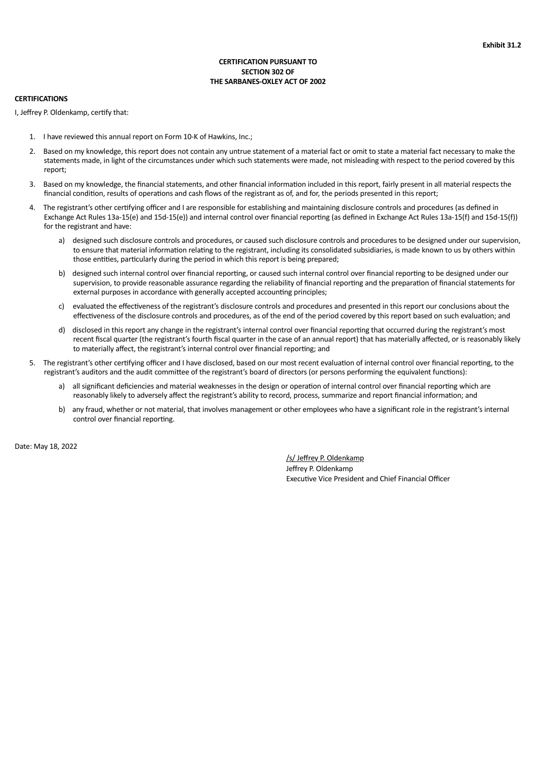# **CERTIFICATION PURSUANT TO SECTION 302 OF THE SARBANES-OXLEY ACT OF 2002**

## <span id="page-70-0"></span>**CERTIFICATIONS**

I, Jeffrey P. Oldenkamp, certify that:

- 1. I have reviewed this annual report on Form 10-K of Hawkins, Inc.;
- 2. Based on my knowledge, this report does not contain any untrue statement of a material fact or omit to state a material fact necessary to make the statements made, in light of the circumstances under which such statements were made, not misleading with respect to the period covered by this report;
- 3. Based on my knowledge, the financial statements, and other financial information included in this report, fairly present in all material respects the financial condition, results of operations and cash flows of the registrant as of, and for, the periods presented in this report;
- 4. The registrant's other certifying officer and I are responsible for establishing and maintaining disclosure controls and procedures (as defined in Exchange Act Rules 13a-15(e) and 15d-15(e)) and internal control over financial reporting (as defined in Exchange Act Rules 13a-15(f) and 15d-15(f)) for the registrant and have:
	- a) designed such disclosure controls and procedures, or caused such disclosure controls and procedures to be designed under our supervision, to ensure that material information relating to the registrant, including its consolidated subsidiaries, is made known to us by others within those entities, particularly during the period in which this report is being prepared;
	- b) designed such internal control over financial reporting, or caused such internal control over financial reporting to be designed under our supervision, to provide reasonable assurance regarding the reliability of financial reporting and the preparation of financial statements for external purposes in accordance with generally accepted accounting principles;
	- c) evaluated the effectiveness of the registrant's disclosure controls and procedures and presented in this report our conclusions about the effectiveness of the disclosure controls and procedures, as of the end of the period covered by this report based on such evaluation; and
	- d) disclosed in this report any change in the registrant's internal control over financial reporting that occurred during the registrant's most recent fiscal quarter (the registrant's fourth fiscal quarter in the case of an annual report) that has materially affected, or is reasonably likely to materially affect, the registrant's internal control over financial reporting; and
- 5. The registrant's other certifying officer and I have disclosed, based on our most recent evaluation of internal control over financial reporting, to the registrant's auditors and the audit committee of the registrant's board of directors (or persons performing the equivalent functions):
	- a) all significant deficiencies and material weaknesses in the design or operation of internal control over financial reporting which are reasonably likely to adversely affect the registrant's ability to record, process, summarize and report financial information; and
	- b) any fraud, whether or not material, that involves management or other employees who have a significant role in the registrant's internal control over financial reporting.

Date: May 18, 2022

/s/ Jeffrey P. Oldenkamp Jeffrey P. Oldenkamp Executive Vice President and Chief Financial Officer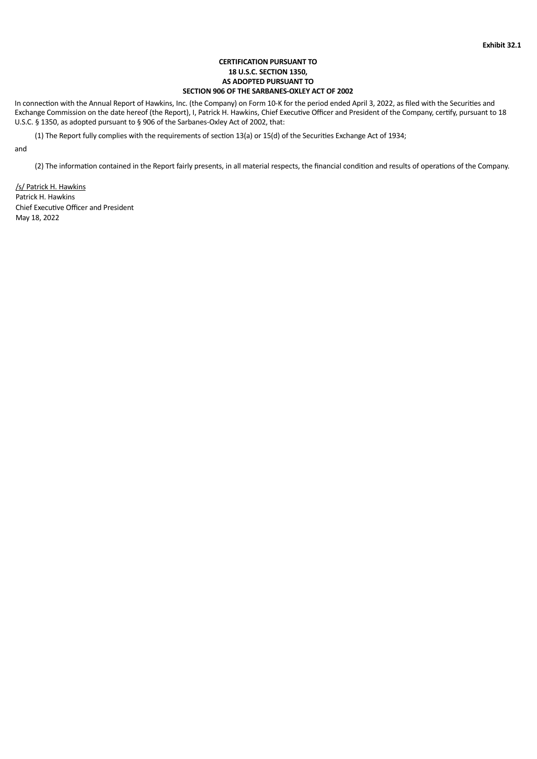## **CERTIFICATION PURSUANT TO 18 U.S.C. SECTION 1350, AS ADOPTED PURSUANT TO SECTION 906 OF THE SARBANES-OXLEY ACT OF 2002**

<span id="page-71-0"></span>In connection with the Annual Report of Hawkins, Inc. (the Company) on Form 10-K for the period ended April 3, 2022, as filed with the Securities and Exchange Commission on the date hereof (the Report), I, Patrick H. Hawkins, Chief Executive Officer and President of the Company, certify, pursuant to 18 U.S.C. § 1350, as adopted pursuant to § 906 of the Sarbanes-Oxley Act of 2002, that:

(1) The Report fully complies with the requirements of section 13(a) or 15(d) of the Securities Exchange Act of 1934;

and

(2) The information contained in the Report fairly presents, in all material respects, the financial condition and results of operations of the Company.

/s/ Patrick H. Hawkins Patrick H. Hawkins Chief Executive Officer and President May 18, 2022